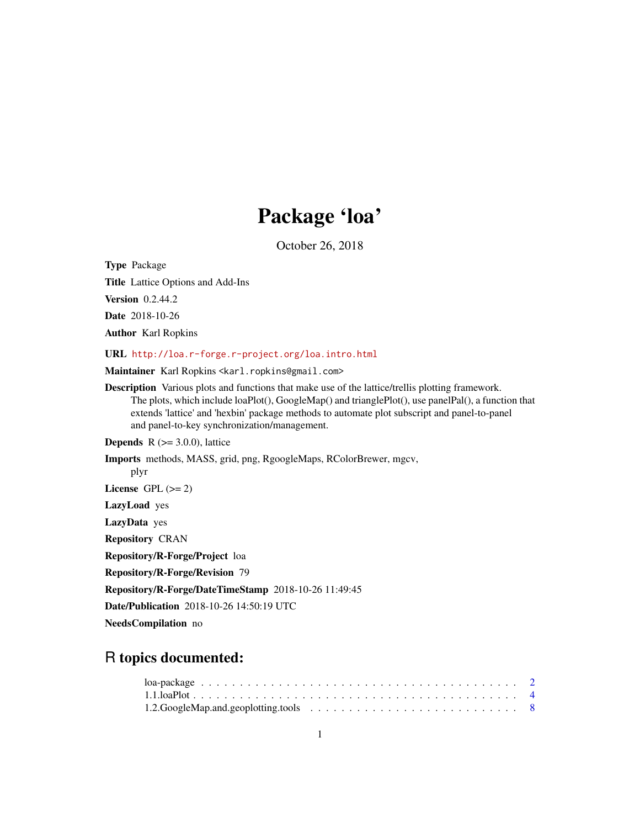## Package 'loa'

October 26, 2018

<span id="page-0-0"></span>Type Package

Title Lattice Options and Add-Ins

**Version** 0.2.44.2

Date 2018-10-26

Author Karl Ropkins

URL <http://loa.r-forge.r-project.org/loa.intro.html>

Maintainer Karl Ropkins <karl.ropkins@gmail.com>

Description Various plots and functions that make use of the lattice/trellis plotting framework. The plots, which include loaPlot(), GoogleMap() and trianglePlot(), use panelPal(), a function that extends 'lattice' and 'hexbin' package methods to automate plot subscript and panel-to-panel and panel-to-key synchronization/management.

**Depends**  $R$  ( $>=$  3.0.0), lattice

Imports methods, MASS, grid, png, RgoogleMaps, RColorBrewer, mgcv, plyr License GPL  $(>= 2)$ LazyLoad yes

LazyData yes

Repository CRAN

Repository/R-Forge/Project loa

Repository/R-Forge/Revision 79

Repository/R-Forge/DateTimeStamp 2018-10-26 11:49:45

Date/Publication 2018-10-26 14:50:19 UTC

NeedsCompilation no

## R topics documented:

| 1.2. Google Map and geoplotting tools $\ldots \ldots \ldots \ldots \ldots \ldots \ldots \ldots \ldots \ldots$ |  |  |  |  |  |  |  |  |  |  |  |  |  |
|---------------------------------------------------------------------------------------------------------------|--|--|--|--|--|--|--|--|--|--|--|--|--|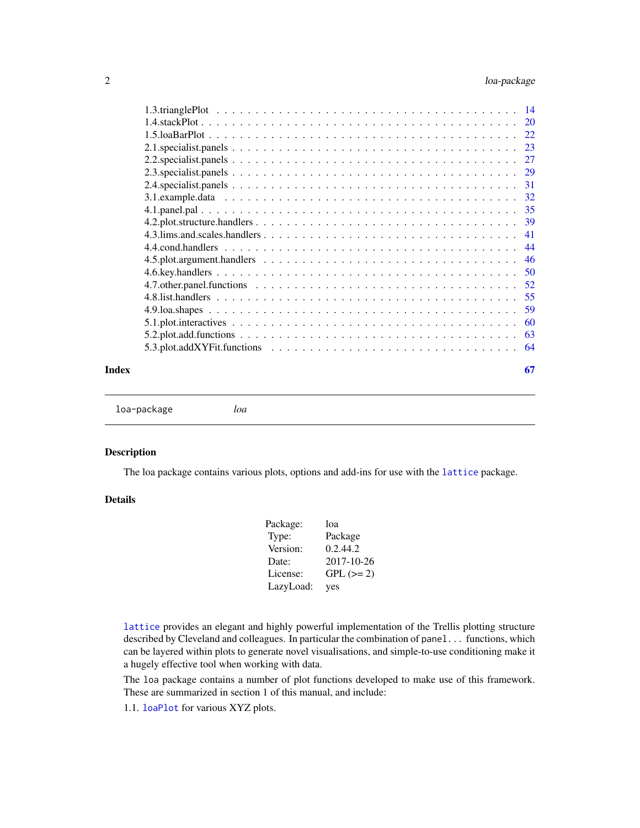<span id="page-1-0"></span>

|  | 20  |
|--|-----|
|  | 22  |
|  | 23  |
|  |     |
|  |     |
|  |     |
|  |     |
|  |     |
|  |     |
|  | 41  |
|  | 44  |
|  | 46  |
|  |     |
|  |     |
|  | 55  |
|  | 59  |
|  | 60  |
|  | 63  |
|  |     |
|  | -64 |
|  |     |

### **Index** [67](#page-66-0)

loa-package *loa*

#### Description

The loa package contains various plots, options and add-ins for use with the [lattice](#page-0-0) package.

### Details

| Package:  | loa         |
|-----------|-------------|
| Type:     | Package     |
| Version:  | 0.2.44.2    |
| Date:     | 2017-10-26  |
| License:  | $GPL (= 2)$ |
| LazyLoad: | yes         |

[lattice](#page-0-0) provides an elegant and highly powerful implementation of the Trellis plotting structure described by Cleveland and colleagues. In particular the combination of panel... functions, which can be layered within plots to generate novel visualisations, and simple-to-use conditioning make it a hugely effective tool when working with data.

The loa package contains a number of plot functions developed to make use of this framework. These are summarized in section 1 of this manual, and include:

1.1. [loaPlot](#page-3-1) for various XYZ plots.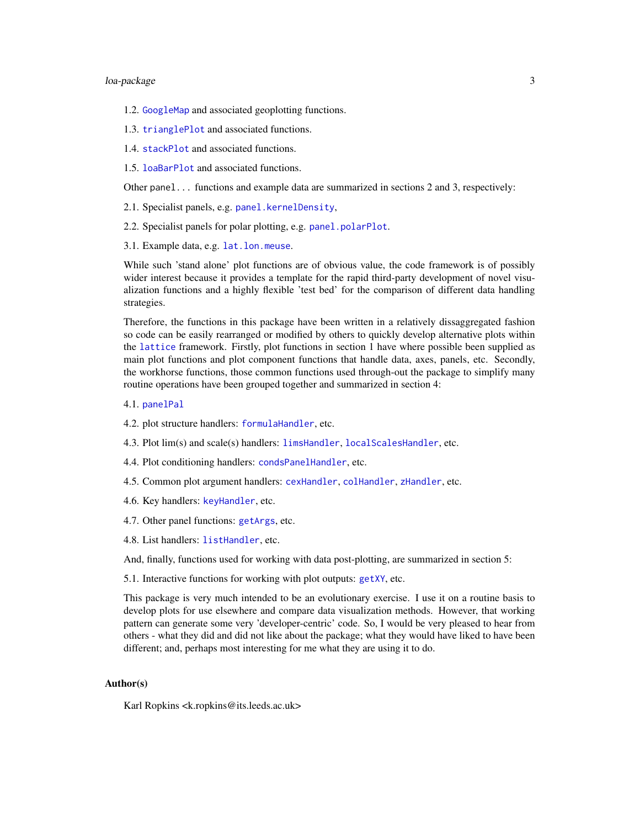### <span id="page-2-0"></span>loa-package 3

- 1.2. [GoogleMap](#page-7-1) and associated geoplotting functions.
- 1.3. [trianglePlot](#page-13-1) and associated functions.
- 1.4. [stackPlot](#page-19-1) and associated functions.
- 1.5. [loaBarPlot](#page-21-1) and associated functions.
- Other panel... functions and example data are summarized in sections 2 and 3, respectively:
- 2.1. Specialist panels, e.g. [panel.kernelDensity](#page-22-1),
- 2.2. Specialist panels for polar plotting, e.g. [panel.polarPlot](#page-26-1).
- 3.1. Example data, e.g. [lat.lon.meuse](#page-31-1).

While such 'stand alone' plot functions are of obvious value, the code framework is of possibly wider interest because it provides a template for the rapid third-party development of novel visualization functions and a highly flexible 'test bed' for the comparison of different data handling strategies.

Therefore, the functions in this package have been written in a relatively dissaggregated fashion so code can be easily rearranged or modified by others to quickly develop alternative plots within the [lattice](#page-0-0) framework. Firstly, plot functions in section 1 have where possible been supplied as main plot functions and plot component functions that handle data, axes, panels, etc. Secondly, the workhorse functions, those common functions used through-out the package to simplify many routine operations have been grouped together and summarized in section 4:

- 4.1. [panelPal](#page-34-1)
- 4.2. plot structure handlers: [formulaHandler](#page-38-1), etc.
- 4.3. Plot lim(s) and scale(s) handlers: [limsHandler](#page-40-1), [localScalesHandler](#page-40-1), etc.
- 4.4. Plot conditioning handlers: [condsPanelHandler](#page-43-1), etc.
- 4.5. Common plot argument handlers: [cexHandler](#page-45-1), [colHandler](#page-45-1), [zHandler](#page-45-1), etc.
- 4.6. Key handlers: [keyHandler](#page-49-1), etc.
- 4.7. Other panel functions: [getArgs](#page-51-1), etc.
- 4.8. List handlers: [listHandler](#page-54-1), etc.

And, finally, functions used for working with data post-plotting, are summarized in section 5:

5.1. Interactive functions for working with plot outputs: [getXY](#page-59-1), etc.

This package is very much intended to be an evolutionary exercise. I use it on a routine basis to develop plots for use elsewhere and compare data visualization methods. However, that working pattern can generate some very 'developer-centric' code. So, I would be very pleased to hear from others - what they did and did not like about the package; what they would have liked to have been different; and, perhaps most interesting for me what they are using it to do.

#### Author(s)

Karl Ropkins <k.ropkins@its.leeds.ac.uk>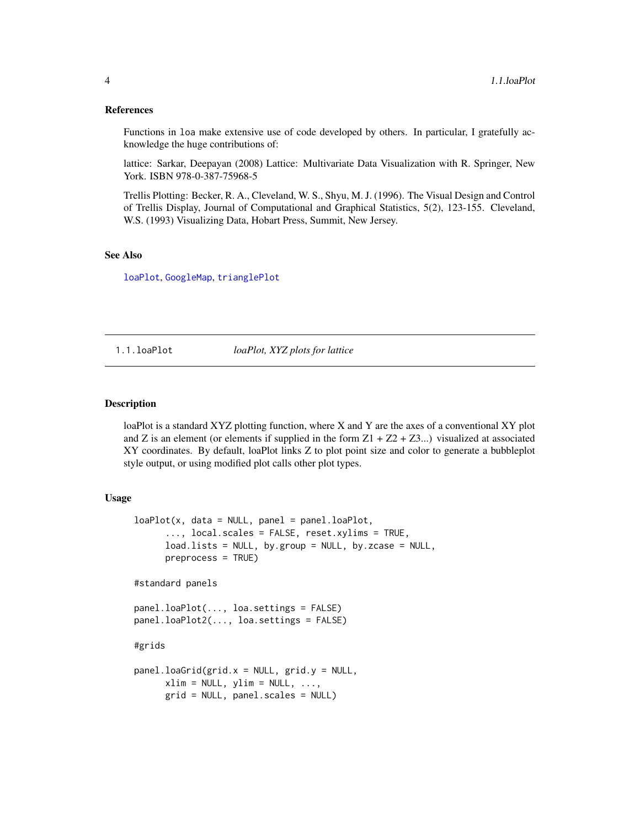#### <span id="page-3-0"></span>References

Functions in loa make extensive use of code developed by others. In particular, I gratefully acknowledge the huge contributions of:

lattice: Sarkar, Deepayan (2008) Lattice: Multivariate Data Visualization with R. Springer, New York. ISBN 978-0-387-75968-5

Trellis Plotting: Becker, R. A., Cleveland, W. S., Shyu, M. J. (1996). The Visual Design and Control of Trellis Display, Journal of Computational and Graphical Statistics, 5(2), 123-155. Cleveland, W.S. (1993) Visualizing Data, Hobart Press, Summit, New Jersey.

#### See Also

[loaPlot](#page-3-1), [GoogleMap](#page-7-1), [trianglePlot](#page-13-1)

1.1.loaPlot *loaPlot, XYZ plots for lattice*

### <span id="page-3-1"></span>**Description**

loaPlot is a standard XYZ plotting function, where X and Y are the axes of a conventional XY plot and Z is an element (or elements if supplied in the form  $Z1 + Z2 + Z3...$ ) visualized at associated XY coordinates. By default, loaPlot links Z to plot point size and color to generate a bubbleplot style output, or using modified plot calls other plot types.

#### Usage

```
loaPlot(x, data = NULL, panel = panel. loaPlot,..., local.scales = FALSE, reset.xylims = TRUE,
     load.lists = NULL, by.group = NULL, by.zcase = NULL,
     preprocess = TRUE)
#standard panels
panel.loaPlot(..., loa.settings = FALSE)
panel.loaPlot2(..., loa.settings = FALSE)
#grids
panel.loaGrid(grid.x = NULL, grid.y = NULL,
     xlim = NULL, ylim = NULL, ...grid = NULL, panel.scales = NULL)
```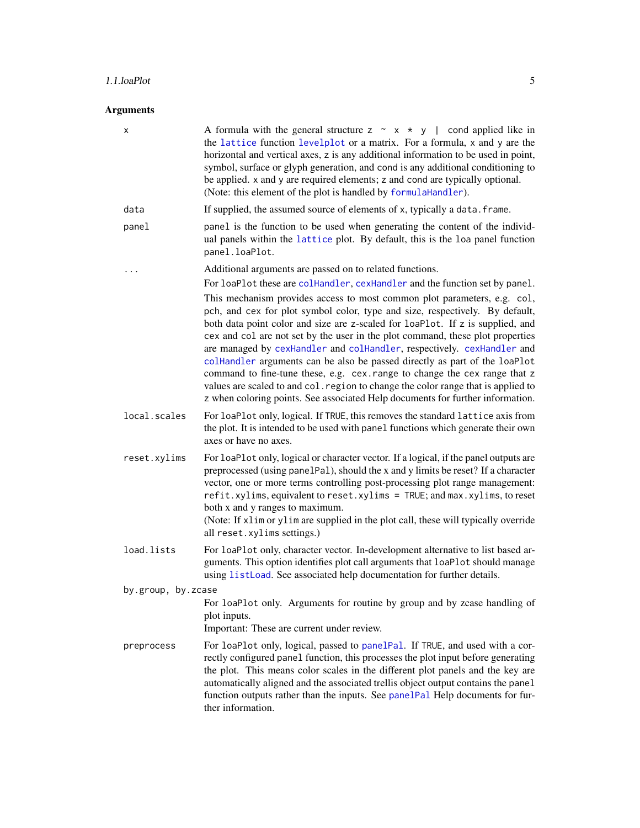### <span id="page-4-0"></span>1.1.loaPlot 5

### Arguments

| х                  | A formula with the general structure $z \sim x \star y$   cond applied like in<br>the lattice function levelplot or a matrix. For a formula, x and y are the<br>horizontal and vertical axes, z is any additional information to be used in point,<br>symbol, surface or glyph generation, and cond is any additional conditioning to<br>be applied. x and y are required elements; z and cond are typically optional.<br>(Note: this element of the plot is handled by formulaHandler).                                                                                                                                                                                                                                                 |
|--------------------|------------------------------------------------------------------------------------------------------------------------------------------------------------------------------------------------------------------------------------------------------------------------------------------------------------------------------------------------------------------------------------------------------------------------------------------------------------------------------------------------------------------------------------------------------------------------------------------------------------------------------------------------------------------------------------------------------------------------------------------|
| data               | If supplied, the assumed source of elements of x, typically a data. frame.                                                                                                                                                                                                                                                                                                                                                                                                                                                                                                                                                                                                                                                               |
| panel              | panel is the function to be used when generating the content of the individ-<br>ual panels within the lattice plot. By default, this is the loa panel function<br>panel.loaPlot.                                                                                                                                                                                                                                                                                                                                                                                                                                                                                                                                                         |
|                    | Additional arguments are passed on to related functions.                                                                                                                                                                                                                                                                                                                                                                                                                                                                                                                                                                                                                                                                                 |
|                    | For loaPlot these are colHandler, cexHandler and the function set by panel.                                                                                                                                                                                                                                                                                                                                                                                                                                                                                                                                                                                                                                                              |
|                    | This mechanism provides access to most common plot parameters, e.g. col,<br>pch, and cex for plot symbol color, type and size, respectively. By default,<br>both data point color and size are z-scaled for loaPlot. If z is supplied, and<br>cex and col are not set by the user in the plot command, these plot properties<br>are managed by cexHandler and colHandler, respectively. cexHandler and<br>colHandler arguments can be also be passed directly as part of the loaPlot<br>command to fine-tune these, e.g. cex.range to change the cex range that z<br>values are scaled to and col. region to change the color range that is applied to<br>z when coloring points. See associated Help documents for further information. |
| local.scales       | For loaPlot only, logical. If TRUE, this removes the standard lattice axis from<br>the plot. It is intended to be used with panel functions which generate their own<br>axes or have no axes.                                                                                                                                                                                                                                                                                                                                                                                                                                                                                                                                            |
| reset.xylims       | For loaPlot only, logical or character vector. If a logical, if the panel outputs are<br>preprocessed (using panelPal), should the x and y limits be reset? If a character<br>vector, one or more terms controlling post-processing plot range management:<br>refit.xylims, equivalent to reset.xylims = TRUE; and max.xylims, to reset<br>both x and y ranges to maximum.<br>(Note: If x1im or y1im are supplied in the plot call, these will typically override<br>all reset.xylims settings.)                                                                                                                                                                                                                                         |
| load.lists         | For loaPlot only, character vector. In-development alternative to list based ar-<br>guments. This option identifies plot call arguments that loaPlot should manage                                                                                                                                                                                                                                                                                                                                                                                                                                                                                                                                                                       |
|                    | using listLoad. See associated help documentation for further details.                                                                                                                                                                                                                                                                                                                                                                                                                                                                                                                                                                                                                                                                   |
| by.group, by.zcase |                                                                                                                                                                                                                                                                                                                                                                                                                                                                                                                                                                                                                                                                                                                                          |
|                    | For loaPlot only. Arguments for routine by group and by zcase handling of<br>plot inputs.<br>Important: These are current under review.                                                                                                                                                                                                                                                                                                                                                                                                                                                                                                                                                                                                  |
| preprocess         | For loaPlot only, logical, passed to panelPal. If TRUE, and used with a cor-<br>rectly configured panel function, this processes the plot input before generating<br>the plot. This means color scales in the different plot panels and the key are<br>automatically aligned and the associated trellis object output contains the panel<br>function outputs rather than the inputs. See panelPal Help documents for fur-<br>ther information.                                                                                                                                                                                                                                                                                           |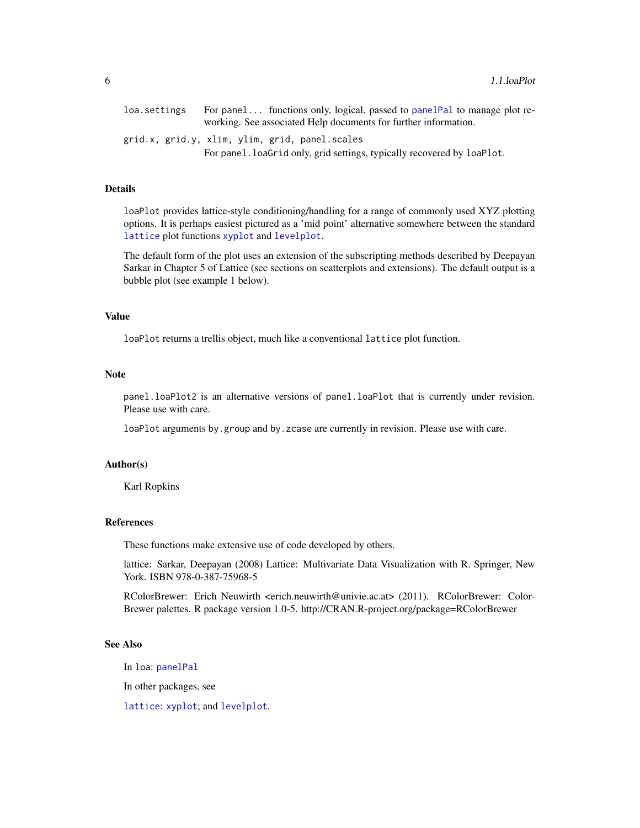<span id="page-5-0"></span>

| loa.settings | For panel functions only, logical, passed to panel Pal to manage plot re- |
|--------------|---------------------------------------------------------------------------|
|              | working. See associated Help documents for further information.           |
|              | grid.x, grid.y, xlim, ylim, grid, panel.scales                            |
|              | For panel. loaGrid only, grid settings, typically recovered by loaPlot.   |

### Details

loaPlot provides lattice-style conditioning/handling for a range of commonly used XYZ plotting options. It is perhaps easiest pictured as a 'mid point' alternative somewhere between the standard [lattice](#page-0-0) plot functions [xyplot](#page-0-0) and [levelplot](#page-0-0).

The default form of the plot uses an extension of the subscripting methods described by Deepayan Sarkar in Chapter 5 of Lattice (see sections on scatterplots and extensions). The default output is a bubble plot (see example 1 below).

### Value

loaPlot returns a trellis object, much like a conventional lattice plot function.

#### Note

panel.loaPlot2 is an alternative versions of panel.loaPlot that is currently under revision. Please use with care.

loaPlot arguments by.group and by.zcase are currently in revision. Please use with care.

#### Author(s)

Karl Ropkins

### References

These functions make extensive use of code developed by others.

lattice: Sarkar, Deepayan (2008) Lattice: Multivariate Data Visualization with R. Springer, New York. ISBN 978-0-387-75968-5

RColorBrewer: Erich Neuwirth <erich.neuwirth@univie.ac.at> (2011). RColorBrewer: Color-Brewer palettes. R package version 1.0-5. http://CRAN.R-project.org/package=RColorBrewer

### See Also

In loa: [panelPal](#page-34-1)

In other packages, see

[lattice](#page-0-0): [xyplot](#page-0-0); and [levelplot](#page-0-0).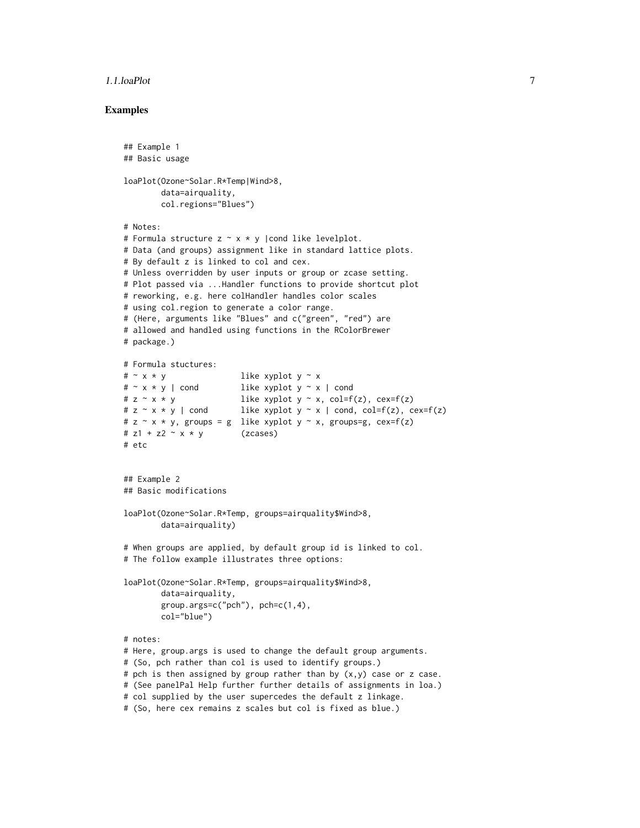#### 1.1.loaPlot 7

### Examples

```
## Example 1
## Basic usage
loaPlot(Ozone~Solar.R*Temp|Wind>8,
        data=airquality,
       col.regions="Blues")
# Notes:
# Formula structure z \sim x * y | cond like levelplot.
# Data (and groups) assignment like in standard lattice plots.
# By default z is linked to col and cex.
# Unless overridden by user inputs or group or zcase setting.
# Plot passed via ...Handler functions to provide shortcut plot
# reworking, e.g. here colHandler handles color scales
# using col.region to generate a color range.
# (Here, arguments like "Blues" and c("green", "red") are
# allowed and handled using functions in the RColorBrewer
# package.)
# Formula stuctures:
\# \sim x * y like xyplot y \sim x# \sim x * y | cond like xyplot y \sim x | cond
# z \sim x * y like xyplot y \sim x, col=f(z), cex=f(z)
# z ~ x * y | cond like xyplot y ~ x | cond, col=f(z), cex=f(z)
# z \sim x \star y, groups = g like xyplot y \sim x, groups=g, cex=f(z)
# z1 + z2 \sim x * y (zcases)
# etc
## Example 2
## Basic modifications
loaPlot(Ozone~Solar.R*Temp, groups=airquality$Wind>8,
        data=airquality)
# When groups are applied, by default group id is linked to col.
# The follow example illustrates three options:
loaPlot(Ozone~Solar.R*Temp, groups=airquality$Wind>8,
       data=airquality,
       group.args=c("pch"), pch=c(1,4),
       col="blue")
# notes:
# Here, group.args is used to change the default group arguments.
# (So, pch rather than col is used to identify groups.)
# pch is then assigned by group rather than by (x, y) case or z case.
# (See panelPal Help further further details of assignments in loa.)
# col supplied by the user supercedes the default z linkage.
# (So, here cex remains z scales but col is fixed as blue.)
```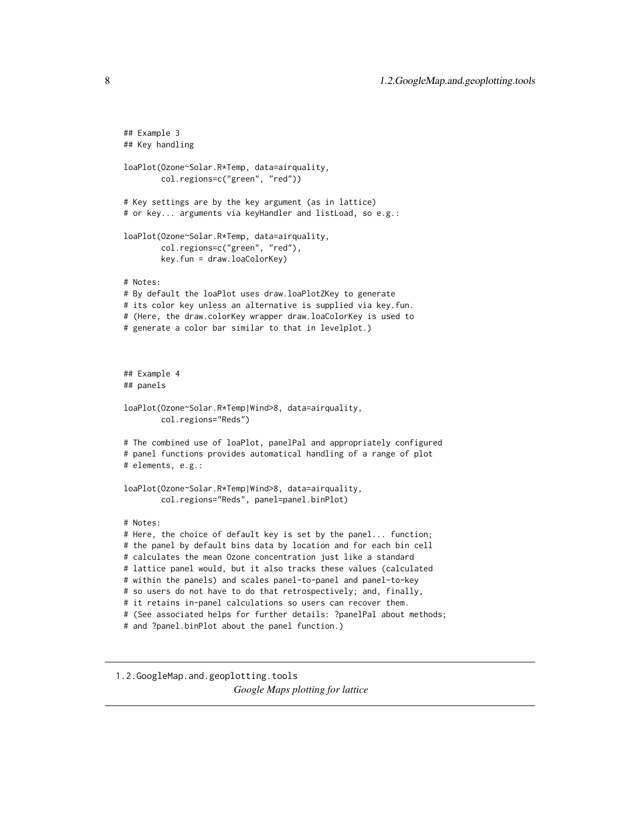```
## Example 3
## Key handling
loaPlot(Ozone~Solar.R*Temp, data=airquality,
       col.regions=c("green", "red"))
# Key settings are by the key argument (as in lattice)
# or key... arguments via keyHandler and listLoad, so e.g.:
loaPlot(Ozone~Solar.R*Temp, data=airquality,
       col.regions=c("green", "red"),
       key.fun = draw.loaColorKey)
# Notes:
# By default the loaPlot uses draw.loaPlotZKey to generate
# its color key unless an alternative is supplied via key.fun.
# (Here, the draw.colorKey wrapper draw.loaColorKey is used to
# generate a color bar similar to that in levelplot.)
## Example 4
## panels
loaPlot(Ozone~Solar.R*Temp|Wind>8, data=airquality,
       col.regions="Reds")
# The combined use of loaPlot, panelPal and appropriately configured
# panel functions provides automatical handling of a range of plot
# elements, e.g.:
loaPlot(Ozone~Solar.R*Temp|Wind>8, data=airquality,
       col.regions="Reds", panel=panel.binPlot)
# Notes:
# Here, the choice of default key is set by the panel... function;
# the panel by default bins data by location and for each bin cell
# calculates the mean Ozone concentration just like a standard
# lattice panel would, but it also tracks these values (calculated
# within the panels) and scales panel-to-panel and panel-to-key
# so users do not have to do that retrospectively; and, finally,
# it retains in-panel calculations so users can recover them.
# (See associated helps for further details: ?panelPal about methods;
# and ?panel.binPlot about the panel function.)
```
<span id="page-7-1"></span>1.2.GoogleMap.and.geoplotting.tools

*Google Maps plotting for lattice*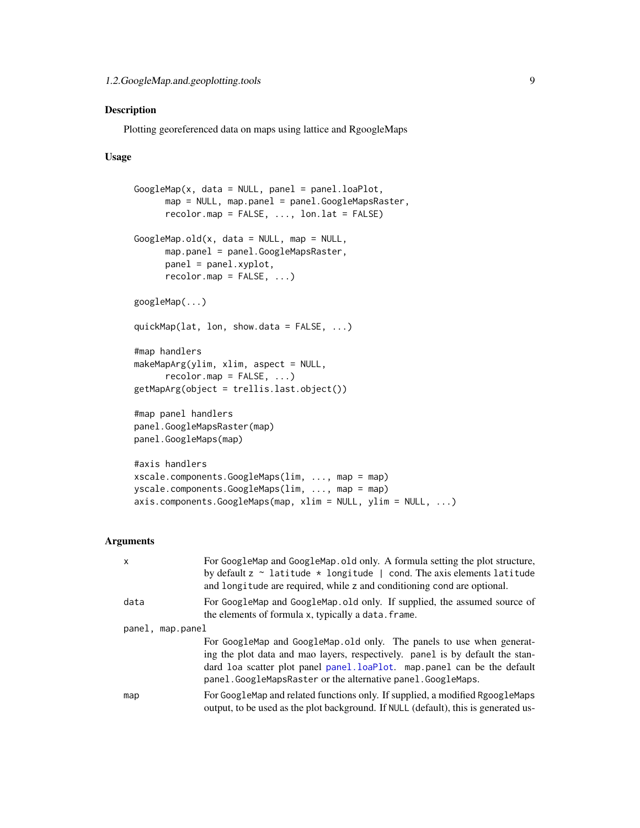### <span id="page-8-0"></span>Description

Plotting georeferenced data on maps using lattice and RgoogleMaps

### Usage

```
GoogleMap(x, data = NULL, panel = panel.loaPlot,
      map = NULL, map.panel = panel.GoogleMapsRaster,
      recolormap = FALSE, ..., lon. lat = FALSE)GoogleMap.old(x, data = NULL, map = NULL,map.panel = panel.GoogleMapsRaster,
      panel = panel.xyplot,
      recolormap = FALSE, ...)googleMap(...)
quickMap(lat, lon, show.data = FALSE, ...)
#map handlers
makeMapping(vlim, xlim, aspect = NULL,recolormap = FALSE, ...)getMapArg(object = trellis.last.object())
#map panel handlers
panel.GoogleMapsRaster(map)
panel.GoogleMaps(map)
#axis handlers
xscale.components.GoogleMaps(lim, ..., map = map)
yscale.components.GoogleMaps(lim, ..., map = map)
axis.components.GoogleMaps(map, xlim = NULL, ylim = NULL, ...)
```
### Arguments

| X                | For GoogleMap and GoogleMap.old only. A formula setting the plot structure,<br>by default $z \sim$ latitude $*$ longitude   cond. The axis elements latitude<br>and longitude are required, while z and conditioning cond are optional.                                                          |
|------------------|--------------------------------------------------------------------------------------------------------------------------------------------------------------------------------------------------------------------------------------------------------------------------------------------------|
| data             | For GoogleMap and GoogleMap old only. If supplied, the assumed source of<br>the elements of formula x, typically a data. frame.                                                                                                                                                                  |
| panel, map.panel |                                                                                                                                                                                                                                                                                                  |
|                  | For GoogleMap and GoogleMap old only. The panels to use when generat-<br>ing the plot data and mao layers, respectively. panel is by default the stan-<br>dard loa scatter plot panel panel.loaPlot. map.panel can be the default<br>panel.GoogleMapsRaster or the alternative panel.GoogleMaps. |
| map              | For GoogleMap and related functions only. If supplied, a modified RgoogleMaps<br>output, to be used as the plot background. If NULL (default), this is generated us-                                                                                                                             |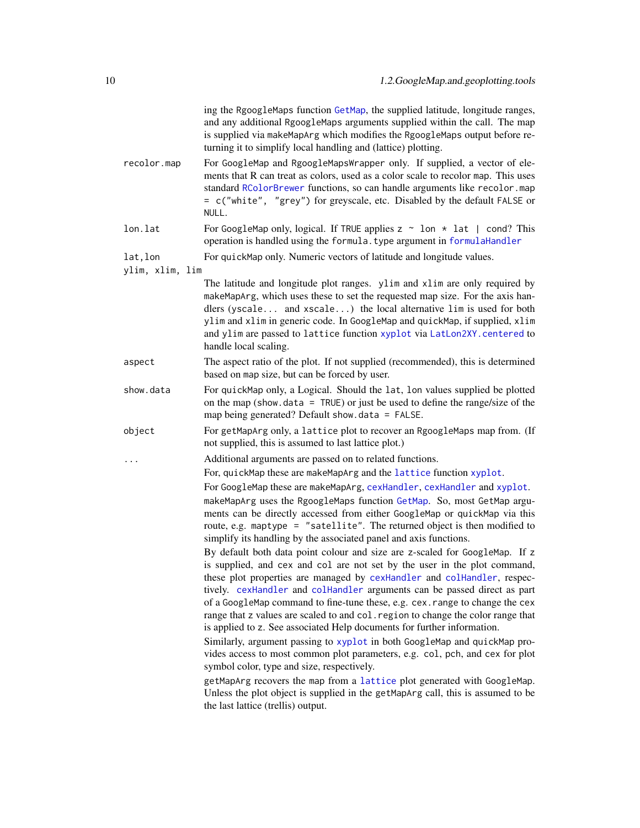<span id="page-9-0"></span>

|                 | ing the RgoogleMaps function GetMap, the supplied latitude, longitude ranges,<br>and any additional RgoogleMaps arguments supplied within the call. The map<br>is supplied via makeMapArg which modifies the RgoogleMaps output before re-<br>turning it to simplify local handling and (lattice) plotting.                                                                                                                                                                                                                                                    |
|-----------------|----------------------------------------------------------------------------------------------------------------------------------------------------------------------------------------------------------------------------------------------------------------------------------------------------------------------------------------------------------------------------------------------------------------------------------------------------------------------------------------------------------------------------------------------------------------|
| recolor.map     | For GoogleMap and RgoogleMapsWrapper only. If supplied, a vector of ele-<br>ments that R can treat as colors, used as a color scale to recolor map. This uses<br>standard RColorBrewer functions, so can handle arguments like recolor.map<br>= c("white", "grey") for greyscale, etc. Disabled by the default FALSE or<br>NULL.                                                                                                                                                                                                                               |
| lon.lat         | For GoogleMap only, logical. If TRUE applies $z \sim$ lon $*$ lat   cond? This<br>operation is handled using the formula. type argument in formulaHandler                                                                                                                                                                                                                                                                                                                                                                                                      |
| lat, lon        | For quickMap only. Numeric vectors of latitude and longitude values.                                                                                                                                                                                                                                                                                                                                                                                                                                                                                           |
| ylim, xlim, lim |                                                                                                                                                                                                                                                                                                                                                                                                                                                                                                                                                                |
|                 | The latitude and longitude plot ranges. ylim and xlim are only required by<br>makeMapArg, which uses these to set the requested map size. For the axis han-<br>dlers (yscale and xscale) the local alternative lim is used for both<br>ylim and xlim in generic code. In GoogleMap and quickMap, if supplied, xlim<br>and ylim are passed to lattice function xyplot via LatLon2XY. centered to<br>handle local scaling.                                                                                                                                       |
| aspect          | The aspect ratio of the plot. If not supplied (recommended), this is determined<br>based on map size, but can be forced by user.                                                                                                                                                                                                                                                                                                                                                                                                                               |
| show.data       | For quickMap only, a Logical. Should the lat, lon values supplied be plotted<br>on the map (show.data = $TRUE$ ) or just be used to define the range/size of the<br>map being generated? Default show. $data = FALSE$ .                                                                                                                                                                                                                                                                                                                                        |
| object          | For getMapArg only, a lattice plot to recover an RgoogleMaps map from. (If<br>not supplied, this is assumed to last lattice plot.)                                                                                                                                                                                                                                                                                                                                                                                                                             |
|                 | Additional arguments are passed on to related functions.                                                                                                                                                                                                                                                                                                                                                                                                                                                                                                       |
|                 | For, quickMap these are makeMapArg and the lattice function xyplot.                                                                                                                                                                                                                                                                                                                                                                                                                                                                                            |
|                 | For GoogleMap these are makeMapArg, cexHandler, cexHandler and xyplot.<br>makeMapArg uses the RgoogleMaps function GetMap. So, most GetMap argu-<br>ments can be directly accessed from either GoogleMap or quickMap via this<br>route, e.g. maptype = "satellite". The returned object is then modified to<br>simplify its handling by the associated panel and axis functions.                                                                                                                                                                               |
|                 | By default both data point colour and size are z-scaled for GoogleMap. If z<br>is supplied, and cex and col are not set by the user in the plot command,<br>these plot properties are managed by cexHandler and colHandler, respec-<br>tively. cexHandler and colHandler arguments can be passed direct as part<br>of a GoogleMap command to fine-tune these, e.g. cex. range to change the cex<br>range that z values are scaled to and col. region to change the color range that<br>is applied to z. See associated Help documents for further information. |
|                 | Similarly, argument passing to xyplot in both GoogleMap and quickMap pro-<br>vides access to most common plot parameters, e.g. col, pch, and cex for plot<br>symbol color, type and size, respectively.                                                                                                                                                                                                                                                                                                                                                        |
|                 | getMapArg recovers the map from a lattice plot generated with GoogleMap.<br>Unless the plot object is supplied in the getMapArg call, this is assumed to be<br>the last lattice (trellis) output.                                                                                                                                                                                                                                                                                                                                                              |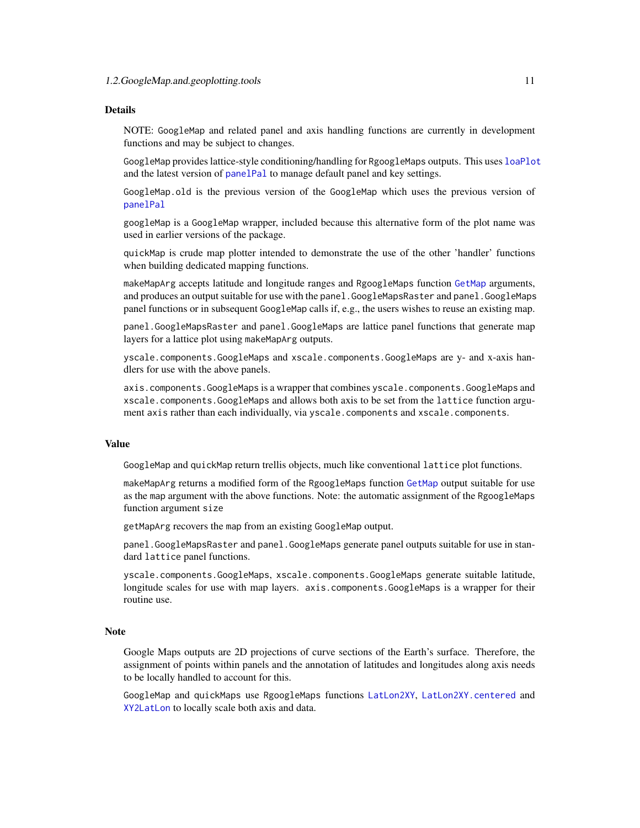#### <span id="page-10-0"></span>Details

NOTE: GoogleMap and related panel and axis handling functions are currently in development functions and may be subject to changes.

GoogleMap provides lattice-style conditioning/handling for RgoogleMaps outputs. This uses [loaPlot](#page-3-1) and the latest version of [panelPal](#page-34-1) to manage default panel and key settings.

GoogleMap.old is the previous version of the GoogleMap which uses the previous version of [panelPal](#page-34-1)

googleMap is a GoogleMap wrapper, included because this alternative form of the plot name was used in earlier versions of the package.

quickMap is crude map plotter intended to demonstrate the use of the other 'handler' functions when building dedicated mapping functions.

makeMapArg accepts latitude and longitude ranges and RgoogleMaps function [GetMap](#page-0-0) arguments, and produces an output suitable for use with the panel.GoogleMapsRaster and panel.GoogleMaps panel functions or in subsequent GoogleMap calls if, e.g., the users wishes to reuse an existing map.

panel.GoogleMapsRaster and panel.GoogleMaps are lattice panel functions that generate map layers for a lattice plot using makeMapArg outputs.

yscale.components.GoogleMaps and xscale.components.GoogleMaps are y- and x-axis handlers for use with the above panels.

axis.components.GoogleMaps is a wrapper that combines yscale.components.GoogleMaps and xscale.components.GoogleMaps and allows both axis to be set from the lattice function argument axis rather than each individually, via yscale.components and xscale.components.

#### Value

GoogleMap and quickMap return trellis objects, much like conventional lattice plot functions.

makeMapArg returns a modified form of the RgoogleMaps function [GetMap](#page-0-0) output suitable for use as the map argument with the above functions. Note: the automatic assignment of the RgoogleMaps function argument size

getMapArg recovers the map from an existing GoogleMap output.

panel.GoogleMapsRaster and panel.GoogleMaps generate panel outputs suitable for use in standard lattice panel functions.

yscale.components.GoogleMaps, xscale.components.GoogleMaps generate suitable latitude, longitude scales for use with map layers. axis.components.GoogleMaps is a wrapper for their routine use.

#### Note

Google Maps outputs are 2D projections of curve sections of the Earth's surface. Therefore, the assignment of points within panels and the annotation of latitudes and longitudes along axis needs to be locally handled to account for this.

GoogleMap and quickMaps use RgoogleMaps functions [LatLon2XY](#page-0-0), [LatLon2XY.centered](#page-0-0) and [XY2LatLon](#page-0-0) to locally scale both axis and data.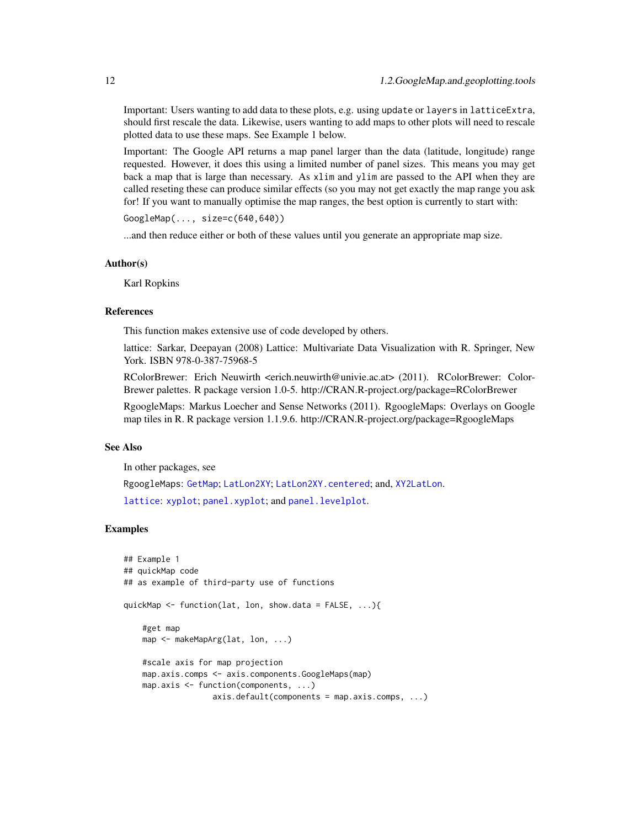Important: Users wanting to add data to these plots, e.g. using update or layers in latticeExtra, should first rescale the data. Likewise, users wanting to add maps to other plots will need to rescale plotted data to use these maps. See Example 1 below.

Important: The Google API returns a map panel larger than the data (latitude, longitude) range requested. However, it does this using a limited number of panel sizes. This means you may get back a map that is large than necessary. As xlim and ylim are passed to the API when they are called reseting these can produce similar effects (so you may not get exactly the map range you ask for! If you want to manually optimise the map ranges, the best option is currently to start with:

GoogleMap(..., size=c(640,640))

...and then reduce either or both of these values until you generate an appropriate map size.

#### Author(s)

Karl Ropkins

#### References

This function makes extensive use of code developed by others.

lattice: Sarkar, Deepayan (2008) Lattice: Multivariate Data Visualization with R. Springer, New York. ISBN 978-0-387-75968-5

RColorBrewer: Erich Neuwirth <erich.neuwirth@univie.ac.at> (2011). RColorBrewer: Color-Brewer palettes. R package version 1.0-5. http://CRAN.R-project.org/package=RColorBrewer

RgoogleMaps: Markus Loecher and Sense Networks (2011). RgoogleMaps: Overlays on Google map tiles in R. R package version 1.1.9.6. http://CRAN.R-project.org/package=RgoogleMaps

### See Also

In other packages, see

RgoogleMaps: [GetMap](#page-0-0); [LatLon2XY](#page-0-0); [LatLon2XY.centered](#page-0-0); and, [XY2LatLon](#page-0-0).

[lattice](#page-0-0): [xyplot](#page-0-0); [panel.xyplot](#page-0-0); and [panel.levelplot](#page-0-0).

### Examples

```
## Example 1
## quickMap code
## as example of third-party use of functions
quickMap <- function(lat, lon, show.data = FALSE, ...){
    #get map
   map <- makeMapArg(lat, lon, ...)
    #scale axis for map projection
    map.axis.comps <- axis.components.GoogleMaps(map)
   map.axis <- function(components, ...)
                   axis.default(components = map.axis.comps, ...)
```
<span id="page-11-0"></span>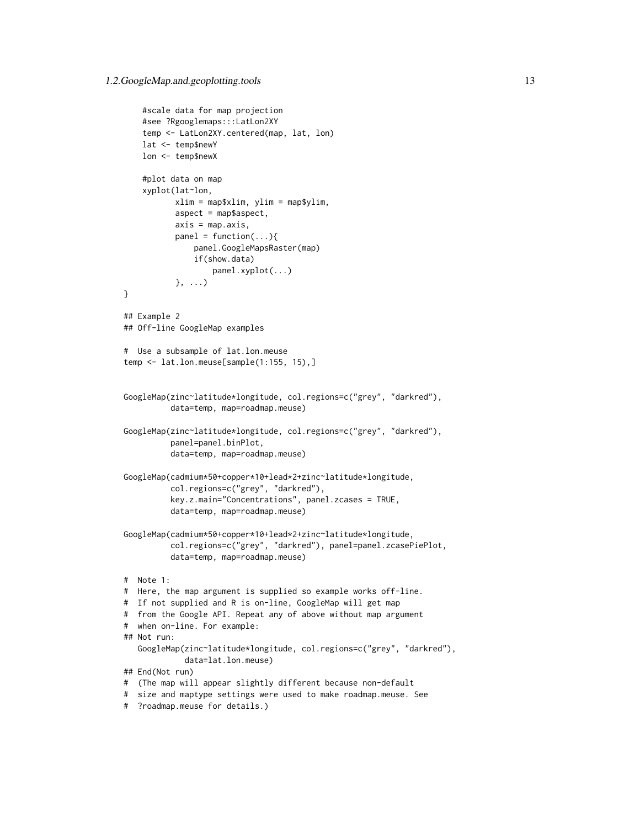```
#scale data for map projection
    #see ?Rgooglemaps:::LatLon2XY
    temp <- LatLon2XY.centered(map, lat, lon)
    lat <- temp$newY
   lon <- temp$newX
    #plot data on map
    xyplot(lat~lon,
          xlim = map$xlim, ylim = map$ylim,
          aspect = map$aspect,
          axis = map. axis,panel = function(...)(panel.GoogleMapsRaster(map)
               if(show.data)
                  panel.xyplot(...)
           }, ...)
}
## Example 2
## Off-line GoogleMap examples
# Use a subsample of lat.lon.meuse
temp <- lat.lon.meuse[sample(1:155, 15),]
GoogleMap(zinc~latitude*longitude, col.regions=c("grey", "darkred"),
          data=temp, map=roadmap.meuse)
GoogleMap(zinc~latitude*longitude, col.regions=c("grey", "darkred"),
          panel=panel.binPlot,
          data=temp, map=roadmap.meuse)
GoogleMap(cadmium*50+copper*10+lead*2+zinc~latitude*longitude,
          col.regions=c("grey", "darkred"),
          key.z.main="Concentrations", panel.zcases = TRUE,
          data=temp, map=roadmap.meuse)
GoogleMap(cadmium*50+copper*10+lead*2+zinc~latitude*longitude,
          col.regions=c("grey", "darkred"), panel=panel.zcasePiePlot,
          data=temp, map=roadmap.meuse)
# Note 1:
# Here, the map argument is supplied so example works off-line.
# If not supplied and R is on-line, GoogleMap will get map
# from the Google API. Repeat any of above without map argument
# when on-line. For example:
## Not run:
   GoogleMap(zinc~latitude*longitude, col.regions=c("grey", "darkred"),
             data=lat.lon.meuse)
## End(Not run)
# (The map will appear slightly different because non-default
# size and maptype settings were used to make roadmap.meuse. See
# ?roadmap.meuse for details.)
```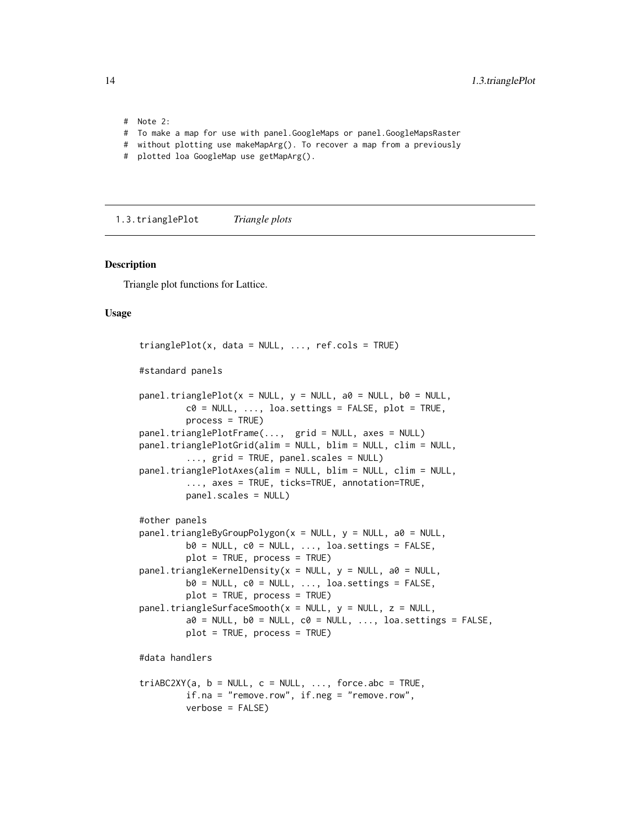# Note 2: # To make a map for use with panel.GoogleMaps or panel.GoogleMapsRaster # without plotting use makeMapArg(). To recover a map from a previously

# plotted loa GoogleMap use getMapArg().

1.3.trianglePlot *Triangle plots*

#### <span id="page-13-1"></span>Description

Triangle plot functions for Lattice.

### Usage

```
trianglePlot(x, data = NULL, ..., ref. <math>cols = TRUE</math>)#standard panels
panel.trianglePlot(x = NULL, y = NULL, a0 = NULL, b0 = NULL,c0 = NULL, ..., loa.settings = FALSE, plot = TRUE,
         process = TRUE)
panel.trianglePlotFrame(..., grid = NULL, axes = NULL)
panel.trianglePlotGrid(alim = NULL, blim = NULL, clim = NULL,
         ..., grid = TRUE, panel.scales = NULL)
panel.trianglePlotAxes(alim = NULL, blim = NULL, clim = NULL,
         ..., axes = TRUE, ticks=TRUE, annotation=TRUE,
         panel.scales = NULL)
#other panels
panel.triangleByGroupPolygon(x = NULL, y = NULL, a0 = NULL,
         b0 = NULL, c0 = NULL, ..., loa.settings = FALSE,
         plot = TRUE, process = TRUE)
panel.triangleKernelDensity(x = NULL, y = NULL, a0 = NULL,
         b0 = NULL, c0 = NULL, ..., loa.settings = FALSE,
         plot = TRUE, process = TRUE)panel.trianglesurfaceSmooth(x = NULL, y = NULL, z = NULL,a0 = NULL, b0 = NULL, c0 = NULL, ..., loa.settings = FALSE,
         plot = TRUE, process = TRUE)
#data handlers
triABC2XY(a, b = NULL, c = NULL, ..., force.abc = TRUE,if.na = "remove.row", if.neg = "remove.row",
         verbose = FALSE)
```
<span id="page-13-0"></span>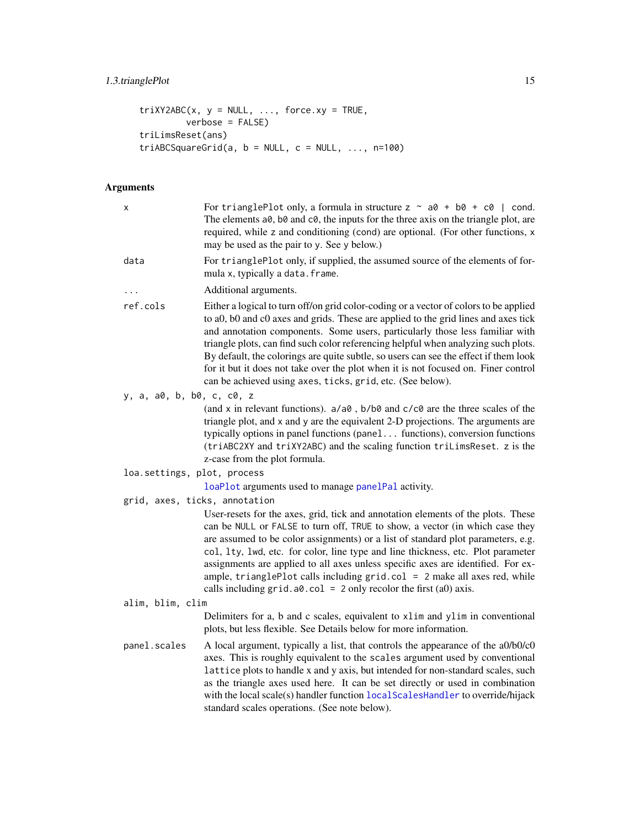### <span id="page-14-0"></span>1.3.trianglePlot 15

```
triXY2ABC(x, y = NULL, ..., force.xy = TRUE,verbose = FALSE)
triLimsReset(ans)
triABCSquareGrid(a, b = NULL, c = NULL, ..., n=100)
```
### Arguments

| x                             | For trianglePlot only, a formula in structure $z \sim a\theta + b\theta + c\theta$   cond.<br>The elements a0, b0 and c0, the inputs for the three axis on the triangle plot, are<br>required, while z and conditioning (cond) are optional. (For other functions, x<br>may be used as the pair to y. See y below.)                                                                                                                                                                                                                                                                           |
|-------------------------------|-----------------------------------------------------------------------------------------------------------------------------------------------------------------------------------------------------------------------------------------------------------------------------------------------------------------------------------------------------------------------------------------------------------------------------------------------------------------------------------------------------------------------------------------------------------------------------------------------|
| data                          | For trianglePlot only, if supplied, the assumed source of the elements of for-<br>mula x, typically a data. frame.                                                                                                                                                                                                                                                                                                                                                                                                                                                                            |
| .                             | Additional arguments.                                                                                                                                                                                                                                                                                                                                                                                                                                                                                                                                                                         |
| ref.cols                      | Either a logical to turn off/on grid color-coding or a vector of colors to be applied<br>to a0, b0 and c0 axes and grids. These are applied to the grid lines and axes tick<br>and annotation components. Some users, particularly those less familiar with<br>triangle plots, can find such color referencing helpful when analyzing such plots.<br>By default, the colorings are quite subtle, so users can see the effect if them look<br>for it but it does not take over the plot when it is not focused on. Finer control<br>can be achieved using axes, ticks, grid, etc. (See below). |
| y, a, a0, b, b0, c, c0, z     |                                                                                                                                                                                                                                                                                                                                                                                                                                                                                                                                                                                               |
|                               | (and x in relevant functions). a/a0, b/b0 and c/c0 are the three scales of the<br>triangle plot, and x and y are the equivalent 2-D projections. The arguments are<br>typically options in panel functions (panel functions), conversion functions<br>(triABC2XY and triXY2ABC) and the scaling function triLimsReset. z is the<br>z-case from the plot formula.                                                                                                                                                                                                                              |
| loa.settings, plot, process   |                                                                                                                                                                                                                                                                                                                                                                                                                                                                                                                                                                                               |
|                               | loaPlot arguments used to manage panelPal activity.                                                                                                                                                                                                                                                                                                                                                                                                                                                                                                                                           |
| grid, axes, ticks, annotation |                                                                                                                                                                                                                                                                                                                                                                                                                                                                                                                                                                                               |
|                               | User-resets for the axes, grid, tick and annotation elements of the plots. These<br>can be NULL or FALSE to turn off, TRUE to show, a vector (in which case they<br>are assumed to be color assignments) or a list of standard plot parameters, e.g.<br>col, 1ty, 1wd, etc. for color, line type and line thickness, etc. Plot parameter<br>assignments are applied to all axes unless specific axes are identified. For ex-<br>ample, trianglePlot calls including $grid,col = 2$ make all axes red, while<br>calls including $grid.a0.col = 2 only recolor the first (a0) axis.$            |
| alim, blim, clim              |                                                                                                                                                                                                                                                                                                                                                                                                                                                                                                                                                                                               |
|                               | Delimiters for a, b and c scales, equivalent to xlim and ylim in conventional<br>plots, but less flexible. See Details below for more information.                                                                                                                                                                                                                                                                                                                                                                                                                                            |
| panel.scales                  | A local argument, typically a list, that controls the appearance of the a0/b0/c0<br>axes. This is roughly equivalent to the scales argument used by conventional<br>lattice plots to handle x and y axis, but intended for non-standard scales, such<br>as the triangle axes used here. It can be set directly or used in combination<br>with the local scale(s) handler function local ScalesHandler to override/hijack<br>standard scales operations. (See note below).                                                                                                                     |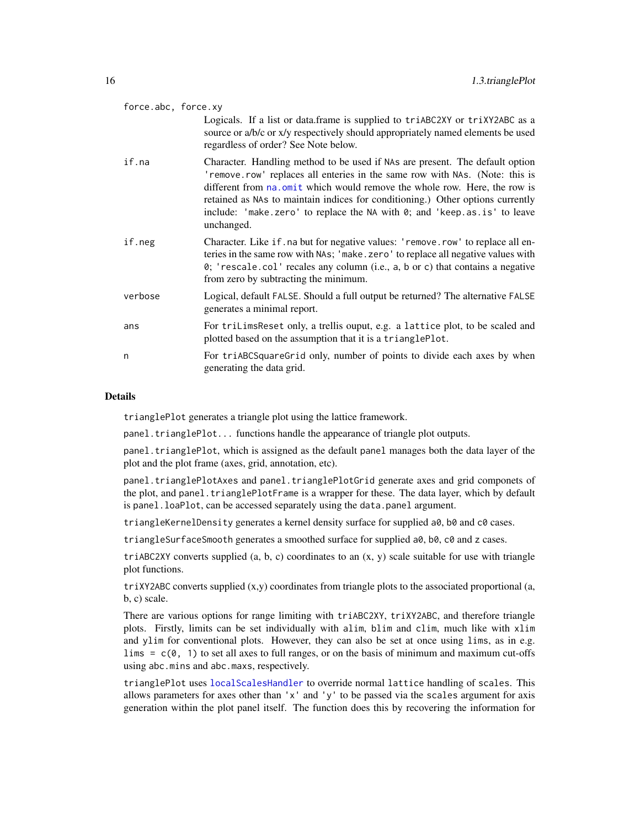<span id="page-15-0"></span>

| force.abc, force.xy |                                                                                                                                                                                                                                                                                                                                                                                                                       |
|---------------------|-----------------------------------------------------------------------------------------------------------------------------------------------------------------------------------------------------------------------------------------------------------------------------------------------------------------------------------------------------------------------------------------------------------------------|
|                     | Logicals. If a list or data.frame is supplied to triABC2XY or triXY2ABC as a<br>source or a/b/c or x/y respectively should appropriately named elements be used<br>regardless of order? See Note below.                                                                                                                                                                                                               |
| if.na               | Character. Handling method to be used if NAs are present. The default option<br>'remove.row' replaces all enteries in the same row with NAs. (Note: this is<br>different from na. omit which would remove the whole row. Here, the row is<br>retained as NAs to maintain indices for conditioning.) Other options currently<br>include: 'make.zero' to replace the NA with 0; and 'keep.as.is' to leave<br>unchanged. |
| if.neg              | Character. Like if. na but for negative values: 'remove.row' to replace all en-<br>teries in the same row with NAs; 'make.zero' to replace all negative values with<br>0; 'rescale.col' recales any column (i.e., a, b or c) that contains a negative<br>from zero by subtracting the minimum.                                                                                                                        |
| verbose             | Logical, default FALSE. Should a full output be returned? The alternative FALSE<br>generates a minimal report.                                                                                                                                                                                                                                                                                                        |
| ans                 | For triLimsReset only, a trellis ouput, e.g. a lattice plot, to be scaled and<br>plotted based on the assumption that it is a trianglePlot.                                                                                                                                                                                                                                                                           |
| n                   | For triABCSquareGrid only, number of points to divide each axes by when<br>generating the data grid.                                                                                                                                                                                                                                                                                                                  |

### Details

trianglePlot generates a triangle plot using the lattice framework.

panel.trianglePlot... functions handle the appearance of triangle plot outputs.

panel.trianglePlot, which is assigned as the default panel manages both the data layer of the plot and the plot frame (axes, grid, annotation, etc).

panel.trianglePlotAxes and panel.trianglePlotGrid generate axes and grid componets of the plot, and panel.trianglePlotFrame is a wrapper for these. The data layer, which by default is panel.loaPlot, can be accessed separately using the data.panel argument.

triangleKernelDensity generates a kernel density surface for supplied a0, b0 and c0 cases.

triangleSurfaceSmooth generates a smoothed surface for supplied a0, b0, c0 and z cases.

triABC2XY converts supplied  $(a, b, c)$  coordinates to an  $(x, y)$  scale suitable for use with triangle plot functions.

 $triXY2ABC$  converts supplied  $(x,y)$  coordinates from triangle plots to the associated proportional (a, b, c) scale.

There are various options for range limiting with triABC2XY, triXY2ABC, and therefore triangle plots. Firstly, limits can be set individually with alim, blim and clim, much like with xlim and ylim for conventional plots. However, they can also be set at once using lims, as in e.g. lims  $= c(0, 1)$  to set all axes to full ranges, or on the basis of minimum and maximum cut-offs using abc.mins and abc.maxs, respectively.

trianglePlot uses [localScalesHandler](#page-40-1) to override normal lattice handling of scales. This allows parameters for axes other than  $'x'$  and  $'y'$  to be passed via the scales argument for axis generation within the plot panel itself. The function does this by recovering the information for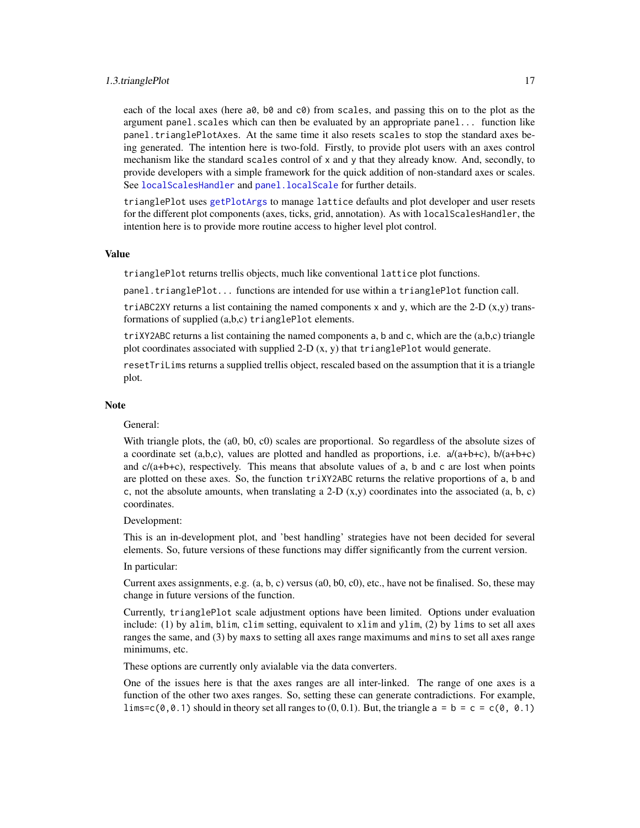#### <span id="page-16-0"></span>1.3.trianglePlot 17

each of the local axes (here a0, b0 and c0) from scales, and passing this on to the plot as the argument panel.scales which can then be evaluated by an appropriate panel... function like panel.trianglePlotAxes. At the same time it also resets scales to stop the standard axes being generated. The intention here is two-fold. Firstly, to provide plot users with an axes control mechanism like the standard scales control of x and y that they already know. And, secondly, to provide developers with a simple framework for the quick addition of non-standard axes or scales. See [localScalesHandler](#page-40-1) and panel. localScale for further details.

trianglePlot uses [getPlotArgs](#page-51-1) to manage lattice defaults and plot developer and user resets for the different plot components (axes, ticks, grid, annotation). As with localScalesHandler, the intention here is to provide more routine access to higher level plot control.

#### Value

trianglePlot returns trellis objects, much like conventional lattice plot functions.

panel.trianglePlot... functions are intended for use within a trianglePlot function call.

triABC2XY returns a list containing the named components x and y, which are the 2-D  $(x,y)$  transformations of supplied (a,b,c) trianglePlot elements.

 $triXY2ABC$  returns a list containing the named components a, b and c, which are the  $(a,b,c)$  triangle plot coordinates associated with supplied 2-D  $(x, y)$  that trianglePlot would generate.

resetTriLims returns a supplied trellis object, rescaled based on the assumption that it is a triangle plot.

#### **Note**

#### General:

With triangle plots, the (a0, b0, c0) scales are proportional. So regardless of the absolute sizes of a coordinate set  $(a,b,c)$ , values are plotted and handled as proportions, i.e.  $a/(a+b+c)$ ,  $b/(a+b+c)$ and  $c/(a+b+c)$ , respectively. This means that absolute values of a, b and c are lost when points are plotted on these axes. So, the function triXY2ABC returns the relative proportions of a, b and c, not the absolute amounts, when translating a 2-D  $(x,y)$  coordinates into the associated  $(a, b, c)$ coordinates.

Development:

This is an in-development plot, and 'best handling' strategies have not been decided for several elements. So, future versions of these functions may differ significantly from the current version.

#### In particular:

Current axes assignments, e.g.  $(a, b, c)$  versus  $(a0, b0, c0)$ , etc., have not be finalised. So, these may change in future versions of the function.

Currently, trianglePlot scale adjustment options have been limited. Options under evaluation include: (1) by alim, blim, clim setting, equivalent to xlim and ylim, (2) by lims to set all axes ranges the same, and (3) by maxs to setting all axes range maximums and mins to set all axes range minimums, etc.

These options are currently only avialable via the data converters.

One of the issues here is that the axes ranges are all inter-linked. The range of one axes is a function of the other two axes ranges. So, setting these can generate contradictions. For example, lims=c( $\theta$ , $\theta$ .1) should in theory set all ranges to (0, 0.1). But, the triangle  $a = b = c = c(\theta, \theta.1)$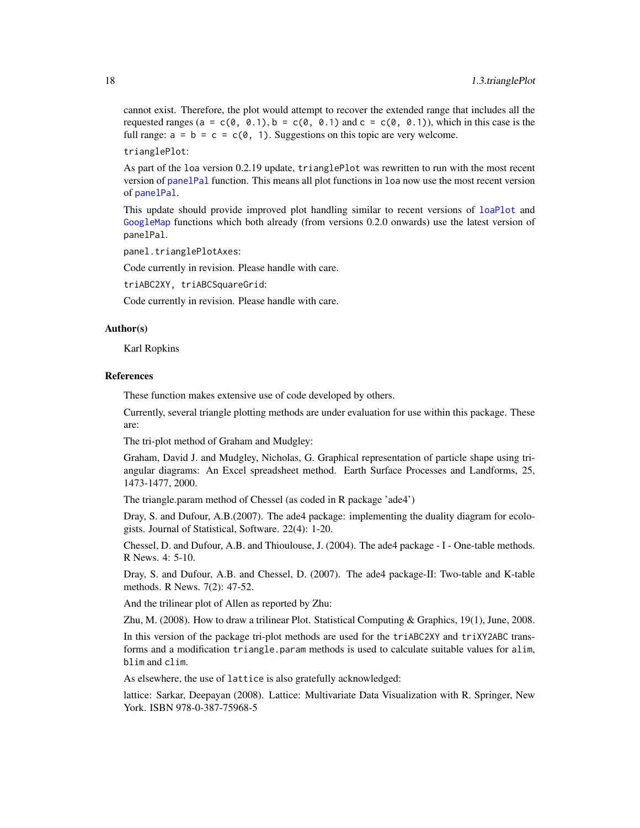cannot exist. Therefore, the plot would attempt to recover the extended range that includes all the requested ranges (a =  $c(0, 0.1)$ , b =  $c(0, 0.1)$  and c =  $c(0, 0.1)$ ), which in this case is the full range:  $a = b = c = c(0, 1)$ . Suggestions on this topic are very welcome.

trianglePlot:

As part of the loa version 0.2.19 update, trianglePlot was rewritten to run with the most recent version of [panelPal](#page-34-1) function. This means all plot functions in loa now use the most recent version of [panelPal](#page-34-1).

This update should provide improved plot handling similar to recent versions of [loaPlot](#page-3-1) and [GoogleMap](#page-7-1) functions which both already (from versions 0.2.0 onwards) use the latest version of panelPal.

panel.trianglePlotAxes:

Code currently in revision. Please handle with care.

triABC2XY, triABCSquareGrid:

Code currently in revision. Please handle with care.

#### Author(s)

Karl Ropkins

#### References

These function makes extensive use of code developed by others.

Currently, several triangle plotting methods are under evaluation for use within this package. These are:

The tri-plot method of Graham and Mudgley:

Graham, David J. and Mudgley, Nicholas, G. Graphical representation of particle shape using triangular diagrams: An Excel spreadsheet method. Earth Surface Processes and Landforms, 25, 1473-1477, 2000.

The triangle.param method of Chessel (as coded in R package 'ade4')

Dray, S. and Dufour, A.B.(2007). The ade4 package: implementing the duality diagram for ecologists. Journal of Statistical, Software. 22(4): 1-20.

Chessel, D. and Dufour, A.B. and Thioulouse, J. (2004). The ade4 package - I - One-table methods. R News. 4: 5-10.

Dray, S. and Dufour, A.B. and Chessel, D. (2007). The ade4 package-II: Two-table and K-table methods. R News. 7(2): 47-52.

And the trilinear plot of Allen as reported by Zhu:

Zhu, M. (2008). How to draw a trilinear Plot. Statistical Computing & Graphics, 19(1), June, 2008.

In this version of the package tri-plot methods are used for the triABC2XY and triXY2ABC transforms and a modification triangle.param methods is used to calculate suitable values for alim, blim and clim.

As elsewhere, the use of lattice is also gratefully acknowledged:

lattice: Sarkar, Deepayan (2008). Lattice: Multivariate Data Visualization with R. Springer, New York. ISBN 978-0-387-75968-5

<span id="page-17-0"></span>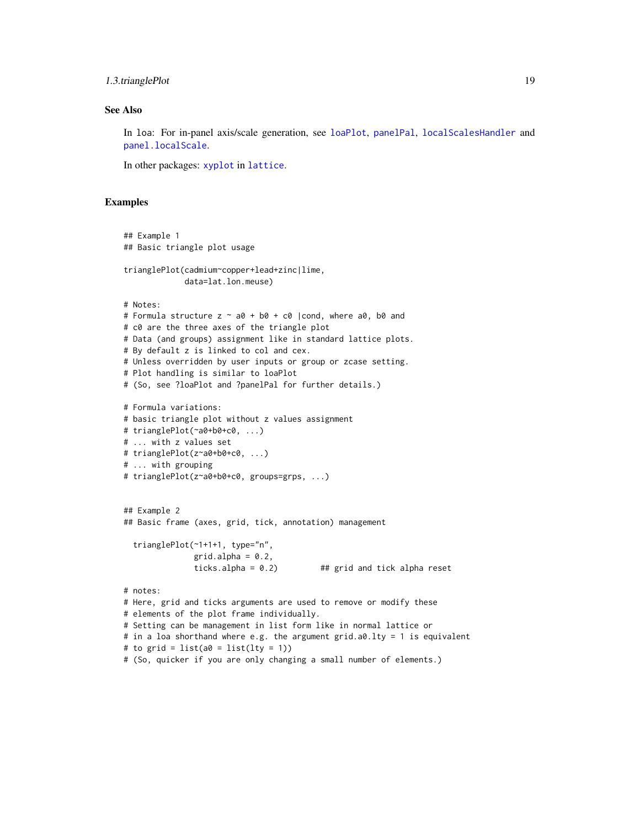### <span id="page-18-0"></span>1.3.trianglePlot 19

### See Also

In loa: For in-panel axis/scale generation, see [loaPlot](#page-3-1), [panelPal](#page-34-1), [localScalesHandler](#page-40-1) and [panel.localScale](#page-40-1).

In other packages: [xyplot](#page-0-0) in [lattice](#page-0-0).

### Examples

```
## Example 1
## Basic triangle plot usage
trianglePlot(cadmium~copper+lead+zinc|lime,
             data=lat.lon.meuse)
# Notes:
# Formula structure z \sim a\theta + b\theta + c\theta |cond, where a0, b0 and
# c0 are the three axes of the triangle plot
# Data (and groups) assignment like in standard lattice plots.
# By default z is linked to col and cex.
# Unless overridden by user inputs or group or zcase setting.
# Plot handling is similar to loaPlot
# (So, see ?loaPlot and ?panelPal for further details.)
# Formula variations:
# basic triangle plot without z values assignment
# trianglePlot(~a0+b0+c0, ...)
# ... with z values set
# trianglePlot(z~a0+b0+c0, ...)
# ... with grouping
# trianglePlot(z~a0+b0+c0, groups=grps, ...)
## Example 2
## Basic frame (axes, grid, tick, annotation) management
  trianglePlot(~1+1+1, type="n",
               grid.alpha = 0.2,
               ticks.alpha = 0.2) ## grid and tick alpha reset
# notes:
# Here, grid and ticks arguments are used to remove or modify these
# elements of the plot frame individually.
# Setting can be management in list form like in normal lattice or
# in a loa shorthand where e.g. the argument grid.a0.lty = 1 is equivalent
# to grid = list(a\emptyset = list(lty = 1))
# (So, quicker if you are only changing a small number of elements.)
```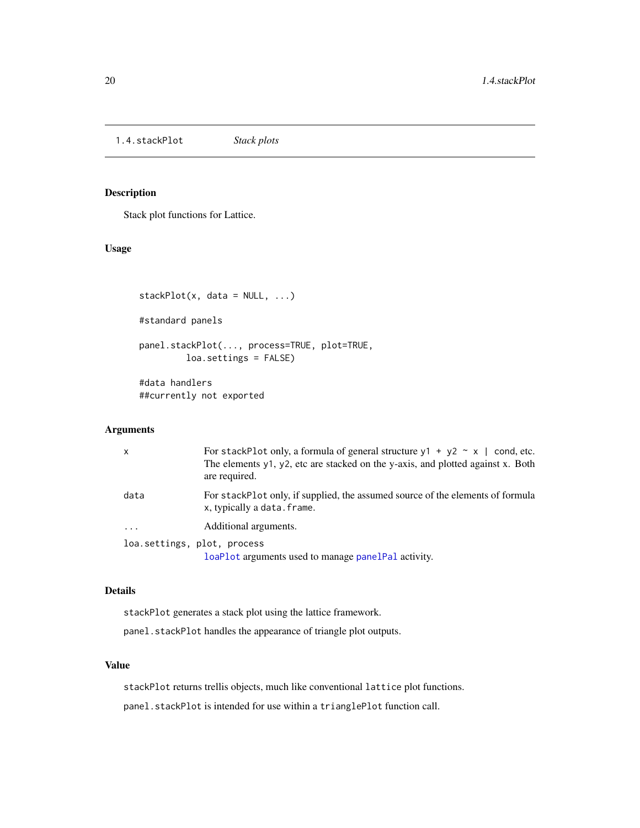<span id="page-19-0"></span>1.4.stackPlot *Stack plots*

### <span id="page-19-1"></span>Description

Stack plot functions for Lattice.

### Usage

```
stackPlot(x, data = NULL, ...)#standard panels
panel.stackPlot(..., process=TRUE, plot=TRUE,
         loa.settings = FALSE)
#data handlers
##currently not exported
```
#### Arguments

| x         | For stackPlot only, a formula of general structure $y1 + y2 \sim x$   cond, etc.<br>The elements y1, y2, etc are stacked on the y-axis, and plotted against x. Both<br>are required. |
|-----------|--------------------------------------------------------------------------------------------------------------------------------------------------------------------------------------|
| data      | For stackPlot only, if supplied, the assumed source of the elements of formula<br>x, typically a data. frame.                                                                        |
| $\ddotsc$ | Additional arguments.                                                                                                                                                                |
|           | loa.settings, plot, process                                                                                                                                                          |
|           | loaPlot arguments used to manage panelPal activity.                                                                                                                                  |

#### Details

stackPlot generates a stack plot using the lattice framework.

panel.stackPlot handles the appearance of triangle plot outputs.

### Value

stackPlot returns trellis objects, much like conventional lattice plot functions. panel.stackPlot is intended for use within a trianglePlot function call.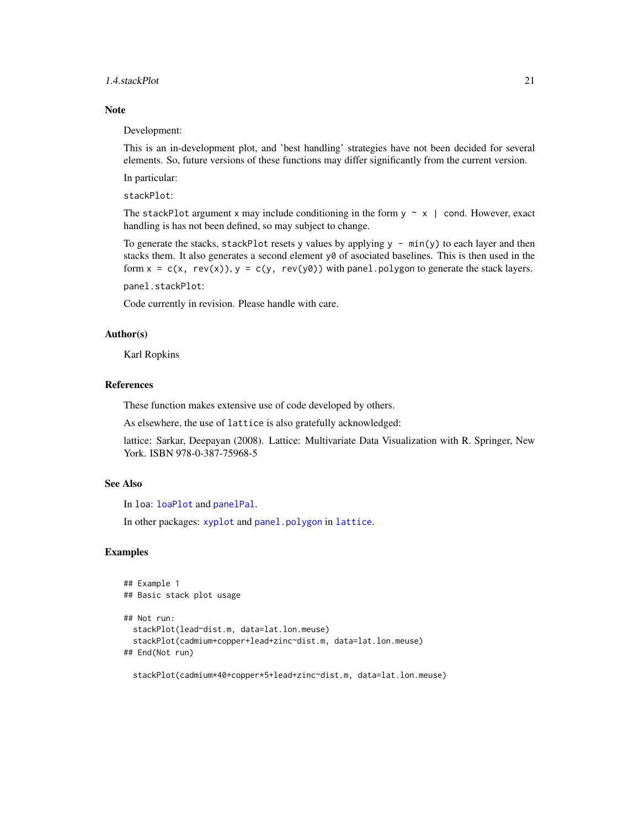#### <span id="page-20-0"></span>1.4.stackPlot 21

#### **Note**

Development:

This is an in-development plot, and 'best handling' strategies have not been decided for several elements. So, future versions of these functions may differ significantly from the current version.

In particular:

stackPlot:

The stackPlot argument x may include conditioning in the form  $y \sim x$  | cond. However, exact handling is has not been defined, so may subject to change.

To generate the stacks, stackPlot resets y values by applying  $y - min(y)$  to each layer and then stacks them. It also generates a second element y0 of asociated baselines. This is then used in the form  $x = c(x, rev(x)), y = c(y, rev(y0))$  with panel.polygon to generate the stack layers. panel.stackPlot:

Code currently in revision. Please handle with care.

#### Author(s)

Karl Ropkins

### References

These function makes extensive use of code developed by others.

As elsewhere, the use of lattice is also gratefully acknowledged:

lattice: Sarkar, Deepayan (2008). Lattice: Multivariate Data Visualization with R. Springer, New York. ISBN 978-0-387-75968-5

### See Also

In loa: [loaPlot](#page-3-1) and [panelPal](#page-34-1).

In other packages: [xyplot](#page-0-0) and [panel.polygon](#page-0-0) in [lattice](#page-0-0).

### Examples

```
## Example 1
## Basic stack plot usage
## Not run:
 stackPlot(lead~dist.m, data=lat.lon.meuse)
 stackPlot(cadmium+copper+lead+zinc~dist.m, data=lat.lon.meuse)
## End(Not run)
```
stackPlot(cadmium\*40+copper\*5+lead+zinc~dist.m, data=lat.lon.meuse)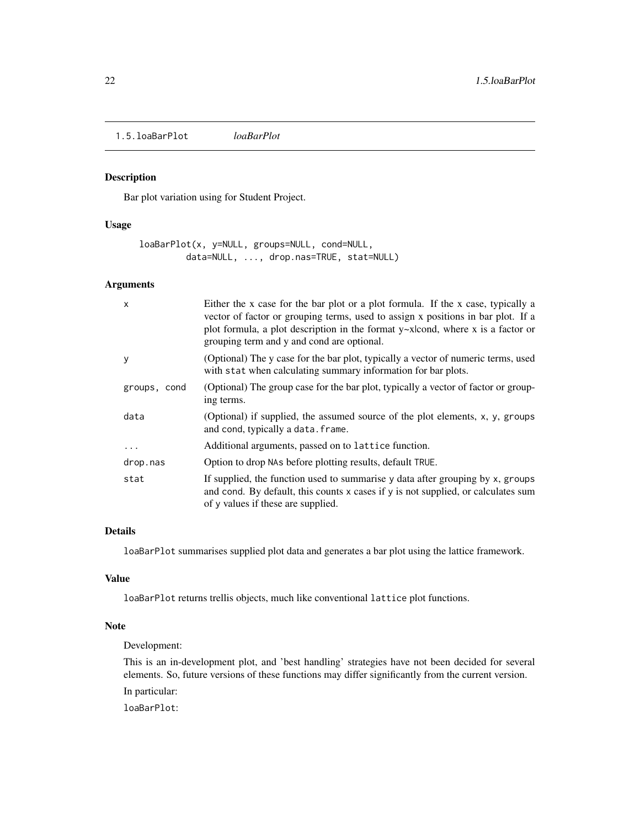<span id="page-21-0"></span>1.5.loaBarPlot *loaBarPlot*

### <span id="page-21-1"></span>Description

Bar plot variation using for Student Project.

### Usage

loaBarPlot(x, y=NULL, groups=NULL, cond=NULL, data=NULL, ..., drop.nas=TRUE, stat=NULL)

### Arguments

| $\mathsf{x}$ | Either the x case for the bar plot or a plot formula. If the x case, typically a<br>vector of factor or grouping terms, used to assign x positions in bar plot. If a<br>plot formula, a plot description in the format $y$ ~x cond, where x is a factor or<br>grouping term and y and cond are optional. |
|--------------|----------------------------------------------------------------------------------------------------------------------------------------------------------------------------------------------------------------------------------------------------------------------------------------------------------|
| y            | (Optional) The y case for the bar plot, typically a vector of numeric terms, used<br>with stat when calculating summary information for bar plots.                                                                                                                                                       |
| groups, cond | (Optional) The group case for the bar plot, typically a vector of factor or group-<br>ing terms.                                                                                                                                                                                                         |
| data         | (Optional) if supplied, the assumed source of the plot elements, x, y, groups<br>and cond, typically a data. frame.                                                                                                                                                                                      |
| $\ddotsc$    | Additional arguments, passed on to lattice function.                                                                                                                                                                                                                                                     |
| drop.nas     | Option to drop NAs before plotting results, default TRUE.                                                                                                                                                                                                                                                |
| stat         | If supplied, the function used to summarise y data after grouping by x, groups<br>and cond. By default, this counts x cases if y is not supplied, or calculates sum<br>of y values if these are supplied.                                                                                                |

### Details

loaBarPlot summarises supplied plot data and generates a bar plot using the lattice framework.

### Value

loaBarPlot returns trellis objects, much like conventional lattice plot functions.

### Note

Development:

This is an in-development plot, and 'best handling' strategies have not been decided for several elements. So, future versions of these functions may differ significantly from the current version.

In particular:

loaBarPlot: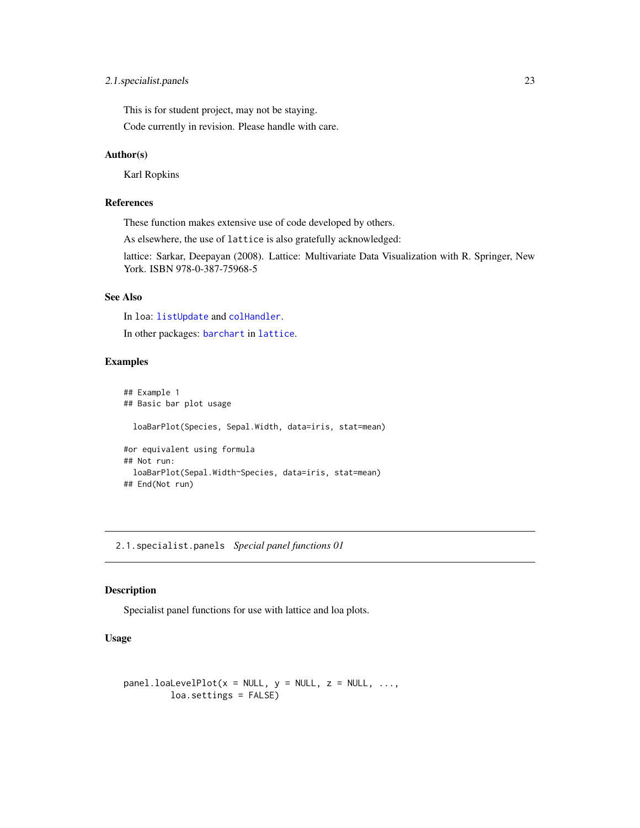### <span id="page-22-0"></span>2.1.specialist.panels 23

This is for student project, may not be staying.

Code currently in revision. Please handle with care.

### Author(s)

Karl Ropkins

### References

These function makes extensive use of code developed by others.

As elsewhere, the use of lattice is also gratefully acknowledged:

lattice: Sarkar, Deepayan (2008). Lattice: Multivariate Data Visualization with R. Springer, New York. ISBN 978-0-387-75968-5

### See Also

In loa: [listUpdate](#page-54-1) and [colHandler](#page-45-1).

In other packages: [barchart](#page-0-0) in [lattice](#page-0-0).

### Examples

```
## Example 1
## Basic bar plot usage
 loaBarPlot(Species, Sepal.Width, data=iris, stat=mean)
#or equivalent using formula
## Not run:
 loaBarPlot(Sepal.Width~Species, data=iris, stat=mean)
## End(Not run)
```
2.1.specialist.panels *Special panel functions 01*

#### <span id="page-22-1"></span>Description

Specialist panel functions for use with lattice and loa plots.

### Usage

```
panel. IoalevelPlot(x = NULL, y = NULL, z = NULL, ...loa.settings = FALSE)
```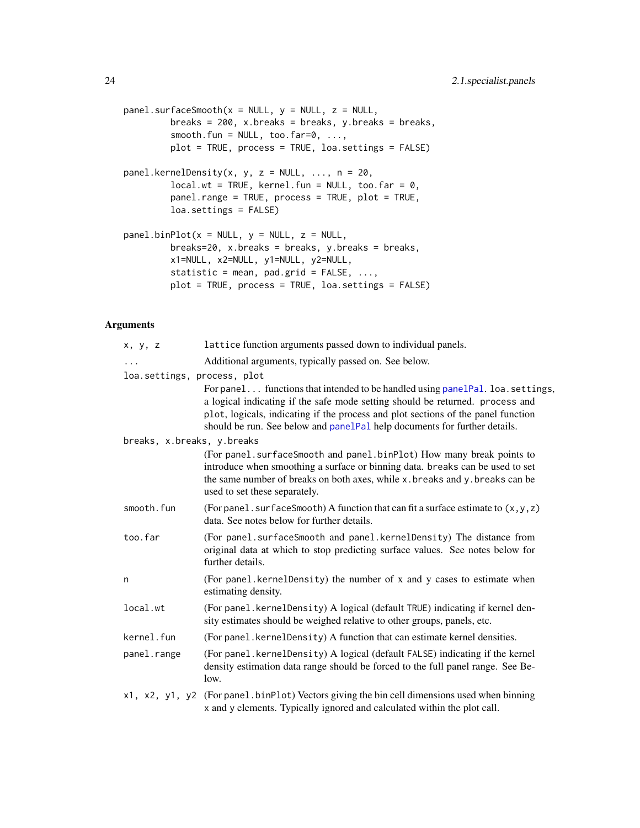```
panel.surfaceSmooth(x = NULL, y = NULL, z = NULL,breaks = 200, x.breaks = breaks, y.breaks = breaks,
         smooth.fun = NULL, too.far=0, ...,
         plot = TRUE, process = TRUE, loa.settings = FALSE)
panel.kernelDensity(x, y, z = NULL, \ldots, n = 20,
         local.wt = TRUE, kernel.fun = NULL, too.far = <math>0</math>,panel.range = TRUE, process = TRUE, plot = TRUE,
         loa.settings = FALSE)
panel.binPlot(x = NULL, y = NULL, z = NULL,breaks=20, x.breaks = breaks, y.breaks = breaks,
         x1=NULL, x2=NULL, y1=NULL, y2=NULL,
         statistic = mean, pad.grid = FALSE, ...,
         plot = TRUE, process = TRUE, loa.settings = FALSE)
```
#### Arguments

| x, y, z                     | lattice function arguments passed down to individual panels.                                                                                                                                                                                                                                                                      |
|-----------------------------|-----------------------------------------------------------------------------------------------------------------------------------------------------------------------------------------------------------------------------------------------------------------------------------------------------------------------------------|
| $\cdots$                    | Additional arguments, typically passed on. See below.                                                                                                                                                                                                                                                                             |
| loa.settings, process, plot |                                                                                                                                                                                                                                                                                                                                   |
|                             | For panel functions that intended to be handled using panelpal. loa. settings,<br>a logical indicating if the safe mode setting should be returned. process and<br>plot, logicals, indicating if the process and plot sections of the panel function<br>should be run. See below and panelPal help documents for further details. |
| breaks, x.breaks, y.breaks  |                                                                                                                                                                                                                                                                                                                                   |
|                             | (For panel. surfaceSmooth and panel.binPlot) How many break points to<br>introduce when smoothing a surface or binning data. breaks can be used to set<br>the same number of breaks on both axes, while x.breaks and y.breaks can be<br>used to set these separately.                                                             |
| smooth.fun                  | (For panel. surfaceSmooth) A function that can fit a surface estimate to $(x, y, z)$<br>data. See notes below for further details.                                                                                                                                                                                                |
| too.far                     | (For panel.surfaceSmooth and panel.kernelDensity) The distance from<br>original data at which to stop predicting surface values. See notes below for<br>further details.                                                                                                                                                          |
| n                           | (For panel.kernelDensity) the number of x and y cases to estimate when<br>estimating density.                                                                                                                                                                                                                                     |
| local.wt                    | (For panel.kernelDensity) A logical (default TRUE) indicating if kernel den-<br>sity estimates should be weighed relative to other groups, panels, etc.                                                                                                                                                                           |
| kernel.fun                  | (For panel. kernelDensity) A function that can estimate kernel densities.                                                                                                                                                                                                                                                         |
| panel.range                 | (For panel.kernelDensity) A logical (default FALSE) indicating if the kernel<br>density estimation data range should be forced to the full panel range. See Be-<br>low.                                                                                                                                                           |
|                             | x1, x2, y1, y2 (For panel.binPlot) Vectors giving the bin cell dimensions used when binning<br>x and y elements. Typically ignored and calculated within the plot call.                                                                                                                                                           |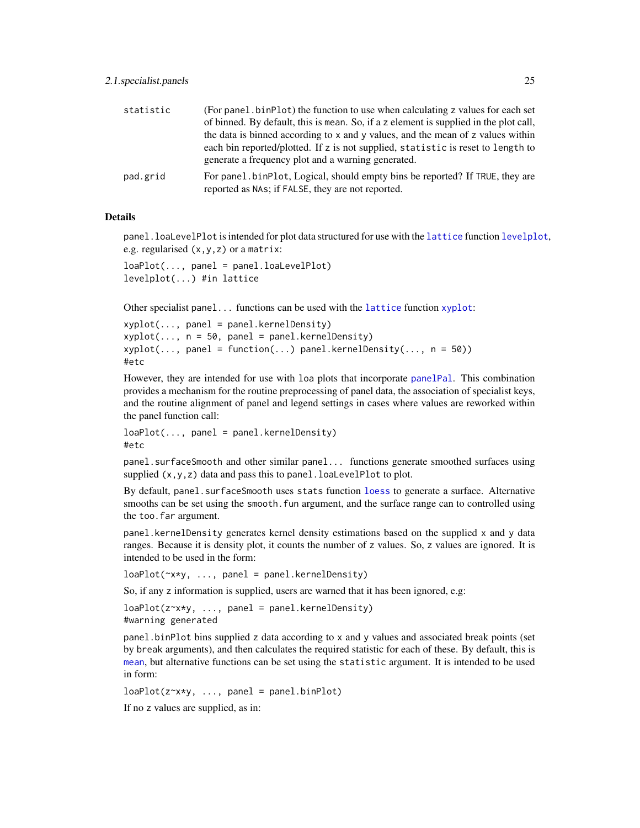<span id="page-24-0"></span>

| statistic | (For panel, binPlot) the function to use when calculating z values for each set                                                   |
|-----------|-----------------------------------------------------------------------------------------------------------------------------------|
|           | of binned. By default, this is mean. So, if a z element is supplied in the plot call,                                             |
|           | the data is binned according to x and y values, and the mean of z values within                                                   |
|           | each bin reported/plotted. If z is not supplied, statistic is reset to length to                                                  |
|           | generate a frequency plot and a warning generated.                                                                                |
| pad.grid  | For panel binPlot, Logical, should empty bins be reported? If TRUE, they are<br>reported as NAs; if FALSE, they are not reported. |

#### Details

panel.loaLevelPlot is intended for plot data structured for use with the [lattice](#page-0-0) function [levelplot](#page-0-0), e.g. regularised (x,y,z) or a matrix:

```
loaPlot(..., panel = panel.loaLevelPlot)
levelplot(...) #in lattice
```
Other specialist panel... functions can be used with the [lattice](#page-0-0) function  $xyplot$ :

```
xyplot(..., panel = panel.kernelDensity)
xyplot(..., n = 50, panel = panel.kernelDensity)xyplot(..., panel = function(...) panel.kernelDensity(..., n = 50))#etc
```
However, they are intended for use with loa plots that incorporate [panelPal](#page-34-1). This combination provides a mechanism for the routine preprocessing of panel data, the association of specialist keys, and the routine alignment of panel and legend settings in cases where values are reworked within the panel function call:

```
loaPlot(..., panel = panel.kernelDensity)
#etc
```
panel.surfaceSmooth and other similar panel... functions generate smoothed surfaces using supplied  $(x, y, z)$  data and pass this to panel. loaLevelPlot to plot.

By default, panel. surfaceSmooth uses stats function [loess](#page-0-0) to generate a surface. Alternative smooths can be set using the smooth.fun argument, and the surface range can to controlled using the too.far argument.

panel.kernelDensity generates kernel density estimations based on the supplied x and y data ranges. Because it is density plot, it counts the number of z values. So, z values are ignored. It is intended to be used in the form:

```
loaPlot(~x*y, ..., panel = panel.kernelDensity)
```
So, if any z information is supplied, users are warned that it has been ignored, e.g:

```
loaPlot(z \rightarrow x \rightarrow y, ..., panel = panel.kernelDensity)#warning generated
```
panel.binPlot bins supplied z data according to x and y values and associated break points (set by break arguments), and then calculates the required statistic for each of these. By default, this is [mean](#page-0-0), but alternative functions can be set using the statistic argument. It is intended to be used in form:

```
loaPlot(z \rightarrow x \rightarrow y, ..., panel = panel.binPlot)
```
If no z values are supplied, as in: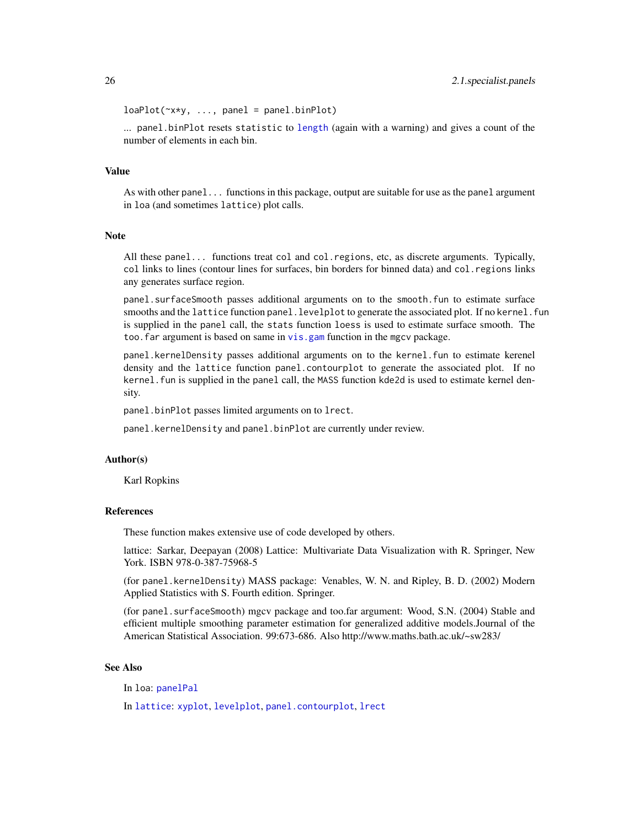```
loaPlot(\sim x*y, ..., panel = panel.binPlot)
```
... panel.binPlot resets statistic to [length](#page-0-0) (again with a warning) and gives a count of the number of elements in each bin.

### Value

As with other panel... functions in this package, output are suitable for use as the panel argument in loa (and sometimes lattice) plot calls.

### Note

All these panel... functions treat col and col.regions, etc, as discrete arguments. Typically, col links to lines (contour lines for surfaces, bin borders for binned data) and col.regions links any generates surface region.

panel.surfaceSmooth passes additional arguments on to the smooth.fun to estimate surface smooths and the lattice function panel. levelplot to generate the associated plot. If no kernel. fun is supplied in the panel call, the stats function loess is used to estimate surface smooth. The too. far argument is based on same in vis. gam function in the mgcv package.

panel.kernelDensity passes additional arguments on to the kernel.fun to estimate kerenel density and the lattice function panel.contourplot to generate the associated plot. If no kernel. fun is supplied in the panel call, the MASS function kde2d is used to estimate kernel density.

panel.binPlot passes limited arguments on to lrect.

panel.kernelDensity and panel.binPlot are currently under review.

#### Author(s)

Karl Ropkins

### References

These function makes extensive use of code developed by others.

lattice: Sarkar, Deepayan (2008) Lattice: Multivariate Data Visualization with R. Springer, New York. ISBN 978-0-387-75968-5

(for panel.kernelDensity) MASS package: Venables, W. N. and Ripley, B. D. (2002) Modern Applied Statistics with S. Fourth edition. Springer.

(for panel.surfaceSmooth) mgcv package and too.far argument: Wood, S.N. (2004) Stable and efficient multiple smoothing parameter estimation for generalized additive models.Journal of the American Statistical Association. 99:673-686. Also http://www.maths.bath.ac.uk/~sw283/

### See Also

In loa: [panelPal](#page-34-1)

In [lattice](#page-0-0): [xyplot](#page-0-0), [levelplot](#page-0-0), [panel.contourplot](#page-0-0), [lrect](#page-0-0)

<span id="page-25-0"></span>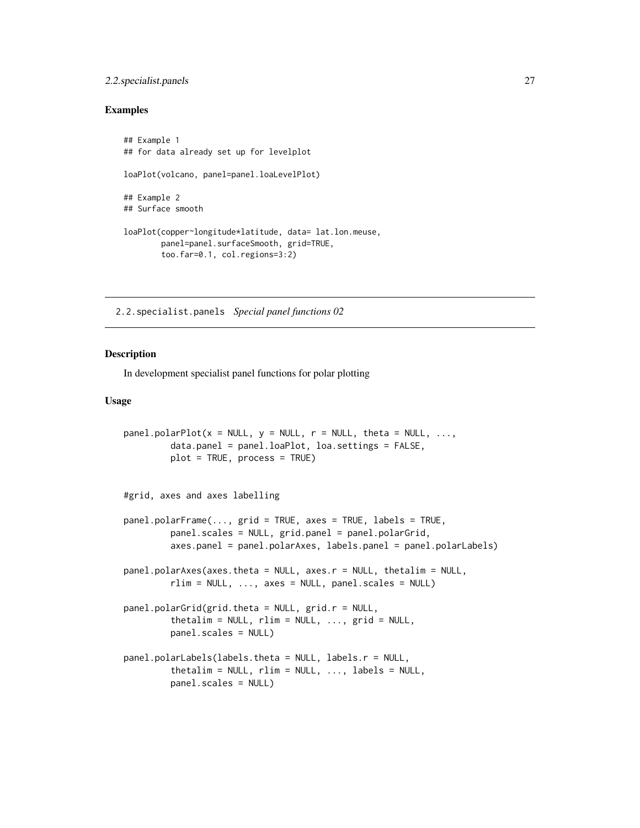### <span id="page-26-0"></span>2.2.specialist.panels 27

### Examples

```
## Example 1
## for data already set up for levelplot
loaPlot(volcano, panel=panel.loaLevelPlot)
## Example 2
## Surface smooth
loaPlot(copper~longitude*latitude, data= lat.lon.meuse,
        panel=panel.surfaceSmooth, grid=TRUE,
        too.far=0.1, col.regions=3:2)
```
2.2.specialist.panels *Special panel functions 02*

#### <span id="page-26-1"></span>Description

In development specialist panel functions for polar plotting

### Usage

```
panel.polarPlot(x = NULL, y = NULL, r = NULL, theta = NULL, ...,
         data.panel = panel.loaPlot, loa.settings = FALSE,
         plot = TRUE, process = TRUE)
#grid, axes and axes labelling
panel.polarFrame(..., grid = TRUE, axes = TRUE, labels = TRUE,
         panel.scales = NULL, grid.panel = panel.polarGrid,
         axes.panel = panel.polarAxes, labels.panel = panel.polarLabels)
panel.polarAxes(axes.theta = NULL, axes.r = NULL, thetalim = NULL,
        rlim = NULL, ..., axes = NULL, panel.scales = NULL)panel.polarGrid(grid.theta = NULL, grid.r = NULL,
         thetalim = NULL, rlim = NULL, ..., grid = NULL,
         panel.scales = NULL)
panel.polarLabels(labels.theta = NULL, labels.r = NULL,
         thetalim = NULL, rlim = NULL, ..., labels = NULL,
         panel.scales = NULL)
```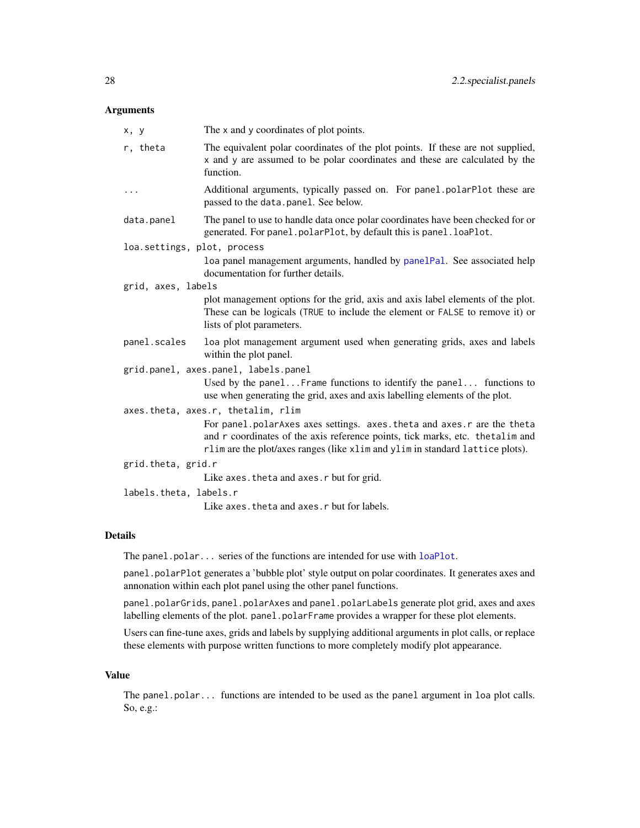### <span id="page-27-0"></span>Arguments

| x, y                        | The x and y coordinates of plot points.                                                                                                                                                                                                   |  |
|-----------------------------|-------------------------------------------------------------------------------------------------------------------------------------------------------------------------------------------------------------------------------------------|--|
| r, theta                    | The equivalent polar coordinates of the plot points. If these are not supplied,<br>x and y are assumed to be polar coordinates and these are calculated by the<br>function.                                                               |  |
| .                           | Additional arguments, typically passed on. For panel polarPlot these are<br>passed to the data.panel. See below.                                                                                                                          |  |
| data.panel                  | The panel to use to handle data once polar coordinates have been checked for or<br>generated. For panel.polarPlot, by default this is panel.loaPlot.                                                                                      |  |
| loa.settings, plot, process |                                                                                                                                                                                                                                           |  |
|                             | loa panel management arguments, handled by panelPal. See associated help<br>documentation for further details.                                                                                                                            |  |
| grid, axes, labels          |                                                                                                                                                                                                                                           |  |
|                             | plot management options for the grid, axis and axis label elements of the plot.<br>These can be logicals (TRUE to include the element or FALSE to remove it) or<br>lists of plot parameters.                                              |  |
| panel.scales                | loa plot management argument used when generating grids, axes and labels<br>within the plot panel.                                                                                                                                        |  |
|                             | grid.panel, axes.panel, labels.panel                                                                                                                                                                                                      |  |
|                             | Used by the panelFrame functions to identify the panel functions to<br>use when generating the grid, axes and axis labelling elements of the plot.                                                                                        |  |
|                             | axes.theta, axes.r, thetalim, rlim                                                                                                                                                                                                        |  |
|                             | For panel.polarAxes axes settings. axes.theta and axes.r are the theta<br>and r coordinates of the axis reference points, tick marks, etc. the talim and<br>rlim are the plot/axes ranges (like xlim and ylim in standard lattice plots). |  |
| grid.theta, grid.r          |                                                                                                                                                                                                                                           |  |
|                             | Like axes. theta and axes. r but for grid.                                                                                                                                                                                                |  |
|                             | labels.theta, labels.r                                                                                                                                                                                                                    |  |
|                             | Like axes. theta and axes. r but for labels.                                                                                                                                                                                              |  |

### Details

The panel.polar... series of the functions are intended for use with [loaPlot](#page-3-1).

panel.polarPlot generates a 'bubble plot' style output on polar coordinates. It generates axes and annonation within each plot panel using the other panel functions.

panel.polarGrids, panel.polarAxes and panel.polarLabels generate plot grid, axes and axes labelling elements of the plot. panel.polarFrame provides a wrapper for these plot elements.

Users can fine-tune axes, grids and labels by supplying additional arguments in plot calls, or replace these elements with purpose written functions to more completely modify plot appearance.

### Value

The panel.polar... functions are intended to be used as the panel argument in loa plot calls. So, e.g.: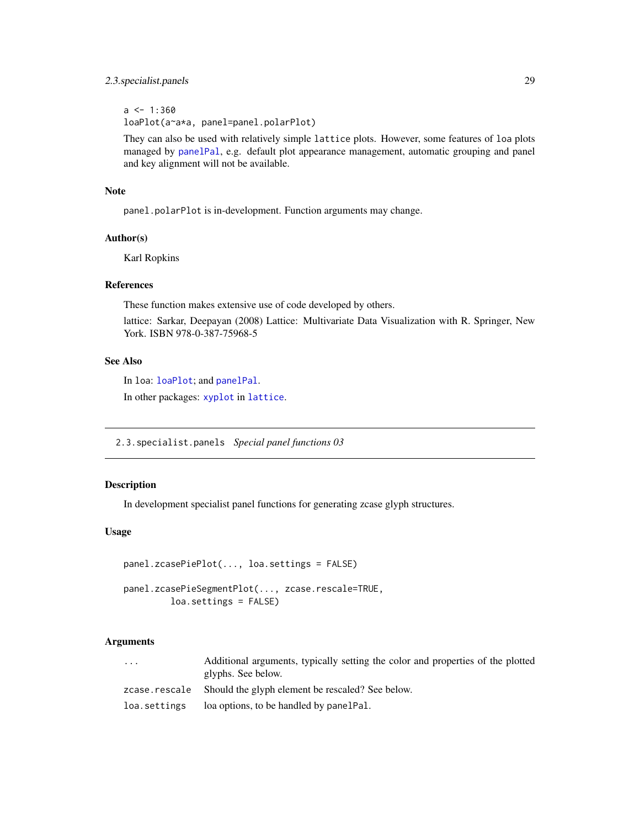### <span id="page-28-0"></span>2.3.specialist.panels 29

 $a \leq 1:360$ loaPlot(a~a\*a, panel=panel.polarPlot)

They can also be used with relatively simple lattice plots. However, some features of loa plots managed by [panelPal](#page-34-1), e.g. default plot appearance management, automatic grouping and panel and key alignment will not be available.

### Note

panel.polarPlot is in-development. Function arguments may change.

### Author(s)

Karl Ropkins

### References

These function makes extensive use of code developed by others.

lattice: Sarkar, Deepayan (2008) Lattice: Multivariate Data Visualization with R. Springer, New York. ISBN 978-0-387-75968-5

### See Also

In loa: [loaPlot](#page-3-1); and [panelPal](#page-34-1).

In other packages: [xyplot](#page-0-0) in [lattice](#page-0-0).

2.3.specialist.panels *Special panel functions 03*

#### Description

In development specialist panel functions for generating zcase glyph structures.

### Usage

```
panel.zcasePiePlot(..., loa.settings = FALSE)
```

```
panel.zcasePieSegmentPlot(..., zcase.rescale=TRUE,
         loa.settings = FALSE)
```
### Arguments

| $\cdots$      | Additional arguments, typically setting the color and properties of the plotted |
|---------------|---------------------------------------------------------------------------------|
|               | glyphs. See below.                                                              |
| zcase.rescale | Should the glyph element be rescaled? See below.                                |
| loa.settings  | loa options, to be handled by panel Pal.                                        |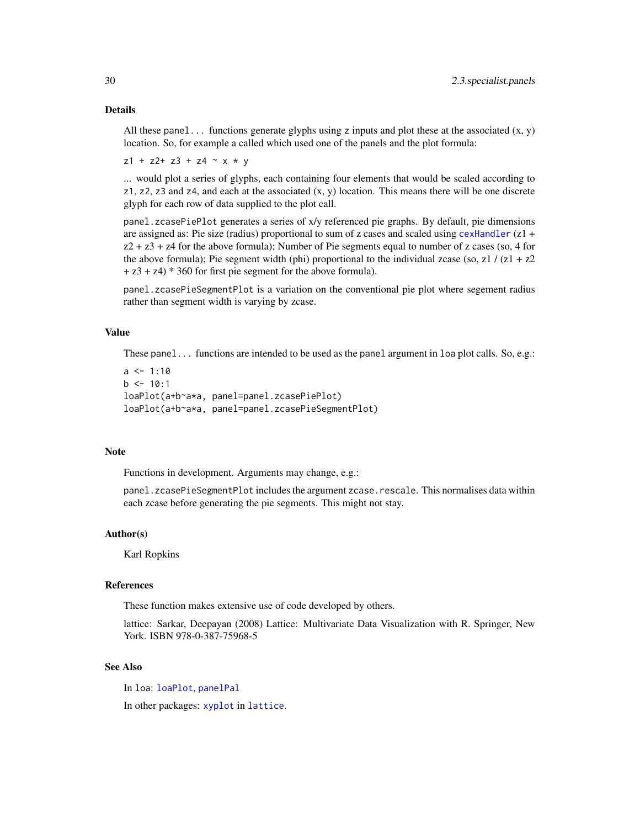### <span id="page-29-0"></span>Details

All these panel... functions generate glyphs using z inputs and plot these at the associated  $(x, y)$ location. So, for example a called which used one of the panels and the plot formula:

 $z1 + z2 + z3 + z4 - x + y$ 

... would plot a series of glyphs, each containing four elements that would be scaled according to  $z1$ ,  $z2$ ,  $z3$  and  $z4$ , and each at the associated  $(x, y)$  location. This means there will be one discrete glyph for each row of data supplied to the plot call.

panel.zcasePiePlot generates a series of x/y referenced pie graphs. By default, pie dimensions are assigned as: Pie size (radius) proportional to sum of z cases and scaled using [cexHandler](#page-45-1) (z1 +  $z^2 + z^3 + z^4$  for the above formula); Number of Pie segments equal to number of z cases (so, 4 for the above formula); Pie segment width (phi) proportional to the individual zcase (so, z1 /  $(z1 + z2)$  $+ z3 + z4$ )  $* 360$  for first pie segment for the above formula).

panel.zcasePieSegmentPlot is a variation on the conventional pie plot where segement radius rather than segment width is varying by zcase.

### Value

These panel... functions are intended to be used as the panel argument in loa plot calls. So, e.g.:

```
a \le -1:10b \le -10:1loaPlot(a+b~a*a, panel=panel.zcasePiePlot)
loaPlot(a+b~a*a, panel=panel.zcasePieSegmentPlot)
```
#### Note

Functions in development. Arguments may change, e.g.:

panel.zcasePieSegmentPlot includes the argument zcase.rescale. This normalises data within each zcase before generating the pie segments. This might not stay.

### Author(s)

Karl Ropkins

### References

These function makes extensive use of code developed by others.

lattice: Sarkar, Deepayan (2008) Lattice: Multivariate Data Visualization with R. Springer, New York. ISBN 978-0-387-75968-5

### See Also

In loa: [loaPlot](#page-3-1), [panelPal](#page-34-1)

In other packages: [xyplot](#page-0-0) in [lattice](#page-0-0).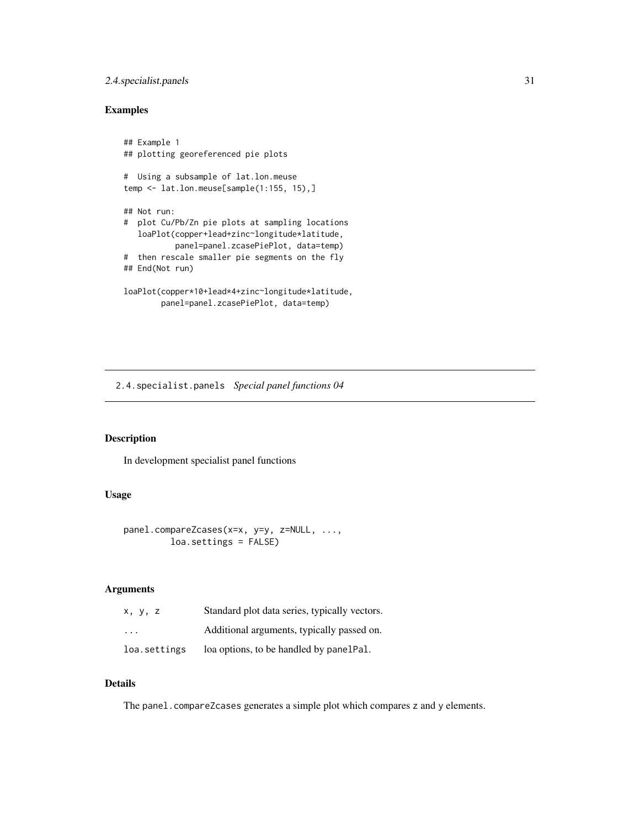### <span id="page-30-0"></span>2.4.specialist.panels 31

### Examples

```
## Example 1
## plotting georeferenced pie plots
# Using a subsample of lat.lon.meuse
temp <- lat.lon.meuse[sample(1:155, 15),]
## Not run:
# plot Cu/Pb/Zn pie plots at sampling locations
  loaPlot(copper+lead+zinc~longitude*latitude,
           panel=panel.zcasePiePlot, data=temp)
# then rescale smaller pie segments on the fly
## End(Not run)
loaPlot(copper*10+lead*4+zinc~longitude*latitude,
        panel=panel.zcasePiePlot, data=temp)
```
2.4.specialist.panels *Special panel functions 04*

### Description

In development specialist panel functions

### Usage

```
panel.compareZcases(x=x, y=y, z=NULL, ...,
        loa.settings = FALSE)
```
### Arguments

| x, y, z                 | Standard plot data series, typically vectors. |
|-------------------------|-----------------------------------------------|
| $\cdot$ $\cdot$ $\cdot$ | Additional arguments, typically passed on.    |
| loa.settings            | loa options, to be handled by panelPal.       |

### Details

The panel.compareZcases generates a simple plot which compares z and y elements.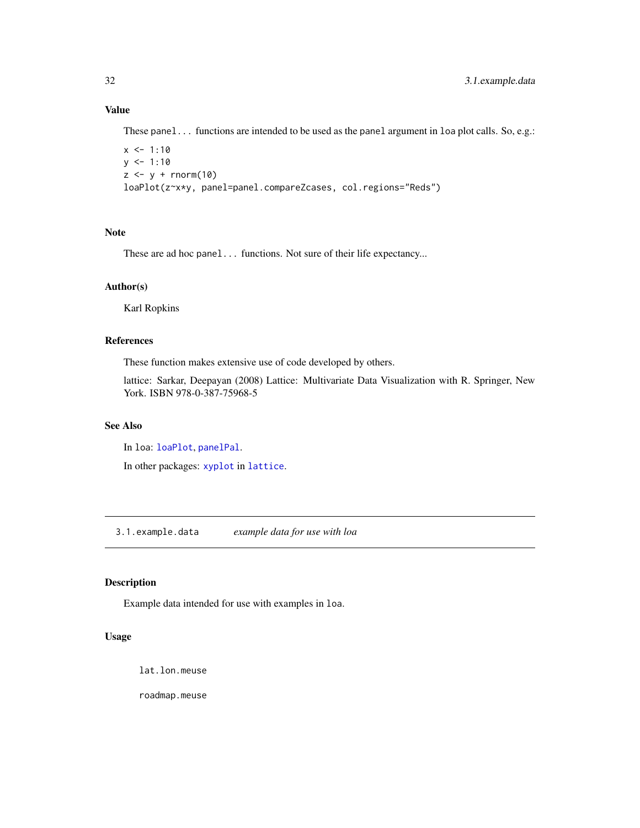### Value

These panel... functions are intended to be used as the panel argument in loa plot calls. So, e.g.:

```
x < -1:10y \le -1:10z \le y + \text{norm}(10)loaPlot(z~x*y, panel=panel.compareZcases, col.regions="Reds")
```
### Note

These are ad hoc panel... functions. Not sure of their life expectancy...

### Author(s)

Karl Ropkins

### References

These function makes extensive use of code developed by others.

lattice: Sarkar, Deepayan (2008) Lattice: Multivariate Data Visualization with R. Springer, New York. ISBN 978-0-387-75968-5

### See Also

In loa: [loaPlot](#page-3-1), [panelPal](#page-34-1).

In other packages: [xyplot](#page-0-0) in [lattice](#page-0-0).

3.1.example.data *example data for use with loa*

### <span id="page-31-1"></span>Description

Example data intended for use with examples in loa.

#### Usage

lat.lon.meuse

roadmap.meuse

<span id="page-31-0"></span>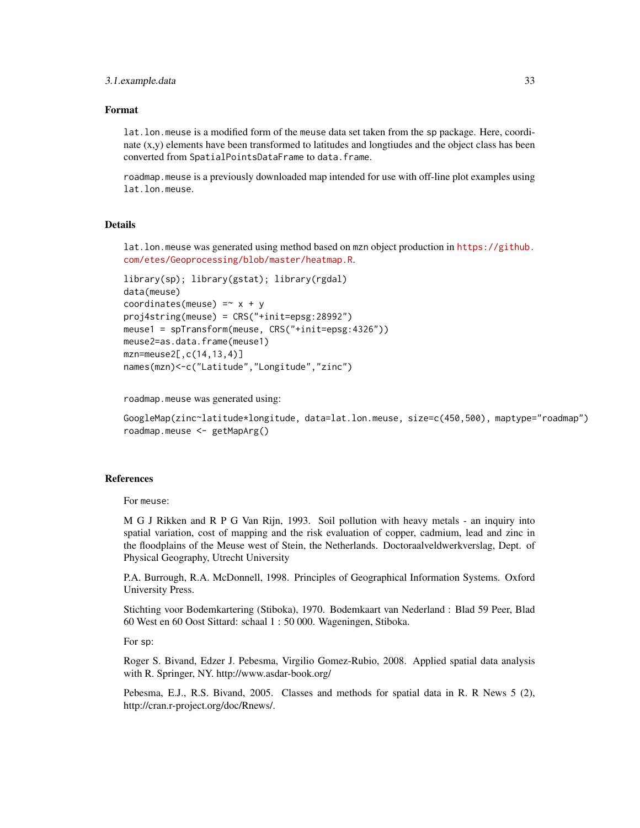#### 3.1.example.data 33

#### Format

lat.lon.meuse is a modified form of the meuse data set taken from the sp package. Here, coordinate (x,y) elements have been transformed to latitudes and longtiudes and the object class has been converted from SpatialPointsDataFrame to data.frame.

roadmap.meuse is a previously downloaded map intended for use with off-line plot examples using lat.lon.meuse.

### **Details**

lat.lon.meuse was generated using method based on mzn object production in [https://github.](https://github.com/etes/Geoprocessing/blob/master/heatmap.R) [com/etes/Geoprocessing/blob/master/heatmap.R](https://github.com/etes/Geoprocessing/blob/master/heatmap.R).

```
library(sp); library(gstat); library(rgdal)
data(meuse)
coordinates(meuse) =~x + yproj4string(meuse) = CRS("+init=epsg:28992")
meuse1 = spTransform(meuse, CRS("+init=epsg:4326"))
meuse2=as.data.frame(meuse1)
mzn=meuse2[,c(14,13,4)]
names(mzn)<-c("Latitude","Longitude","zinc")
```
roadmap.meuse was generated using:

```
GoogleMap(zinc~latitude*longitude, data=lat.lon.meuse, size=c(450,500), maptype="roadmap")
roadmap.meuse <- getMapArg()
```
#### References

For meuse:

M G J Rikken and R P G Van Rijn, 1993. Soil pollution with heavy metals - an inquiry into spatial variation, cost of mapping and the risk evaluation of copper, cadmium, lead and zinc in the floodplains of the Meuse west of Stein, the Netherlands. Doctoraalveldwerkverslag, Dept. of Physical Geography, Utrecht University

P.A. Burrough, R.A. McDonnell, 1998. Principles of Geographical Information Systems. Oxford University Press.

Stichting voor Bodemkartering (Stiboka), 1970. Bodemkaart van Nederland : Blad 59 Peer, Blad 60 West en 60 Oost Sittard: schaal 1 : 50 000. Wageningen, Stiboka.

For sp:

Roger S. Bivand, Edzer J. Pebesma, Virgilio Gomez-Rubio, 2008. Applied spatial data analysis with R. Springer, NY. http://www.asdar-book.org/

Pebesma, E.J., R.S. Bivand, 2005. Classes and methods for spatial data in R. R News 5 (2), http://cran.r-project.org/doc/Rnews/.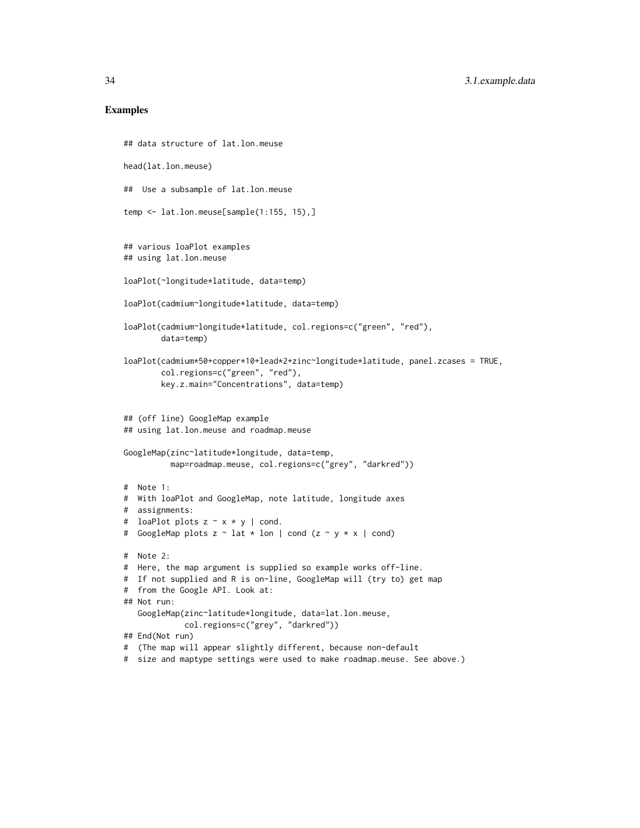#### Examples

```
## data structure of lat.lon.meuse
head(lat.lon.meuse)
## Use a subsample of lat.lon.meuse
temp <- lat.lon.meuse[sample(1:155, 15),]
## various loaPlot examples
## using lat.lon.meuse
loaPlot(~longitude*latitude, data=temp)
loaPlot(cadmium~longitude*latitude, data=temp)
loaPlot(cadmium~longitude*latitude, col.regions=c("green", "red"),
        data=temp)
loaPlot(cadmium*50+copper*10+lead*2+zinc~longitude*latitude, panel.zcases = TRUE,
        col.regions=c("green", "red"),
        key.z.main="Concentrations", data=temp)
## (off line) GoogleMap example
## using lat.lon.meuse and roadmap.meuse
GoogleMap(zinc~latitude*longitude, data=temp,
         map=roadmap.meuse, col.regions=c("grey", "darkred"))
# Note 1:
# With loaPlot and GoogleMap, note latitude, longitude axes
# assignments:
# loaPlot plots z \sim x * y | cond.
# GoogleMap plots z ~ lat * lon | cond (z ~ y * x | cond)
# Note 2:
# Here, the map argument is supplied so example works off-line.
# If not supplied and R is on-line, GoogleMap will (try to) get map
# from the Google API. Look at:
## Not run:
   GoogleMap(zinc~latitude*longitude, data=lat.lon.meuse,
             col.regions=c("grey", "darkred"))
## End(Not run)
# (The map will appear slightly different, because non-default
# size and maptype settings were used to make roadmap.meuse. See above.)
```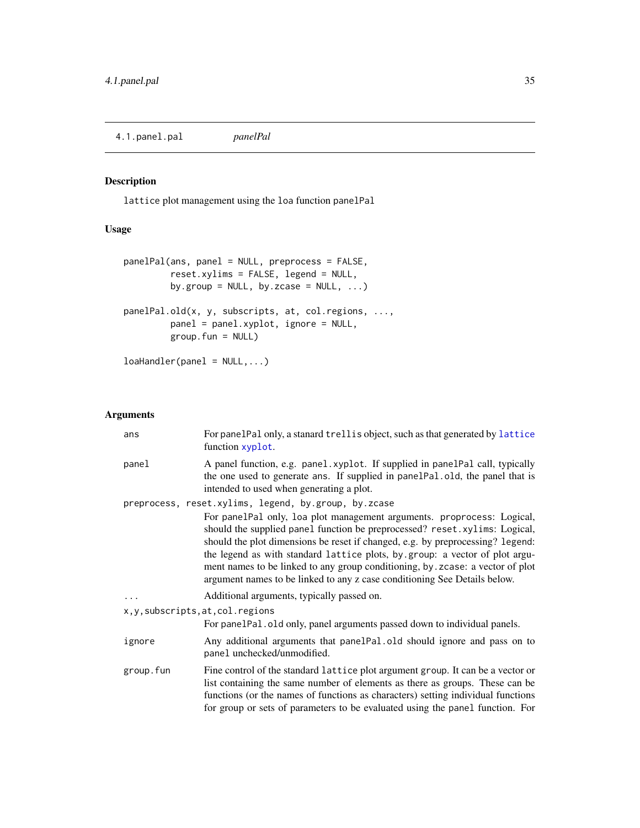<span id="page-34-0"></span>4.1.panel.pal *panelPal*

### <span id="page-34-1"></span>Description

lattice plot management using the loa function panelPal

### Usage

```
panelPal(ans, panel = NULL, preprocess = FALSE,
        reset.xylims = FALSE, legend = NULL,
        by.group = NULL, by.zcase = NULL, ...)panelPal.old(x, y, subscripts, at, col.regions, ...,
        panel = panel.xyplot, ignore = NULL,
        group.fun = NULL)
```
loaHandler(panel = NULL,...)

### Arguments

| ans                                | For panelPal only, a stanard trellis object, such as that generated by lattice<br>function xyplot.                                                                                                                                                                                                                                                                                                                                                                                    |
|------------------------------------|---------------------------------------------------------------------------------------------------------------------------------------------------------------------------------------------------------------------------------------------------------------------------------------------------------------------------------------------------------------------------------------------------------------------------------------------------------------------------------------|
| panel                              | A panel function, e.g. panel.xyplot. If supplied in panelPal call, typically<br>the one used to generate ans. If supplied in panel Pal. old, the panel that is<br>intended to used when generating a plot.                                                                                                                                                                                                                                                                            |
|                                    | preprocess, reset.xylims, legend, by.group, by.zcase                                                                                                                                                                                                                                                                                                                                                                                                                                  |
|                                    | For panelPal only, loa plot management arguments. proprocess: Logical,<br>should the supplied panel function be preprocessed? reset.xylims: Logical,<br>should the plot dimensions be reset if changed, e.g. by preprocessing? legend:<br>the legend as with standard lattice plots, by group: a vector of plot argu-<br>ment names to be linked to any group conditioning, by . zcase: a vector of plot<br>argument names to be linked to any z case conditioning See Details below. |
|                                    | Additional arguments, typically passed on.                                                                                                                                                                                                                                                                                                                                                                                                                                            |
| x, y, subscripts, at, col. regions |                                                                                                                                                                                                                                                                                                                                                                                                                                                                                       |
|                                    | For panelPal. old only, panel arguments passed down to individual panels.                                                                                                                                                                                                                                                                                                                                                                                                             |
| ignore                             | Any additional arguments that panelPal.old should ignore and pass on to<br>panel unchecked/unmodified.                                                                                                                                                                                                                                                                                                                                                                                |
| group.fun                          | Fine control of the standard lattice plot argument group. It can be a vector or<br>list containing the same number of elements as there as groups. These can be<br>functions (or the names of functions as characters) setting individual functions<br>for group or sets of parameters to be evaluated using the panel function. For                                                                                                                                                  |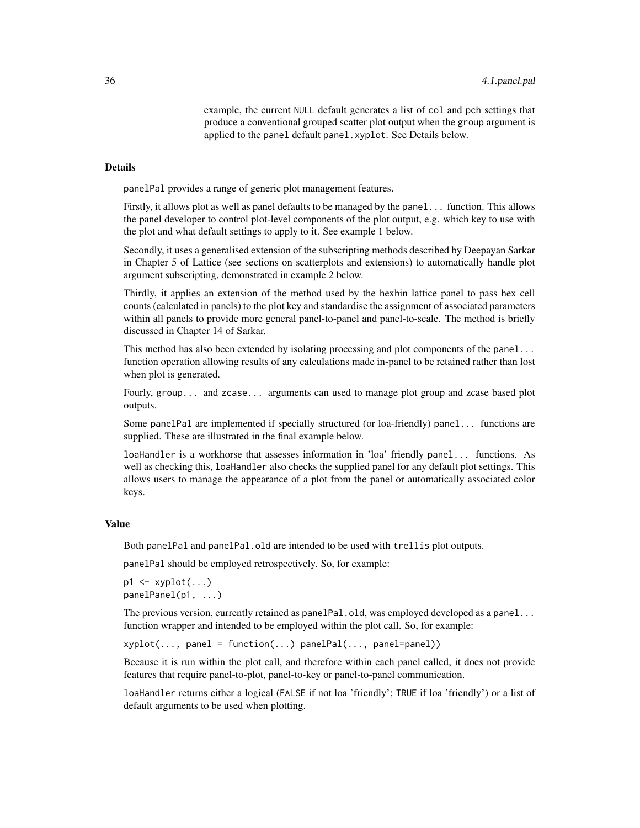example, the current NULL default generates a list of col and pch settings that produce a conventional grouped scatter plot output when the group argument is applied to the panel default panel.xyplot. See Details below.

#### Details

panelPal provides a range of generic plot management features.

Firstly, it allows plot as well as panel defaults to be managed by the panel... function. This allows the panel developer to control plot-level components of the plot output, e.g. which key to use with the plot and what default settings to apply to it. See example 1 below.

Secondly, it uses a generalised extension of the subscripting methods described by Deepayan Sarkar in Chapter 5 of Lattice (see sections on scatterplots and extensions) to automatically handle plot argument subscripting, demonstrated in example 2 below.

Thirdly, it applies an extension of the method used by the hexbin lattice panel to pass hex cell counts (calculated in panels) to the plot key and standardise the assignment of associated parameters within all panels to provide more general panel-to-panel and panel-to-scale. The method is briefly discussed in Chapter 14 of Sarkar.

This method has also been extended by isolating processing and plot components of the panel... function operation allowing results of any calculations made in-panel to be retained rather than lost when plot is generated.

Fourly, group... and zcase... arguments can used to manage plot group and zcase based plot outputs.

Some panelPal are implemented if specially structured (or loa-friendly) panel... functions are supplied. These are illustrated in the final example below.

loaHandler is a workhorse that assesses information in 'loa' friendly panel... functions. As well as checking this, loaHandler also checks the supplied panel for any default plot settings. This allows users to manage the appearance of a plot from the panel or automatically associated color keys.

#### Value

Both panelPal and panelPal.old are intended to be used with trellis plot outputs.

panelPal should be employed retrospectively. So, for example:

```
p1 \leftarrow xyplot(...)panelPanel(p1, ...)
```
The previous version, currently retained as panelPal.old, was employed developed as a panel... function wrapper and intended to be employed within the plot call. So, for example:

xyplot(..., panel = function(...) panelPal(..., panel=panel))

Because it is run within the plot call, and therefore within each panel called, it does not provide features that require panel-to-plot, panel-to-key or panel-to-panel communication.

loaHandler returns either a logical (FALSE if not loa 'friendly'; TRUE if loa 'friendly') or a list of default arguments to be used when plotting.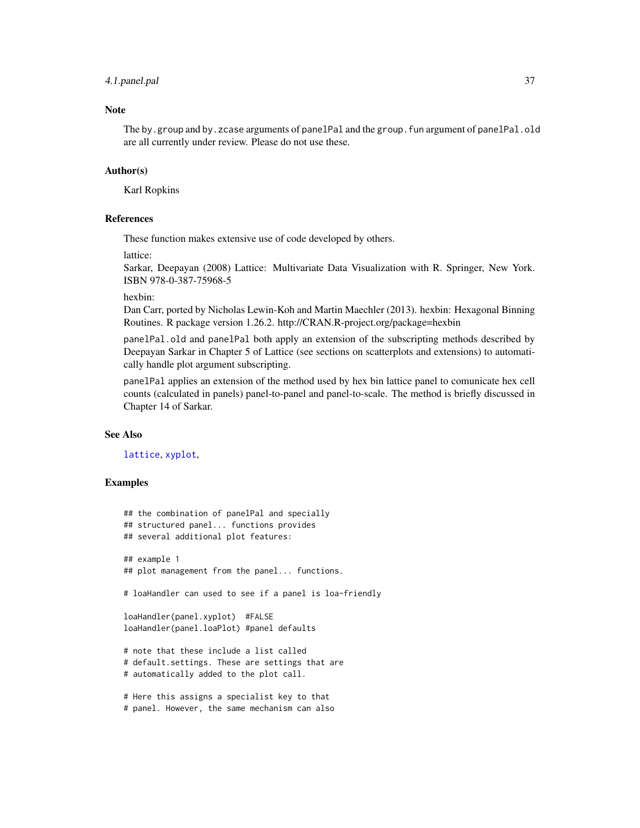### <span id="page-36-0"></span>4.1.panel.pal 37

### **Note**

The by.group and by.zcase arguments of panelPal and the group.fun argument of panelPal.old are all currently under review. Please do not use these.

### Author(s)

Karl Ropkins

### References

These function makes extensive use of code developed by others.

lattice:

Sarkar, Deepayan (2008) Lattice: Multivariate Data Visualization with R. Springer, New York. ISBN 978-0-387-75968-5

hexbin:

Dan Carr, ported by Nicholas Lewin-Koh and Martin Maechler (2013). hexbin: Hexagonal Binning Routines. R package version 1.26.2. http://CRAN.R-project.org/package=hexbin

panelPal.old and panelPal both apply an extension of the subscripting methods described by Deepayan Sarkar in Chapter 5 of Lattice (see sections on scatterplots and extensions) to automatically handle plot argument subscripting.

panelPal applies an extension of the method used by hex bin lattice panel to comunicate hex cell counts (calculated in panels) panel-to-panel and panel-to-scale. The method is briefly discussed in Chapter 14 of Sarkar.

#### See Also

[lattice](#page-0-0), [xyplot](#page-0-0),

#### Examples

```
## the combination of panelPal and specially
## structured panel... functions provides
## several additional plot features:
## example 1
## plot management from the panel... functions.
# loaHandler can used to see if a panel is loa-friendly
loaHandler(panel.xyplot) #FALSE
loaHandler(panel.loaPlot) #panel defaults
# note that these include a list called
# default.settings. These are settings that are
# automatically added to the plot call.
# Here this assigns a specialist key to that
# panel. However, the same mechanism can also
```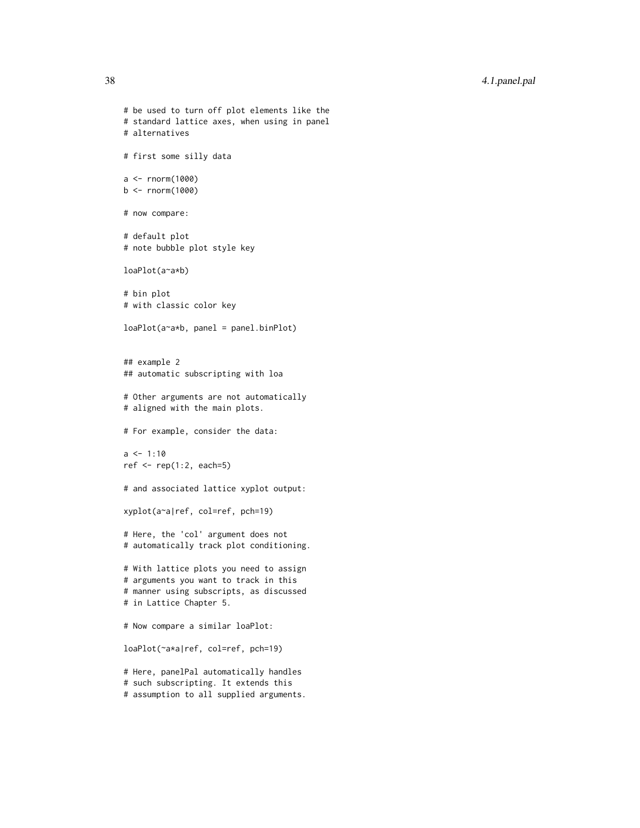```
# be used to turn off plot elements like the
# standard lattice axes, when using in panel
# alternatives
# first some silly data
a < - rnorm(1000)
b <- rnorm(1000)
# now compare:
# default plot
# note bubble plot style key
loaPlot(a~a*b)
# bin plot
# with classic color key
loaPlot(a~a*b, panel = panel.binPlot)
## example 2
## automatic subscripting with loa
# Other arguments are not automatically
# aligned with the main plots.
# For example, consider the data:
a \le -1:10ref <- rep(1:2, each=5)
# and associated lattice xyplot output:
xyplot(a~a|ref, col=ref, pch=19)
# Here, the 'col' argument does not
# automatically track plot conditioning.
# With lattice plots you need to assign
# arguments you want to track in this
# manner using subscripts, as discussed
# in Lattice Chapter 5.
# Now compare a similar loaPlot:
loaPlot(~a*a|ref, col=ref, pch=19)
# Here, panelPal automatically handles
# such subscripting. It extends this
# assumption to all supplied arguments.
```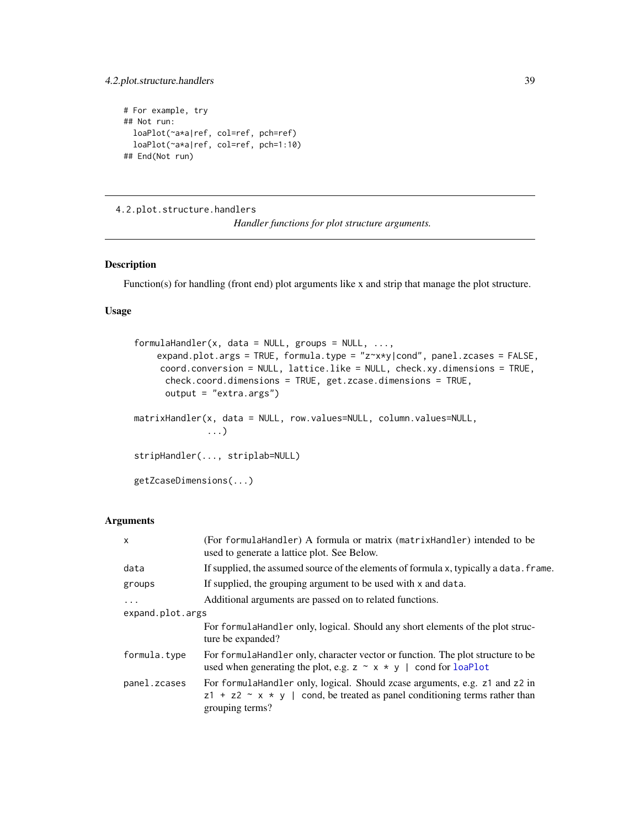### <span id="page-38-0"></span>4.2.plot.structure.handlers 39

```
# For example, try
## Not run:
  loaPlot(~a*a|ref, col=ref, pch=ref)
  loaPlot(~a*a|ref, col=ref, pch=1:10)
## End(Not run)
```
4.2.plot.structure.handlers

*Handler functions for plot structure arguments.*

### <span id="page-38-1"></span>Description

Function(s) for handling (front end) plot arguments like x and strip that manage the plot structure.

### Usage

```
formulaHandler(x, data = NULL, groups = NULL, ...,expand.plot.args = TRUE, formula.type = "z~x*y|cond", panel.zcases = FALSE,
     coord.conversion = NULL, lattice.like = NULL, check.xy.dimensions = TRUE,
      check.coord.dimensions = TRUE, get.zcase.dimensions = TRUE,
      output = "extra.args")
matrixHandler(x, data = NULL, row.values=NULL, column.values=NULL,
              ...)
stripHandler(..., striplab=NULL)
getZcaseDimensions(...)
```
### Arguments

| $\mathsf{x}$     | (For formulaHandler) A formula or matrix (matrixHandler) intended to be<br>used to generate a lattice plot. See Below.                                                            |  |
|------------------|-----------------------------------------------------------------------------------------------------------------------------------------------------------------------------------|--|
| data             | If supplied, the assumed source of the elements of formula x, typically a data. frame.                                                                                            |  |
| groups           | If supplied, the grouping argument to be used with x and data.                                                                                                                    |  |
| $\cdots$         | Additional arguments are passed on to related functions.                                                                                                                          |  |
| expand.plot.args |                                                                                                                                                                                   |  |
|                  | For formular Handler only, logical. Should any short elements of the plot struc-<br>ture be expanded?                                                                             |  |
| formula.type     | For formulaHandler only, character vector or function. The plot structure to be<br>used when generating the plot, e.g. $z \sim x * y$   cond for loaPlot                          |  |
| panel.zcases     | For formulaHandler only, logical. Should zcase arguments, e.g. z1 and z2 in<br>$z1 + z2 \sim x * y$   cond, be treated as panel conditioning terms rather than<br>grouping terms? |  |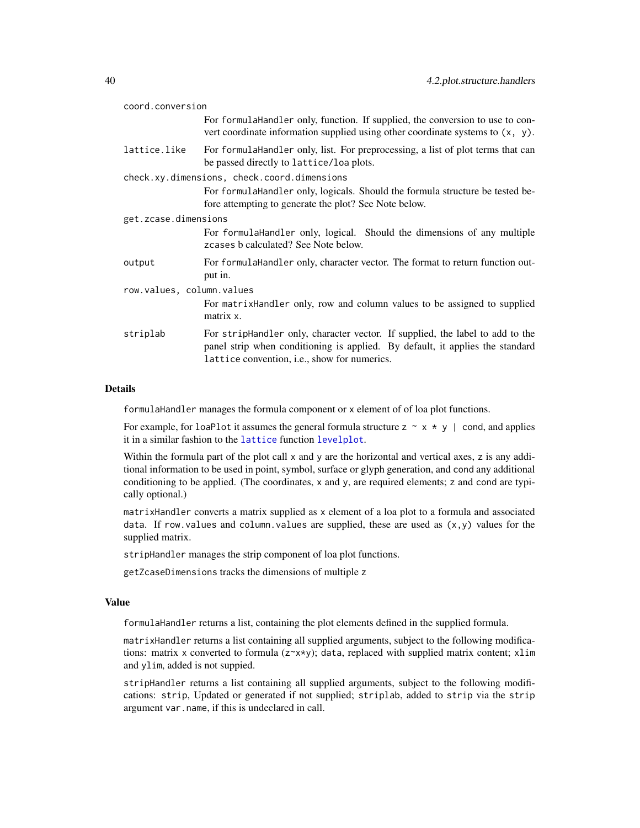<span id="page-39-0"></span>

| coord.conversion          |                                                                                                                                                                                                                        |  |
|---------------------------|------------------------------------------------------------------------------------------------------------------------------------------------------------------------------------------------------------------------|--|
|                           | For formula Handler only, function. If supplied, the conversion to use to con-<br>vert coordinate information supplied using other coordinate systems to $(x, y)$ .                                                    |  |
| lattice.like              | For formulaHandler only, list. For preprocessing, a list of plot terms that can<br>be passed directly to lattice/loa plots.                                                                                            |  |
|                           | check.xy.dimensions, check.coord.dimensions                                                                                                                                                                            |  |
|                           | For formulaHandler only, logicals. Should the formula structure be tested be-<br>fore attempting to generate the plot? See Note below.                                                                                 |  |
| get.zcase.dimensions      |                                                                                                                                                                                                                        |  |
|                           | For formulaHandler only, logical. Should the dimensions of any multiple<br>zcases b calculated? See Note below.                                                                                                        |  |
| output                    | For formula Handler only, character vector. The format to return function out-<br>put in.                                                                                                                              |  |
| row.values, column.values |                                                                                                                                                                                                                        |  |
|                           | For matrixHandler only, row and column values to be assigned to supplied<br>matrix x.                                                                                                                                  |  |
| striplab                  | For stripHandler only, character vector. If supplied, the label to add to the<br>panel strip when conditioning is applied. By default, it applies the standard<br>lattice convention, <i>i.e.</i> , show for numerics. |  |

#### Details

formulaHandler manages the formula component or x element of of loa plot functions.

For example, for loaPlot it assumes the general formula structure  $z \sim x * y$  | cond, and applies it in a similar fashion to the [lattice](#page-0-0) function [levelplot](#page-0-0).

Within the formula part of the plot call  $x$  and  $y$  are the horizontal and vertical axes,  $z$  is any additional information to be used in point, symbol, surface or glyph generation, and cond any additional conditioning to be applied. (The coordinates, x and y, are required elements; z and cond are typically optional.)

matrixHandler converts a matrix supplied as x element of a loa plot to a formula and associated data. If row. values and column. values are supplied, these are used as  $(x,y)$  values for the supplied matrix.

stripHandler manages the strip component of loa plot functions.

getZcaseDimensions tracks the dimensions of multiple z

### Value

formulaHandler returns a list, containing the plot elements defined in the supplied formula.

matrixHandler returns a list containing all supplied arguments, subject to the following modifications: matrix x converted to formula  $(z \times x \times y)$ ; data, replaced with supplied matrix content; x1im and ylim, added is not suppied.

stripHandler returns a list containing all supplied arguments, subject to the following modifications: strip, Updated or generated if not supplied; striplab, added to strip via the strip argument var.name, if this is undeclared in call.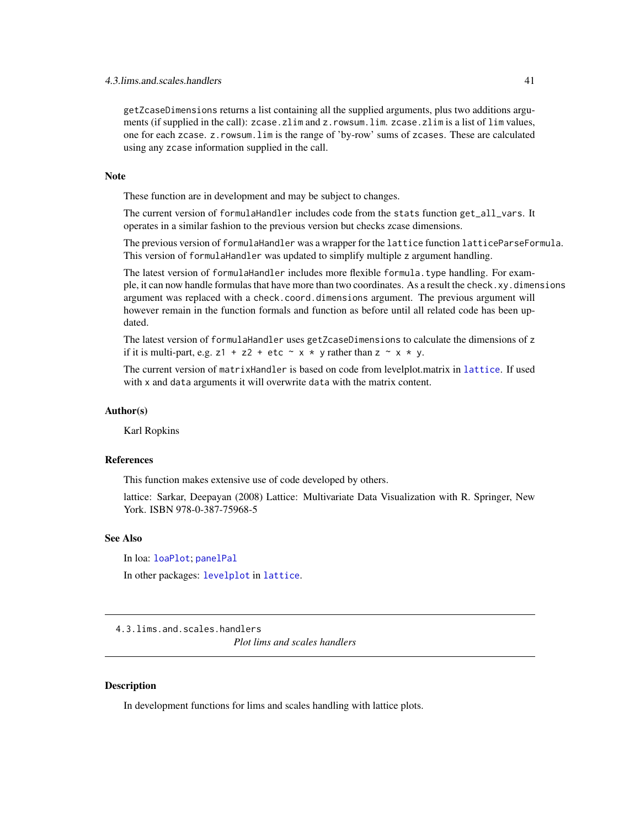<span id="page-40-0"></span>getZcaseDimensions returns a list containing all the supplied arguments, plus two additions arguments (if supplied in the call): zcase.zlim and z.rowsum.lim. zcase.zlim is a list of lim values, one for each zcase. z.rowsum.lim is the range of 'by-row' sums of zcases. These are calculated using any zcase information supplied in the call.

#### Note

These function are in development and may be subject to changes.

The current version of formulaHandler includes code from the stats function get\_all\_vars. It operates in a similar fashion to the previous version but checks zcase dimensions.

The previous version of formulaHandler was a wrapper for the lattice function latticeParseFormula. This version of formulaHandler was updated to simplify multiple z argument handling.

The latest version of formulaHandler includes more flexible formula.type handling. For example, it can now handle formulas that have more than two coordinates. As a result the check.xy.dimensions argument was replaced with a check.coord.dimensions argument. The previous argument will however remain in the function formals and function as before until all related code has been updated.

The latest version of formulaHandler uses getZcaseDimensions to calculate the dimensions of z if it is multi-part, e.g.  $z1 + z2 + etc \sim x * y$  rather than  $z \sim x * y$ .

The current version of matrixHandler is based on code from levelplot.matrix in [lattice](#page-0-0). If used with x and data arguments it will overwrite data with the matrix content.

#### Author(s)

Karl Ropkins

#### References

This function makes extensive use of code developed by others.

lattice: Sarkar, Deepayan (2008) Lattice: Multivariate Data Visualization with R. Springer, New York. ISBN 978-0-387-75968-5

#### See Also

In loa: [loaPlot](#page-3-1); [panelPal](#page-34-1) In other packages: [levelplot](#page-0-0) in [lattice](#page-0-0).

4.3.lims.and.scales.handlers

*Plot lims and scales handlers*

#### <span id="page-40-1"></span>**Description**

In development functions for lims and scales handling with lattice plots.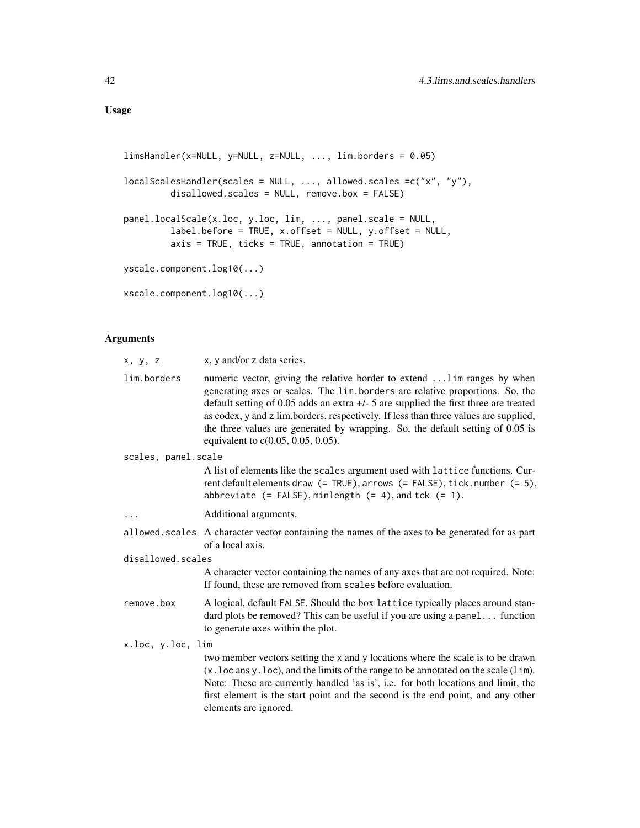```
limsHandler(x=NULL, y=NULL, z=NULL, ..., lim.borders = 0.05)
localScalesHandler(scales = NULL, ..., allowed.scales =c("x", "y"),
         disallowed.scales = NULL, remove.box = FALSE)
panel.localScale(x.loc, y.loc, lim, ..., panel.scale = NULL,
         label.before = TRUE, x.offset = NULL, y.offset = NULL,
        axis = TRUE, ticks = TRUE, annotation = TRUE)
yscale.component.log10(...)
xscale.component.log10(...)
```
### Arguments

| x, y, z             | x, y and/or z data series.                                                                                                                                                                                                                                                                                                                                                                                                                                            |  |
|---------------------|-----------------------------------------------------------------------------------------------------------------------------------------------------------------------------------------------------------------------------------------------------------------------------------------------------------------------------------------------------------------------------------------------------------------------------------------------------------------------|--|
| lim.borders         | numeric vector, giving the relative border to extend  lim ranges by when<br>generating axes or scales. The lim.borders are relative proportions. So, the<br>default setting of 0.05 adds an extra $+/-$ 5 are supplied the first three are treated<br>as codex, y and z lim.borders, respectively. If less than three values are supplied,<br>the three values are generated by wrapping. So, the default setting of 0.05 is<br>equivalent to $c(0.05, 0.05, 0.05)$ . |  |
| scales, panel.scale |                                                                                                                                                                                                                                                                                                                                                                                                                                                                       |  |
|                     | A list of elements like the scales argument used with lattice functions. Cur-<br>rent default elements draw (= TRUE), arrows (= FALSE), tick.number (= 5),<br>abbreviate $(=\text{FALSE})$ , minlength $(= 4)$ , and tck $(= 1)$ .                                                                                                                                                                                                                                    |  |
| .                   | Additional arguments.                                                                                                                                                                                                                                                                                                                                                                                                                                                 |  |
|                     | allowed scales A character vector containing the names of the axes to be generated for as part<br>of a local axis.                                                                                                                                                                                                                                                                                                                                                    |  |
| disallowed.scales   |                                                                                                                                                                                                                                                                                                                                                                                                                                                                       |  |
|                     | A character vector containing the names of any axes that are not required. Note:<br>If found, these are removed from scales before evaluation.                                                                                                                                                                                                                                                                                                                        |  |
| remove.box          | A logical, default FALSE. Should the box lattice typically places around stan-<br>dard plots be removed? This can be useful if you are using a panel function<br>to generate axes within the plot.                                                                                                                                                                                                                                                                    |  |
| x.loc, y.loc, lim   |                                                                                                                                                                                                                                                                                                                                                                                                                                                                       |  |
|                     | two member vectors setting the x and y locations where the scale is to be drawn<br>$(x.$ loc ans y $.$ loc), and the limits of the range to be annotated on the scale $(lim)$ .<br>Note: These are currently handled 'as is', i.e. for both locations and limit, the<br>first element is the start point and the second is the end point, and any other<br>elements are ignored.                                                                                      |  |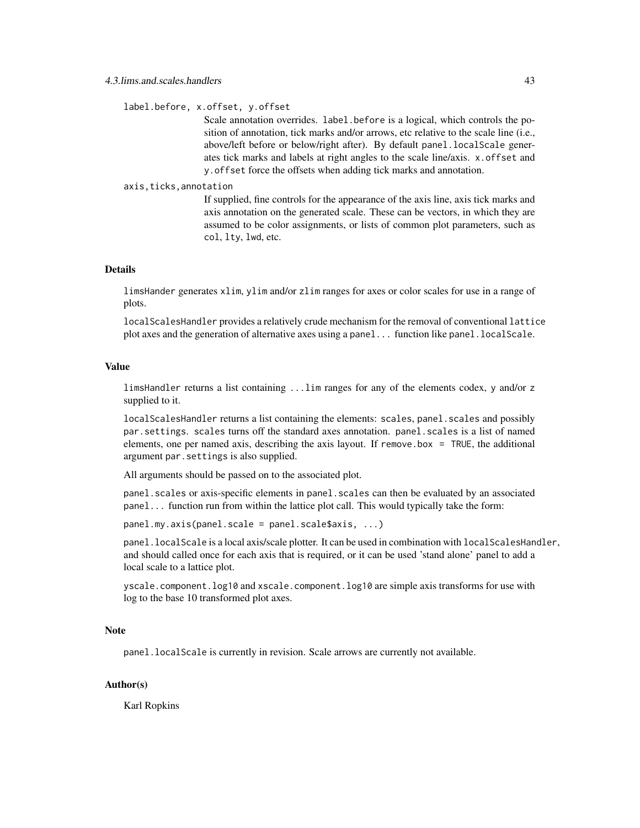label.before, x.offset, y.offset

Scale annotation overrides. label.before is a logical, which controls the position of annotation, tick marks and/or arrows, etc relative to the scale line (i.e., above/left before or below/right after). By default panel.localScale generates tick marks and labels at right angles to the scale line/axis. x.offset and y.offset force the offsets when adding tick marks and annotation.

#### axis,ticks,annotation

If supplied, fine controls for the appearance of the axis line, axis tick marks and axis annotation on the generated scale. These can be vectors, in which they are assumed to be color assignments, or lists of common plot parameters, such as col, lty, lwd, etc.

### Details

limsHander generates xlim, ylim and/or zlim ranges for axes or color scales for use in a range of plots.

localScalesHandler provides a relatively crude mechanism for the removal of conventional lattice plot axes and the generation of alternative axes using a panel... function like panel.localScale.

#### Value

limsHandler returns a list containing ...lim ranges for any of the elements codex, y and/or z supplied to it.

localScalesHandler returns a list containing the elements: scales, panel. scales and possibly par.settings. scales turns off the standard axes annotation. panel.scales is a list of named elements, one per named axis, describing the axis layout. If remove.box = TRUE, the additional argument par.settings is also supplied.

All arguments should be passed on to the associated plot.

panel.scales or axis-specific elements in panel.scales can then be evaluated by an associated panel... function run from within the lattice plot call. This would typically take the form:

panel.my.axis(panel.scale = panel.scale\$axis, ...)

panel.localScale is a local axis/scale plotter. It can be used in combination with localScalesHandler, and should called once for each axis that is required, or it can be used 'stand alone' panel to add a local scale to a lattice plot.

yscale.component.log10 and xscale.component.log10 are simple axis transforms for use with log to the base 10 transformed plot axes.

#### Note

panel.localScale is currently in revision. Scale arrows are currently not available.

#### Author(s)

Karl Ropkins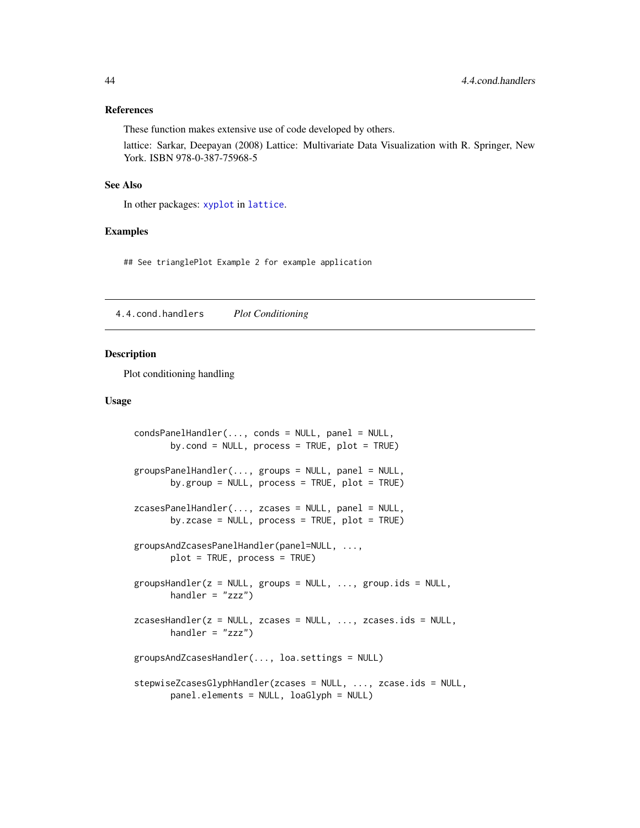#### <span id="page-43-0"></span>References

These function makes extensive use of code developed by others.

lattice: Sarkar, Deepayan (2008) Lattice: Multivariate Data Visualization with R. Springer, New York. ISBN 978-0-387-75968-5

#### See Also

In other packages: [xyplot](#page-0-0) in [lattice](#page-0-0).

#### Examples

## See trianglePlot Example 2 for example application

4.4.cond.handlers *Plot Conditioning*

#### <span id="page-43-1"></span>Description

Plot conditioning handling

### Usage

```
condsPanelHandler(..., conds = NULL, panel = NULL,
       by.cond = NULL, process = TRUE, plot = TRUE)
groupsPanelHandler(..., groups = NULL, panel = NULL,
       by.group = NULL, process = TRUE, plot = TRUE)
zcasesPanelHandler(..., zcases = NULL, panel = NULL,
       by.zcase = NULL, process = TRUE, plot = TRUE)
groupsAndZcasesPanelHandler(panel=NULL, ...,
       plot = TRUE, process = TRUE)
groupsHandler(z = NULL, groups = NULL, ..., group.ids = NULL,
       handler = "zzz")zcasesHandler(z = NULL, zcases = NULL, ..., zcases.ids = NULL,
       handler = "zzz")groupsAndZcasesHandler(..., loa.settings = NULL)
stepwiseZcasesGlyphHandler(zcases = NULL, ..., zcase.ids = NULL,
       panel.elements = NULL, loaGlyph = NULL)
```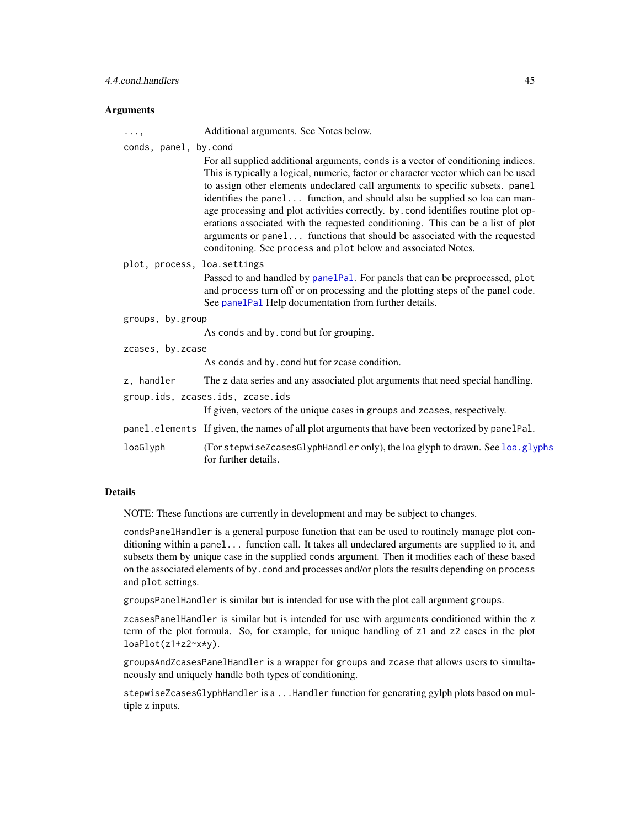#### <span id="page-44-0"></span>**Arguments**

| $\cdots$ ,                  | Additional arguments. See Notes below.                                                                                                                                                                                                                                                                                                                                                                                                                                                                                                                                                                                                                         |
|-----------------------------|----------------------------------------------------------------------------------------------------------------------------------------------------------------------------------------------------------------------------------------------------------------------------------------------------------------------------------------------------------------------------------------------------------------------------------------------------------------------------------------------------------------------------------------------------------------------------------------------------------------------------------------------------------------|
| conds, panel, by.cond       | For all supplied additional arguments, conds is a vector of conditioning indices.<br>This is typically a logical, numeric, factor or character vector which can be used<br>to assign other elements undeclared call arguments to specific subsets. panel<br>identifies the panel function, and should also be supplied so loa can man-<br>age processing and plot activities correctly. by . cond identifies routine plot op-<br>erations associated with the requested conditioning. This can be a list of plot<br>arguments or panel functions that should be associated with the requested<br>conditoning. See process and plot below and associated Notes. |
| plot, process, loa.settings | Passed to and handled by panelPal. For panels that can be preprocessed, plot<br>and process turn off or on processing and the plotting steps of the panel code.<br>See panelPal Help documentation from further details.                                                                                                                                                                                                                                                                                                                                                                                                                                       |
| groups, by.group            | As conds and by cond but for grouping.                                                                                                                                                                                                                                                                                                                                                                                                                                                                                                                                                                                                                         |
| zcases, by.zcase            | As conds and by cond but for zease condition.                                                                                                                                                                                                                                                                                                                                                                                                                                                                                                                                                                                                                  |
| z, handler                  | The z data series and any associated plot arguments that need special handling.<br>group.ids, zcases.ids, zcase.ids<br>If given, vectors of the unique cases in groups and zcases, respectively.                                                                                                                                                                                                                                                                                                                                                                                                                                                               |
| loaGlyph                    | panel.elements If given, the names of all plot arguments that have been vectorized by panelPal.<br>(For stepwiseZcasesGlyphHandler only), the loa glyph to drawn. See loa.glyphs<br>for further details.                                                                                                                                                                                                                                                                                                                                                                                                                                                       |

### Details

NOTE: These functions are currently in development and may be subject to changes.

condsPanelHandler is a general purpose function that can be used to routinely manage plot conditioning within a panel... function call. It takes all undeclared arguments are supplied to it, and subsets them by unique case in the supplied conds argument. Then it modifies each of these based on the associated elements of by.cond and processes and/or plots the results depending on process and plot settings.

groupsPanelHandler is similar but is intended for use with the plot call argument groups.

zcasesPanelHandler is similar but is intended for use with arguments conditioned within the z term of the plot formula. So, for example, for unique handling of z1 and z2 cases in the plot loaPlot(z1+z2~x\*y).

groupsAndZcasesPanelHandler is a wrapper for groups and zcase that allows users to simultaneously and uniquely handle both types of conditioning.

stepwiseZcasesGlyphHandler is a ...Handler function for generating gylph plots based on multiple z inputs.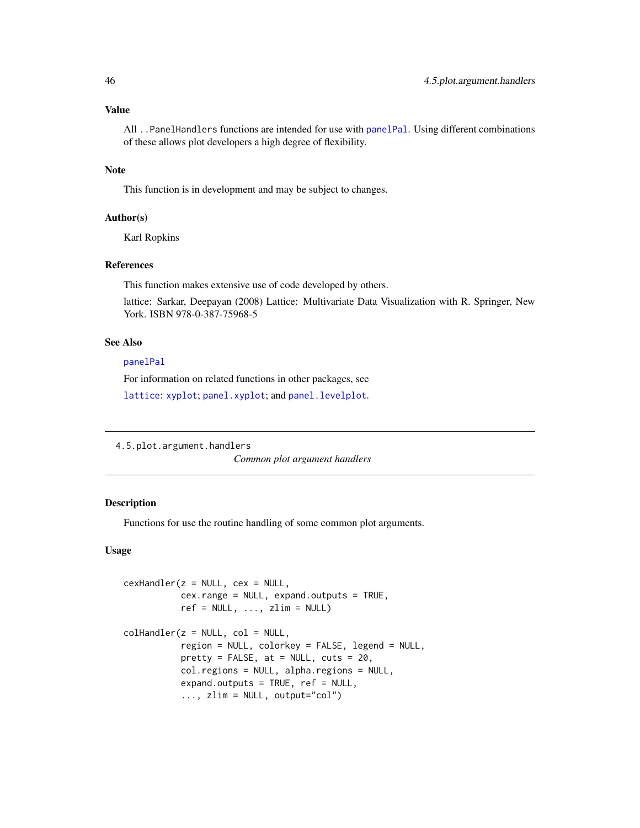### Value

All ..PanelHandlers functions are intended for use with [panelPal](#page-34-1). Using different combinations of these allows plot developers a high degree of flexibility.

#### Note

This function is in development and may be subject to changes.

#### Author(s)

Karl Ropkins

### References

This function makes extensive use of code developed by others.

lattice: Sarkar, Deepayan (2008) Lattice: Multivariate Data Visualization with R. Springer, New York. ISBN 978-0-387-75968-5

### See Also

[panelPal](#page-34-1)

For information on related functions in other packages, see

[lattice](#page-0-0): [xyplot](#page-0-0); [panel.xyplot](#page-0-0); and [panel.levelplot](#page-0-0).

4.5.plot.argument.handlers

*Common plot argument handlers*

### <span id="page-45-1"></span>Description

Functions for use the routine handling of some common plot arguments.

#### Usage

```
cexHandler(z = NULL, cex = NULL,cex.range = NULL, expand.outputs = TRUE,
          ref = NULL, ..., zlim = NULL)collHandler(z = NULL, col = NULL,
           region = NULL, colorkey = FALSE, legend = NULL,
          pretty = FALSE, at = NULL, cuts = 20,
          col.regions = NULL, alpha.regions = NULL,
          expand.outputs = TRUE, ref = NULL,
           ..., zlim = NULL, output="col")
```
<span id="page-45-0"></span>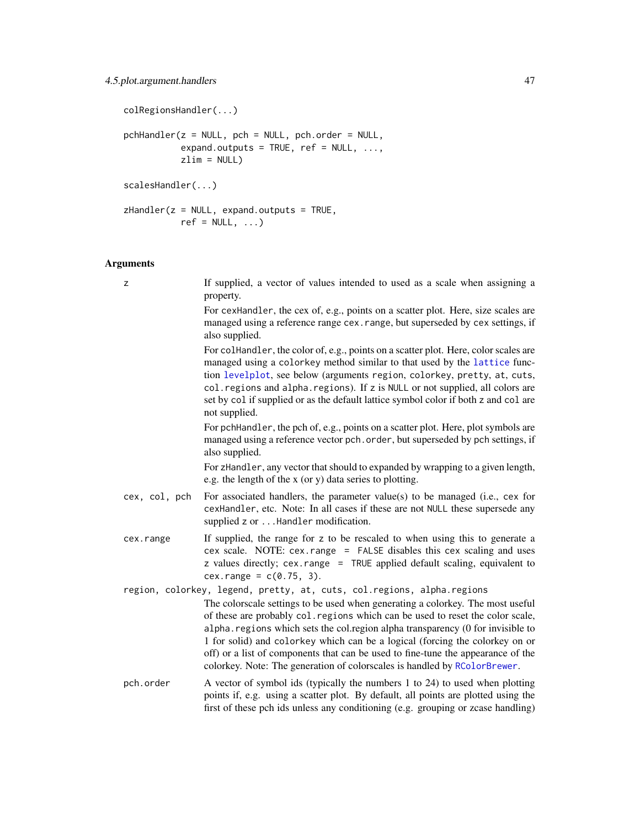```
colRegionsHandler(...)
pchHandler(z = NULL, pch = NULL, pch.order = NULL,
          expand.outputs = TRUE, ref = NULL, ...,zlim = NULL)
scalesHandler(...)
zHandler(z = NULL, expand.outputs = TRUE,
          ref = NULL, ...)
```
### Arguments

| z             | If supplied, a vector of values intended to used as a scale when assigning a<br>property.                                                                                                                                                                                                                                                                                                                                                                                                            |
|---------------|------------------------------------------------------------------------------------------------------------------------------------------------------------------------------------------------------------------------------------------------------------------------------------------------------------------------------------------------------------------------------------------------------------------------------------------------------------------------------------------------------|
|               | For cexHandler, the cex of, e.g., points on a scatter plot. Here, size scales are<br>managed using a reference range cex. range, but superseded by cex settings, if<br>also supplied.                                                                                                                                                                                                                                                                                                                |
|               | For colHandler, the color of, e.g., points on a scatter plot. Here, color scales are<br>managed using a colorkey method similar to that used by the lattice func-<br>tion levelplot, see below (arguments region, colorkey, pretty, at, cuts,<br>col. regions and alpha. regions). If z is NULL or not supplied, all colors are<br>set by col if supplied or as the default lattice symbol color if both z and col are<br>not supplied.                                                              |
|               | For pchHandler, the pch of, e.g., points on a scatter plot. Here, plot symbols are<br>managed using a reference vector pch. order, but superseded by pch settings, if<br>also supplied.                                                                                                                                                                                                                                                                                                              |
|               | For zHandler, any vector that should to expanded by wrapping to a given length,<br>e.g. the length of the x (or y) data series to plotting.                                                                                                                                                                                                                                                                                                                                                          |
| cex, col, pch | For associated handlers, the parameter value(s) to be managed (i.e., cex for<br>cexHandler, etc. Note: In all cases if these are not NULL these supersede any<br>supplied z or Handler modification.                                                                                                                                                                                                                                                                                                 |
| cex.range     | If supplied, the range for z to be rescaled to when using this to generate a<br>cex scale. NOTE: cex. range = FALSE disables this cex scaling and uses<br>z values directly; cex.range = TRUE applied default scaling, equivalent to<br>$cex.\nrange = c(0.75, 3).$                                                                                                                                                                                                                                  |
|               | region, colorkey, legend, pretty, at, cuts, col. regions, alpha. regions                                                                                                                                                                                                                                                                                                                                                                                                                             |
|               | The colorscale settings to be used when generating a colorkey. The most useful<br>of these are probably col. regions which can be used to reset the color scale,<br>alpha. regions which sets the col.region alpha transparency (0 for invisible to<br>1 for solid) and colorkey which can be a logical (forcing the colorkey on or<br>off) or a list of components that can be used to fine-tune the appearance of the<br>colorkey. Note: The generation of colorscales is handled by RColorBrewer. |
| pch.order     | A vector of symbol ids (typically the numbers 1 to 24) to used when plotting<br>points if, e.g. using a scatter plot. By default, all points are plotted using the<br>first of these pch ids unless any conditioning (e.g. grouping or zcase handling)                                                                                                                                                                                                                                               |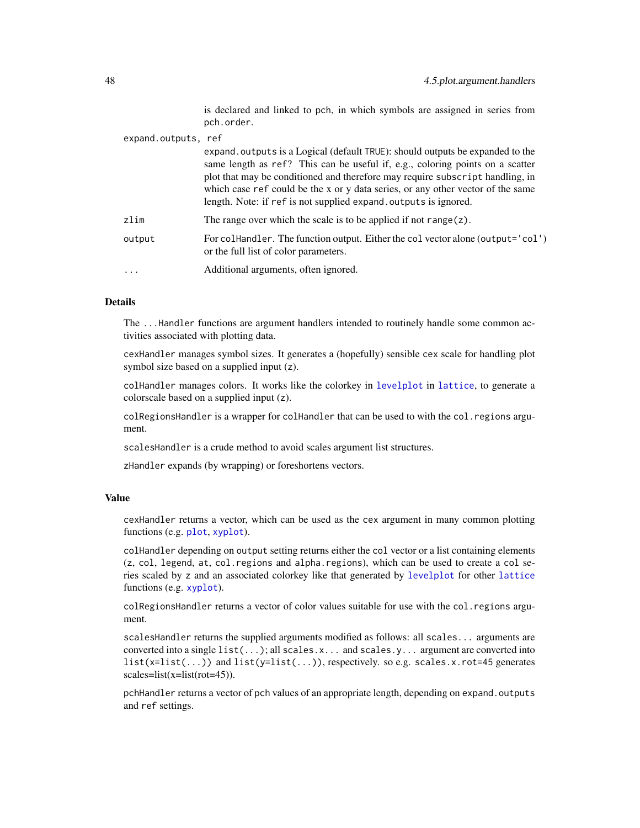is declared and linked to pch, in which symbols are assigned in series from pch.order.

<span id="page-47-0"></span>

| expand.outputs, ref |                                                                                                                                                                                                                                                                                                                                                                                                        |
|---------------------|--------------------------------------------------------------------------------------------------------------------------------------------------------------------------------------------------------------------------------------------------------------------------------------------------------------------------------------------------------------------------------------------------------|
|                     | expand outputs is a Logical (default TRUE): should outputs be expanded to the<br>same length as ref? This can be useful if, e.g., coloring points on a scatter<br>plot that may be conditioned and therefore may require subscript handling, in<br>which case ref could be the x or y data series, or any other vector of the same<br>length. Note: if ref is not supplied expand. outputs is ignored. |
| zlim                | The range over which the scale is to be applied if not range $(z)$ .                                                                                                                                                                                                                                                                                                                                   |
| output              | For colland ler. The function output. Either the colvector alone (output='col')<br>or the full list of color parameters.                                                                                                                                                                                                                                                                               |
|                     | Additional arguments, often ignored.                                                                                                                                                                                                                                                                                                                                                                   |

### Details

The ...Handler functions are argument handlers intended to routinely handle some common activities associated with plotting data.

cexHandler manages symbol sizes. It generates a (hopefully) sensible cex scale for handling plot symbol size based on a supplied input (z).

colHandler manages colors. It works like the colorkey in [levelplot](#page-0-0) in [lattice](#page-0-0), to generate a colorscale based on a supplied input (z).

colRegionsHandler is a wrapper for colHandler that can be used to with the col.regions argument.

scalesHandler is a crude method to avoid scales argument list structures.

zHandler expands (by wrapping) or foreshortens vectors.

#### Value

cexHandler returns a vector, which can be used as the cex argument in many common plotting functions (e.g. [plot](#page-0-0), [xyplot](#page-0-0)).

colHandler depending on output setting returns either the col vector or a list containing elements (z, col, legend, at, col.regions and alpha.regions), which can be used to create a col series scaled by z and an associated colorkey like that generated by [levelplot](#page-0-0) for other [lattice](#page-0-0) functions (e.g. [xyplot](#page-0-0)).

colRegionsHandler returns a vector of color values suitable for use with the col.regions argument.

scalesHandler returns the supplied arguments modified as follows: all scales... arguments are converted into a single list(...); all scales.x... and scales.y... argument are converted into  $list(x=list(...) )$  and  $list(y=list(...) )$ , respectively. so e.g. scales.x.rot=45 generates scales=list(x=list(rot=45)).

pchHandler returns a vector of pch values of an appropriate length, depending on expand.outputs and ref settings.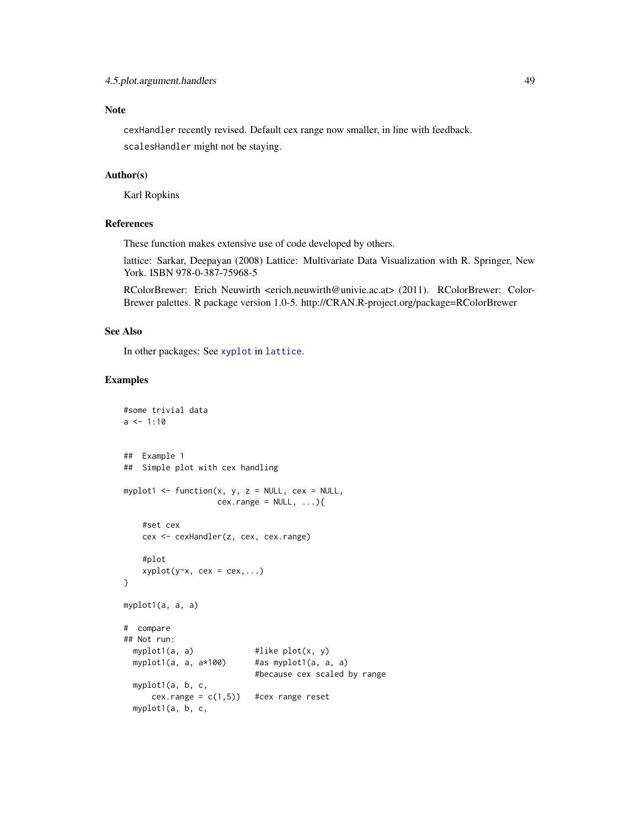### <span id="page-48-0"></span>Note

cexHandler recently revised. Default cex range now smaller, in line with feedback. scalesHandler might not be staying.

#### Author(s)

Karl Ropkins

### References

These function makes extensive use of code developed by others.

lattice: Sarkar, Deepayan (2008) Lattice: Multivariate Data Visualization with R. Springer, New York. ISBN 978-0-387-75968-5

RColorBrewer: Erich Neuwirth <erich.neuwirth@univie.ac.at> (2011). RColorBrewer: Color-Brewer palettes. R package version 1.0-5. http://CRAN.R-project.org/package=RColorBrewer

#### See Also

In other packages: See [xyplot](#page-0-0) in [lattice](#page-0-0).

#### Examples

```
#some trivial data
a \le -1:10## Example 1
## Simple plot with cex handling
myplot1 <- function(x, y, z = NULL, cex = NULL,
                   cex.random = NULL, ...#set cex
   cex <- cexHandler(z, cex, cex.range)
    #plot
    xyplot(y-x, cex = cex,...)}
myplot1(a, a, a)
# compare
## Not run:
 myplot1(a, a) \qquad #like plot(x, y)
 myplot1(a, a, a*100) #as myplot1(a, a, a)
                           #because cex scaled by range
 myplot1(a, b, c,
     cex.range = c(1,5)) #cex range reset
 myplot1(a, b, c,
```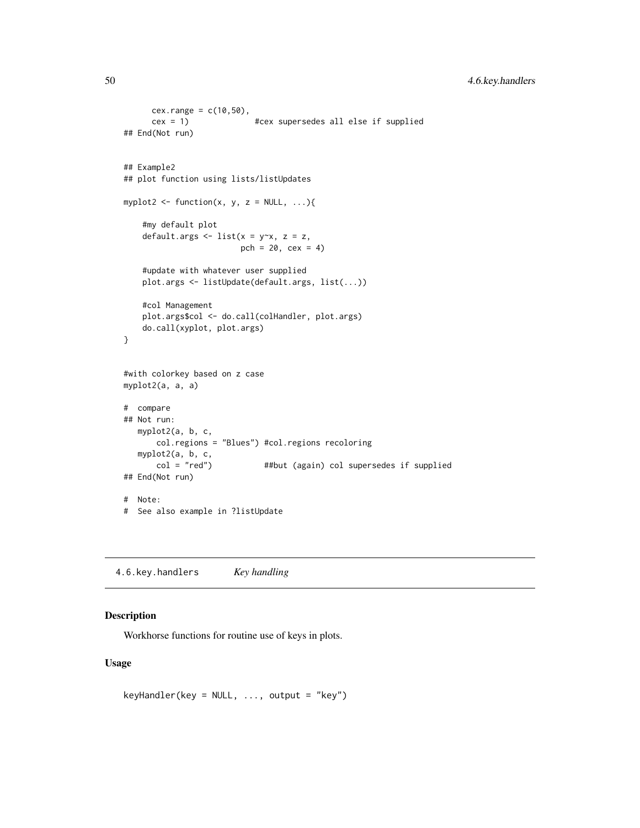```
cex.random = c(10,50),
      cex = 1) #cex supersedes all else if supplied
## End(Not run)
## Example2
## plot function using lists/listUpdates
myplot2 <- function(x, y, z = NULL, \ldots){
    #my default plot
    default.args \le list(x = y\approxx, z = z,
                         pch = 20, cex = 4)
    #update with whatever user supplied
    plot.args <- listUpdate(default.args, list(...))
    #col Management
   plot.args$col <- do.call(colHandler, plot.args)
    do.call(xyplot, plot.args)
}
#with colorkey based on z case
myplot2(a, a, a)
# compare
## Not run:
  myplot2(a, b, c,
       col.regions = "Blues") #col.regions recoloring
   myplot2(a, b, c, col = "red")##but (again) col supersedes if supplied
## End(Not run)
# Note:
# See also example in ?listUpdate
```
4.6.key.handlers *Key handling*

### <span id="page-49-1"></span>Description

Workhorse functions for routine use of keys in plots.

#### Usage

keyHandler(key = NULL, ..., output = "key")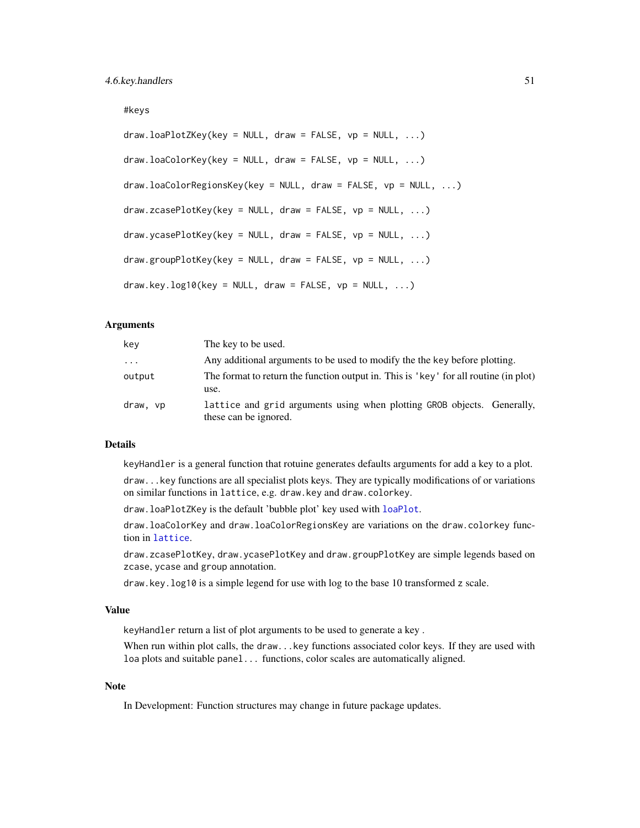#### <span id="page-50-0"></span>#keys

```
draw.loadPlotZKey(key = NULL, draw = FALSE, vp = NULL, ...)draw.loadCorKey(key = NULL, draw = FALSE, vp = NULL, ...)draw.loaColorRegionsKey(key = NULL, draw = FALSE, vp = NULL, ...)
draw.zcasePlotKey(key = NULL, draw = FALSE, vp = NULL, ...)
draw.ycasePlotKey(key = NULL, draw = FALSE, vp = NULL, ...)
draw.groupPlotKey(key = NULL, draw = FALSE, vp = NULL, ...)
draw-key.log10(key = NULL, draw = FALSE, vp = NULL, ...)
```
#### Arguments

| key      | The key to be used.                                                                              |
|----------|--------------------------------------------------------------------------------------------------|
| $\cdots$ | Any additional arguments to be used to modify the the key before plotting.                       |
| output   | The format to return the function output in. This is 'key' for all routine (in plot)<br>use.     |
| draw, vp | lattice and grid arguments using when plotting GROB objects. Generally,<br>these can be ignored. |

#### Details

keyHandler is a general function that rotuine generates defaults arguments for add a key to a plot.

draw...key functions are all specialist plots keys. They are typically modifications of or variations on similar functions in lattice, e.g. draw.key and draw.colorkey.

draw.loaPlotZKey is the default 'bubble plot' key used with [loaPlot](#page-3-1).

draw.loaColorKey and draw.loaColorRegionsKey are variations on the draw.colorkey function in [lattice](#page-0-0).

draw.zcasePlotKey, draw.ycasePlotKey and draw.groupPlotKey are simple legends based on zcase, ycase and group annotation.

draw.key.log10 is a simple legend for use with log to the base 10 transformed z scale.

#### Value

keyHandler return a list of plot arguments to be used to generate a key .

When run within plot calls, the draw...key functions associated color keys. If they are used with loa plots and suitable panel... functions, color scales are automatically aligned.

#### **Note**

In Development: Function structures may change in future package updates.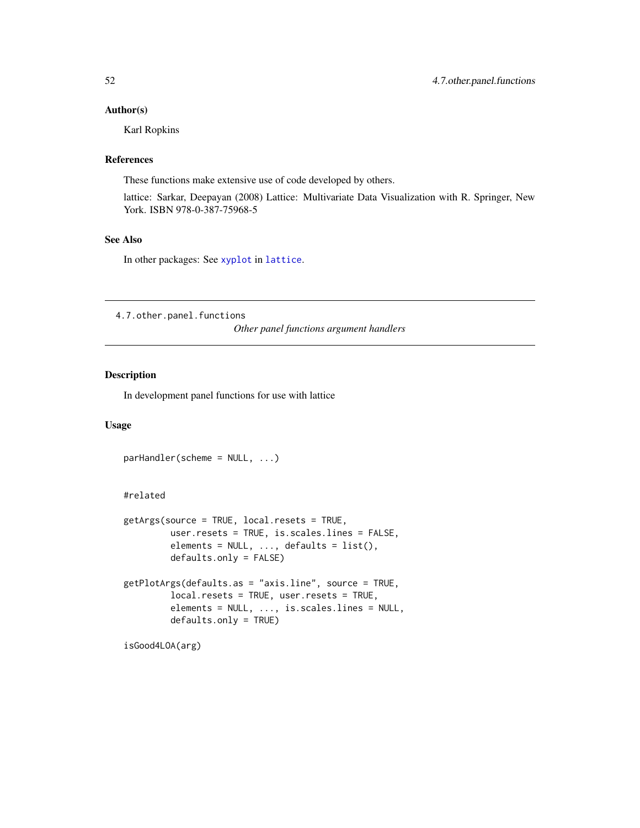#### <span id="page-51-0"></span>Author(s)

Karl Ropkins

#### References

These functions make extensive use of code developed by others.

lattice: Sarkar, Deepayan (2008) Lattice: Multivariate Data Visualization with R. Springer, New York. ISBN 978-0-387-75968-5

### See Also

In other packages: See [xyplot](#page-0-0) in [lattice](#page-0-0).

4.7.other.panel.functions

*Other panel functions argument handlers*

### <span id="page-51-1"></span>Description

In development panel functions for use with lattice

### Usage

```
parHandler(scheme = NULL, ...)
```
### #related

```
getArgs(source = TRUE, local.resets = TRUE,
        user.resets = TRUE, is.scales.lines = FALSE,
         elements = NULL, ..., defaults = list(),defaults.only = FALSE)
getPlotArgs(defaults.as = "axis.line", source = TRUE,
        local.resets = TRUE, user.resets = TRUE,
         elements = NULL, ..., is.scales.lines = NULL,
        defaults.only = TRUE)
```

```
isGood4LOA(arg)
```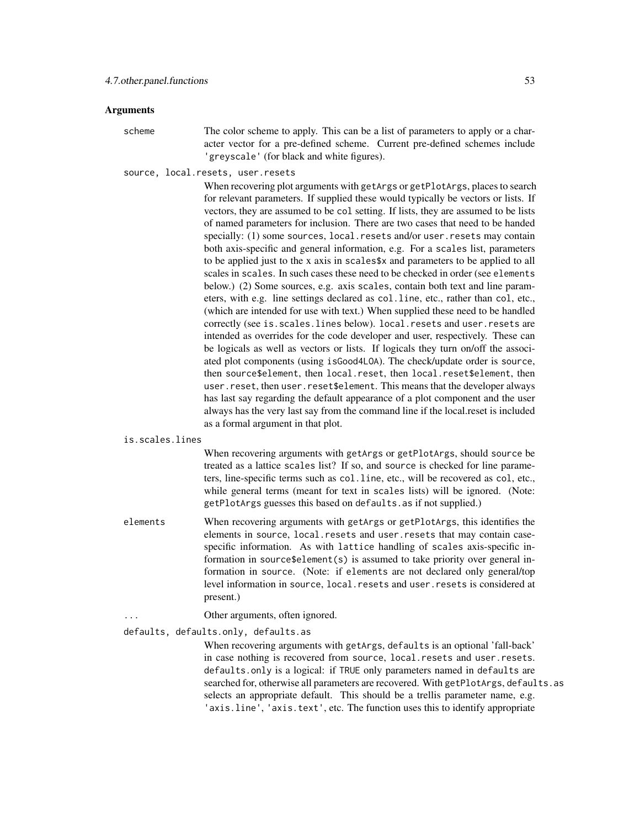#### Arguments

scheme The color scheme to apply. This can be a list of parameters to apply or a character vector for a pre-defined scheme. Current pre-defined schemes include 'greyscale' (for black and white figures).

source, local.resets, user.resets

When recovering plot arguments with getArgs or getPlotArgs, places to search for relevant parameters. If supplied these would typically be vectors or lists. If vectors, they are assumed to be col setting. If lists, they are assumed to be lists of named parameters for inclusion. There are two cases that need to be handed specially: (1) some sources, local.resets and/or user.resets may contain both axis-specific and general information, e.g. For a scales list, parameters to be applied just to the x axis in scales\$x and parameters to be applied to all scales in scales. In such cases these need to be checked in order (see elements below.) (2) Some sources, e.g. axis scales, contain both text and line parameters, with e.g. line settings declared as col.line, etc., rather than col, etc., (which are intended for use with text.) When supplied these need to be handled correctly (see is.scales.lines below). local.resets and user.resets are intended as overrides for the code developer and user, respectively. These can be logicals as well as vectors or lists. If logicals they turn on/off the associated plot components (using isGood4LOA). The check/update order is source, then source\$element, then local.reset, then local.reset\$element, then user.reset, then user.reset\$element. This means that the developer always has last say regarding the default appearance of a plot component and the user always has the very last say from the command line if the local.reset is included as a formal argument in that plot.

is.scales.lines

When recovering arguments with getArgs or getPlotArgs, should source be treated as a lattice scales list? If so, and source is checked for line parameters, line-specific terms such as col.line, etc., will be recovered as col, etc., while general terms (meant for text in scales lists) will be ignored. (Note: getPlotArgs guesses this based on defaults.as if not supplied.)

- elements When recovering arguments with getArgs or getPlotArgs, this identifies the elements in source, local.resets and user.resets that may contain casespecific information. As with lattice handling of scales axis-specific information in source\$element(s) is assumed to take priority over general information in source. (Note: if elements are not declared only general/top level information in source, local.resets and user.resets is considered at present.)
	- Other arguments, often ignored.

defaults, defaults.only, defaults.as

When recovering arguments with getArgs, defaults is an optional 'fall-back' in case nothing is recovered from source, local.resets and user.resets. defaults.only is a logical: if TRUE only parameters named in defaults are searched for, otherwise all parameters are recovered. With getPlotArgs, defaults.as selects an appropriate default. This should be a trellis parameter name, e.g. 'axis.line', 'axis.text', etc. The function uses this to identify appropriate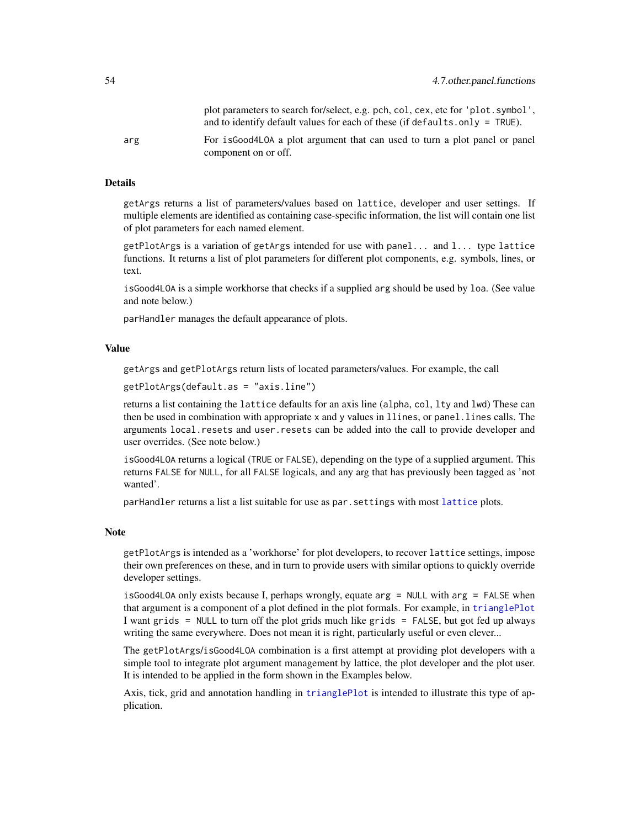<span id="page-53-0"></span>

|     | plot parameters to search for/select, e.g. pch, col, cex, etc for 'plot.symbol',<br>and to identify default values for each of these (if defaults, only $=$ TRUE). |
|-----|--------------------------------------------------------------------------------------------------------------------------------------------------------------------|
| arg | For is Good 4 LOA a plot argument that can used to turn a plot panel or panel<br>component on or off.                                                              |

#### Details

getArgs returns a list of parameters/values based on lattice, developer and user settings. If multiple elements are identified as containing case-specific information, the list will contain one list of plot parameters for each named element.

getPlotArgs is a variation of getArgs intended for use with panel... and l... type lattice functions. It returns a list of plot parameters for different plot components, e.g. symbols, lines, or text.

isGood4LOA is a simple workhorse that checks if a supplied arg should be used by loa. (See value and note below.)

parHandler manages the default appearance of plots.

#### Value

getArgs and getPlotArgs return lists of located parameters/values. For example, the call

```
getPlotArgs(default.as = "axis.line")
```
returns a list containing the lattice defaults for an axis line (alpha, col, lty and lwd) These can then be used in combination with appropriate x and y values in llines, or panel.lines calls. The arguments local.resets and user.resets can be added into the call to provide developer and user overrides. (See note below.)

isGood4LOA returns a logical (TRUE or FALSE), depending on the type of a supplied argument. This returns FALSE for NULL, for all FALSE logicals, and any arg that has previously been tagged as 'not wanted'.

parHandler returns a list a list suitable for use as par.settings with most [lattice](#page-0-0) plots.

#### Note

getPlotArgs is intended as a 'workhorse' for plot developers, to recover lattice settings, impose their own preferences on these, and in turn to provide users with similar options to quickly override developer settings.

isGood4LOA only exists because I, perhaps wrongly, equate arg = NULL with arg = FALSE when that argument is a component of a plot defined in the plot formals. For example, in [trianglePlot](#page-13-1) I want grids = NULL to turn off the plot grids much like grids = FALSE, but got fed up always writing the same everywhere. Does not mean it is right, particularly useful or even clever...

The getPlotArgs/isGood4LOA combination is a first attempt at providing plot developers with a simple tool to integrate plot argument management by lattice, the plot developer and the plot user. It is intended to be applied in the form shown in the Examples below.

Axis, tick, grid and annotation handling in [trianglePlot](#page-13-1) is intended to illustrate this type of application.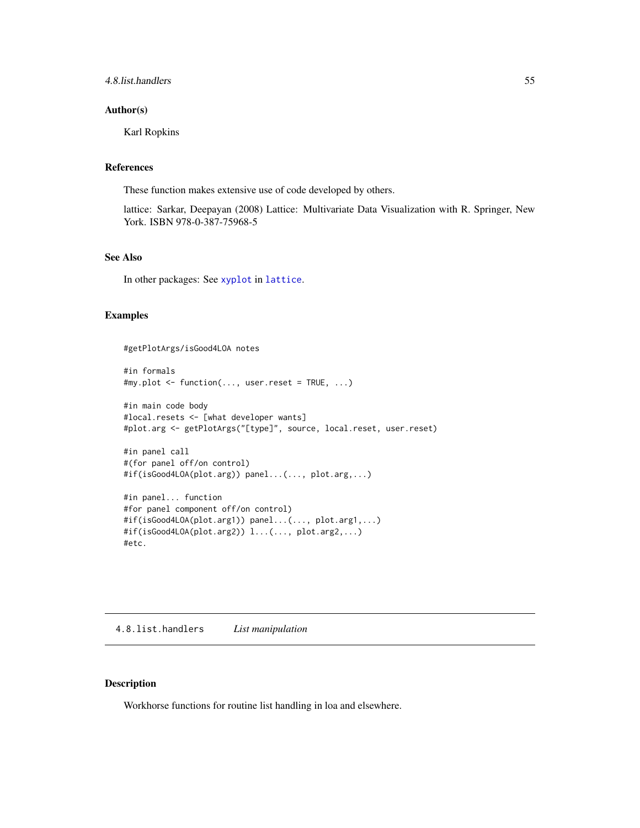#### <span id="page-54-0"></span>4.8.list.handlers 55

#### Author(s)

Karl Ropkins

#### References

These function makes extensive use of code developed by others.

lattice: Sarkar, Deepayan (2008) Lattice: Multivariate Data Visualization with R. Springer, New York. ISBN 978-0-387-75968-5

### See Also

In other packages: See [xyplot](#page-0-0) in [lattice](#page-0-0).

#### Examples

#getPlotArgs/isGood4LOA notes

```
#in formals
#my.plot <- function(..., user.reset = TRUE, ...)
#in main code body
#local.resets <- [what developer wants]
#plot.arg <- getPlotArgs("[type]", source, local.reset, user.reset)
```

```
#in panel call
#(for panel off/on control)
#if(isGood4LOA(plot.arg)) panel...(..., plot.arg,...)
```

```
#in panel... function
#for panel component off/on control)
#if(isGood4LOA(plot.arg1)) panel...(..., plot.arg1,...)
#if(isGood4LOA(plot.arg2)) l...(..., plot.arg2,...)
#etc.
```
4.8.list.handlers *List manipulation*

### <span id="page-54-1"></span>Description

Workhorse functions for routine list handling in loa and elsewhere.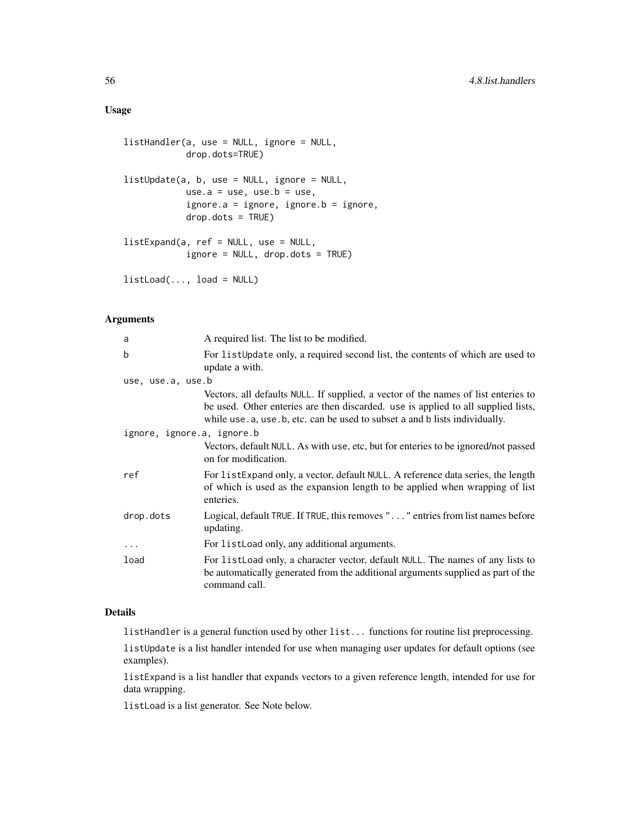### Usage

```
listHandler(a, use = NULL, ignore = NULL,
            drop.dots=TRUE)
listUpdate(a, b, use = NULL, ignore = NULL,
            use.a = use, use.b = use,
            ignore.a = ignore, ignore.b = ignore,
            drop.dots = TRUE)
listExpand(a, ref = NULL, use = NULL,
            ignore = NULL, drop.dots = TRUE)
listLoad(..., load = NULL)
```
### Arguments

| a                          | A required list. The list to be modified.                                                                                                                                                                                                             |
|----------------------------|-------------------------------------------------------------------------------------------------------------------------------------------------------------------------------------------------------------------------------------------------------|
| b                          | For list Update only, a required second list, the contents of which are used to<br>update a with.                                                                                                                                                     |
| use, use.a, use.b          |                                                                                                                                                                                                                                                       |
|                            | Vectors, all defaults NULL. If supplied, a vector of the names of list enteries to<br>be used. Other enteries are then discarded. use is applied to all supplied lists,<br>while use a, use b, etc. can be used to subset a and b lists individually. |
| ignore, ignore.a, ignore.b |                                                                                                                                                                                                                                                       |
|                            | Vectors, default NULL. As with use, etc, but for enteries to be ignored/not passed<br>on for modification.                                                                                                                                            |
| ref                        | For list Expand only, a vector, default NULL. A reference data series, the length<br>of which is used as the expansion length to be applied when wrapping of list<br>enteries.                                                                        |
| drop.dots                  | Logical, default TRUE. If TRUE, this removes "" entries from list names before<br>updating.                                                                                                                                                           |
| $\ddots$                   | For list Load only, any additional arguments.                                                                                                                                                                                                         |
| load                       | For list Load only, a character vector, default NULL. The names of any lists to<br>be automatically generated from the additional arguments supplied as part of the<br>command call.                                                                  |

#### Details

listHandler is a general function used by other list... functions for routine list preprocessing.

listUpdate is a list handler intended for use when managing user updates for default options (see examples).

listExpand is a list handler that expands vectors to a given reference length, intended for use for data wrapping.

listLoad is a list generator. See Note below.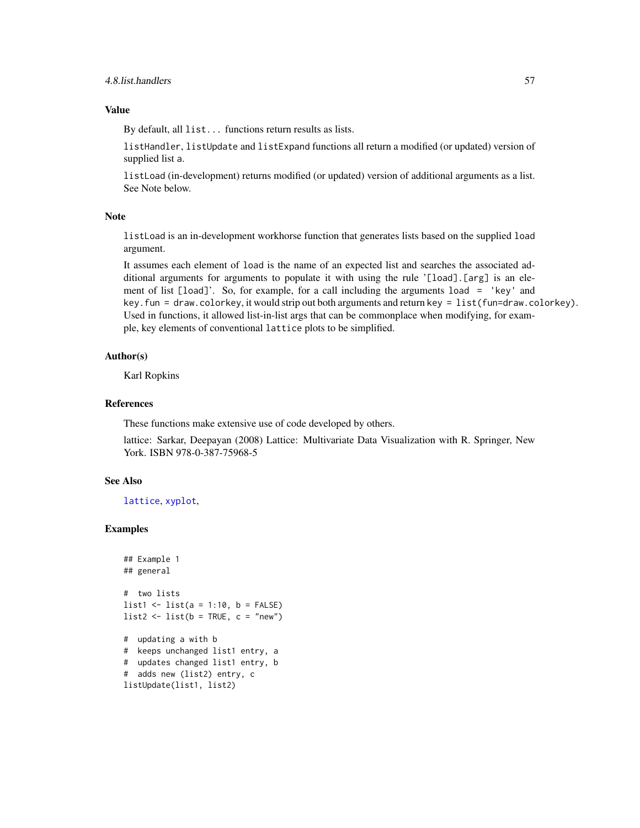### <span id="page-56-0"></span>Value

By default, all list... functions return results as lists.

listHandler, listUpdate and listExpand functions all return a modified (or updated) version of supplied list a.

listLoad (in-development) returns modified (or updated) version of additional arguments as a list. See Note below.

#### Note

listLoad is an in-development workhorse function that generates lists based on the supplied load argument.

It assumes each element of load is the name of an expected list and searches the associated additional arguments for arguments to populate it with using the rule '[load].[arg] is an element of list [load]'. So, for example, for a call including the arguments load = 'key' and key.fun = draw.colorkey, it would strip out both arguments and return key = list(fun=draw.colorkey). Used in functions, it allowed list-in-list args that can be commonplace when modifying, for example, key elements of conventional lattice plots to be simplified.

#### Author(s)

Karl Ropkins

### References

These functions make extensive use of code developed by others.

lattice: Sarkar, Deepayan (2008) Lattice: Multivariate Data Visualization with R. Springer, New York. ISBN 978-0-387-75968-5

### See Also

[lattice](#page-0-0), [xyplot](#page-0-0),

### Examples

```
## Example 1
## general
# two lists
list1 <- list(a = 1:10, b = FALSE)
list2 \leftarrow list(b = TRUE, c = "new")# updating a with b
# keeps unchanged list1 entry, a
# updates changed list1 entry, b
# adds new (list2) entry, c
listUpdate(list1, list2)
```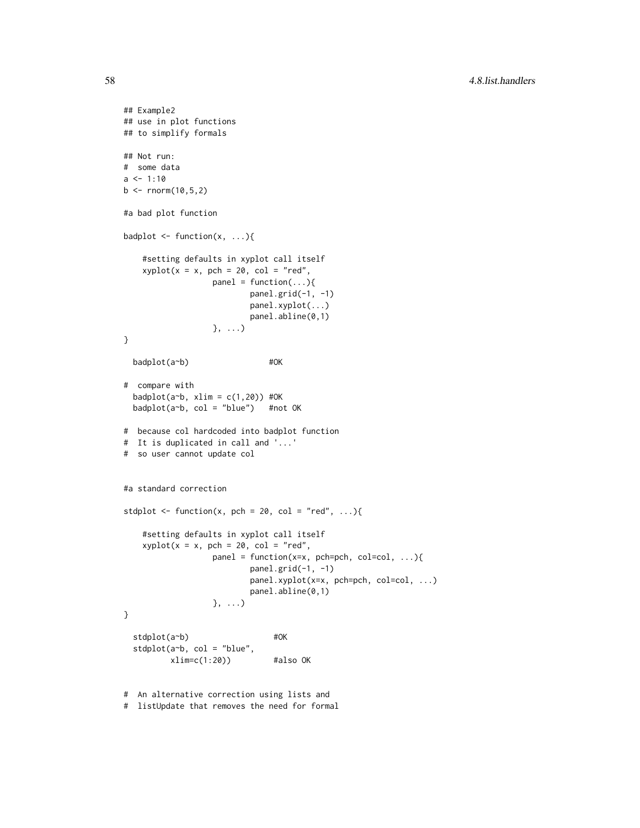```
## Example2
## use in plot functions
## to simplify formals
## Not run:
# some data
a \le -1:10b \le rnorm(10,5,2)
#a bad plot function
badplot \leq function(x, ...){
    #setting defaults in xyplot call itself
   xyplot(x = x, pch = 20, col = "red",panel = function(...){}panel.grid(-1, -1)
                          panel.xyplot(...)
                          panel.abline(0,1)
                  }, ...)
}
 badplot(a~b) #OK
# compare with
 badplot(a~b, xlim = c(1,20)) #OK
 badplot(a~b, col = "blue") #not OK
# because col hardcoded into badplot function
# It is duplicated in call and '...'
# so user cannot update col
#a standard correction
stdplot \leq function(x, pch = 20, col = "red", ...){
    #setting defaults in xyplot call itself
    xyplot(x = x, pch = 20, col = "red",panel = function(x=x, pch=pch, col=col, \dots){
                          panel.grid(-1, -1)
                          panel.xyplot(x=x, pch=pch, col=col, ...)
                          panel.abline(0,1)
                  }, ...)
}
 stdplot(a~b) #OK
 stdplot(a~b, col = "blue",
         xlim=c(1:20) #also OK
# An alternative correction using lists and
```

```
# listUpdate that removes the need for formal
```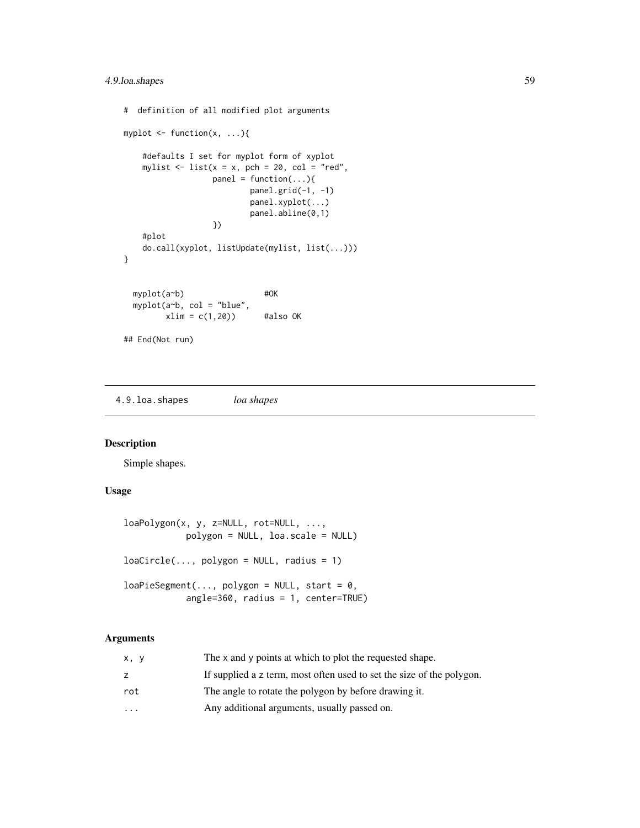```
# definition of all modified plot arguments
myplot \leq function(x, ...){
    #defaults I set for myplot form of xyplot
   mylist \le list(x = x, pch = 20, col = "red",
                  panel = function(...){
                         panel.grid(-1, -1)
                         panel.xyplot(...)
                         panel.abline(0,1)
                  })
    #plot
    do.call(xyplot, listUpdate(mylist, list(...)))
}
 myplot(a~b) #OK
 myplot(a~b, col = "blue",
        xlim = c(1,20) #also OK
## End(Not run)
```
4.9.loa.shapes *loa shapes*

### <span id="page-58-1"></span>Description

Simple shapes.

### Usage

```
loaPolygon(x, y, z=NULL, rot=NULL, ...,
           polygon = NULL, loa.scale = NULL)
loacircle(..., polygon = NULL, radius = 1)loaPieSegment(..., polygon = NULL, start = 0,angle=360, radius = 1, center=TRUE)
```
### Arguments

| x, y              | The x and y points at which to plot the requested shape.              |
|-------------------|-----------------------------------------------------------------------|
| z                 | If supplied a z term, most often used to set the size of the polygon. |
| rot               | The angle to rotate the polygon by before drawing it.                 |
| $\cdot\cdot\cdot$ | Any additional arguments, usually passed on.                          |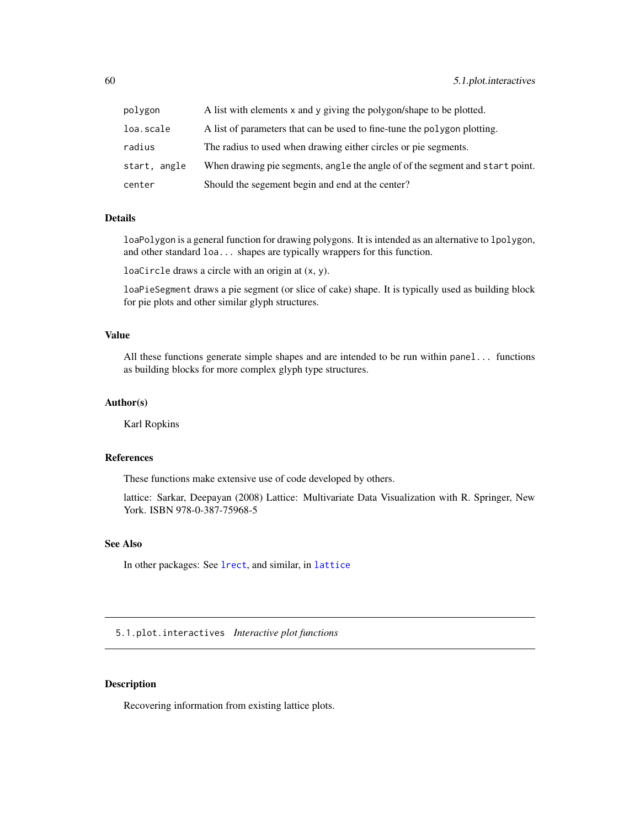<span id="page-59-0"></span>

| polygon      | A list with elements x and y giving the polygon/shape to be plotted.          |
|--------------|-------------------------------------------------------------------------------|
| loa.scale    | A list of parameters that can be used to fine-tune the polygon plotting.      |
| radius       | The radius to used when drawing either circles or pie segments.               |
| start, angle | When drawing pie segments, angle the angle of of the segment and start point. |
| center       | Should the segement begin and end at the center?                              |

### Details

loaPolygon is a general function for drawing polygons. It is intended as an alternative to lpolygon, and other standard loa... shapes are typically wrappers for this function.

loaCircle draws a circle with an origin at (x, y).

loaPieSegment draws a pie segment (or slice of cake) shape. It is typically used as building block for pie plots and other similar glyph structures.

#### Value

All these functions generate simple shapes and are intended to be run within panel... functions as building blocks for more complex glyph type structures.

#### Author(s)

Karl Ropkins

#### References

These functions make extensive use of code developed by others.

lattice: Sarkar, Deepayan (2008) Lattice: Multivariate Data Visualization with R. Springer, New York. ISBN 978-0-387-75968-5

### See Also

In other packages: See [lrect](#page-0-0), and similar, in [lattice](#page-0-0)

5.1.plot.interactives *Interactive plot functions*

### <span id="page-59-1"></span>Description

Recovering information from existing lattice plots.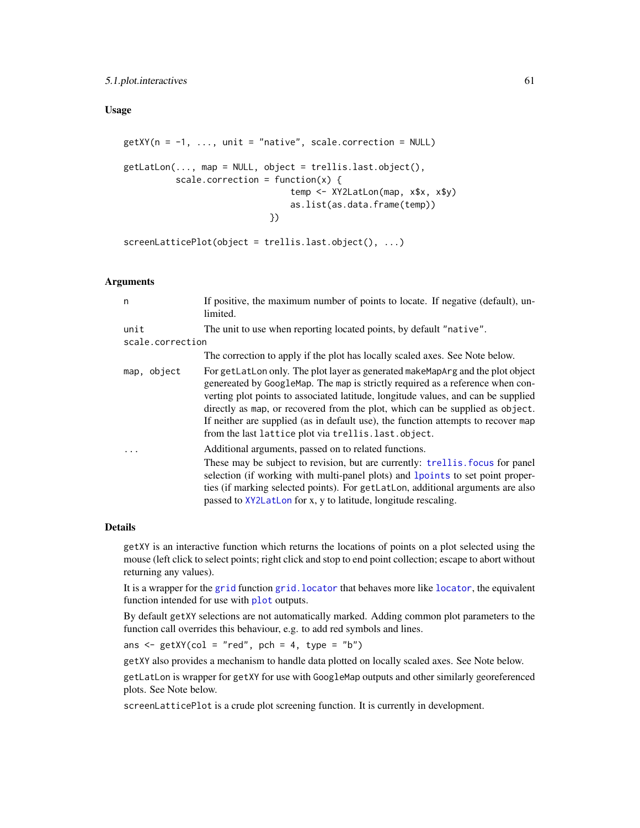### <span id="page-60-0"></span>5.1.plot.interactives 61

### Usage

```
getXY(n = -1, ..., unit = "native", scale-correction = NULL)getLatLon(..., map = NULL, object = trellis.last.object(),
          scale.correction = function(x) {
                                temp <- XY2LatLon(map, x$x, x$y)
                                as.list(as.data.frame(temp))
                            })
screenLatticePlot(object = trellis.last.object(), ...)
```
#### Arguments

| n                        | If positive, the maximum number of points to locate. If negative (default), un-<br>limited.                                                                                                                                                                                                                                                                                                                                                                                          |
|--------------------------|--------------------------------------------------------------------------------------------------------------------------------------------------------------------------------------------------------------------------------------------------------------------------------------------------------------------------------------------------------------------------------------------------------------------------------------------------------------------------------------|
| unit<br>scale.correction | The unit to use when reporting located points, by default "native".                                                                                                                                                                                                                                                                                                                                                                                                                  |
|                          | The correction to apply if the plot has locally scaled axes. See Note below.                                                                                                                                                                                                                                                                                                                                                                                                         |
| map, object              | For getLatLon only. The plot layer as generated makeMapArg and the plot object<br>genereated by GoogleMap. The map is strictly required as a reference when con-<br>verting plot points to associated latitude, longitude values, and can be supplied<br>directly as map, or recovered from the plot, which can be supplied as object.<br>If neither are supplied (as in default use), the function attempts to recover map<br>from the last lattice plot via trellis. last. object. |
| .                        | Additional arguments, passed on to related functions.                                                                                                                                                                                                                                                                                                                                                                                                                                |
|                          | These may be subject to revision, but are currently: trellis. focus for panel<br>selection (if working with multi-panel plots) and lpoints to set point proper-<br>ties (if marking selected points). For getLatLon, additional arguments are also<br>passed to XY2LatLon for x, y to latitude, longitude rescaling.                                                                                                                                                                 |

#### Details

getXY is an interactive function which returns the locations of points on a plot selected using the mouse (left click to select points; right click and stop to end point collection; escape to abort without returning any values).

It is a wrapper for the [grid](#page-0-0) function [grid.locator](#page-0-0) that behaves more like [locator](#page-0-0), the equivalent function intended for use with [plot](#page-0-0) outputs.

By default getXY selections are not automatically marked. Adding common plot parameters to the function call overrides this behaviour, e.g. to add red symbols and lines.

ans  $\leq$  getXY(col = "red", pch = 4, type = "b")

getXY also provides a mechanism to handle data plotted on locally scaled axes. See Note below.

getLatLon is wrapper for getXY for use with GoogleMap outputs and other similarly georeferenced plots. See Note below.

screenLatticePlot is a crude plot screening function. It is currently in development.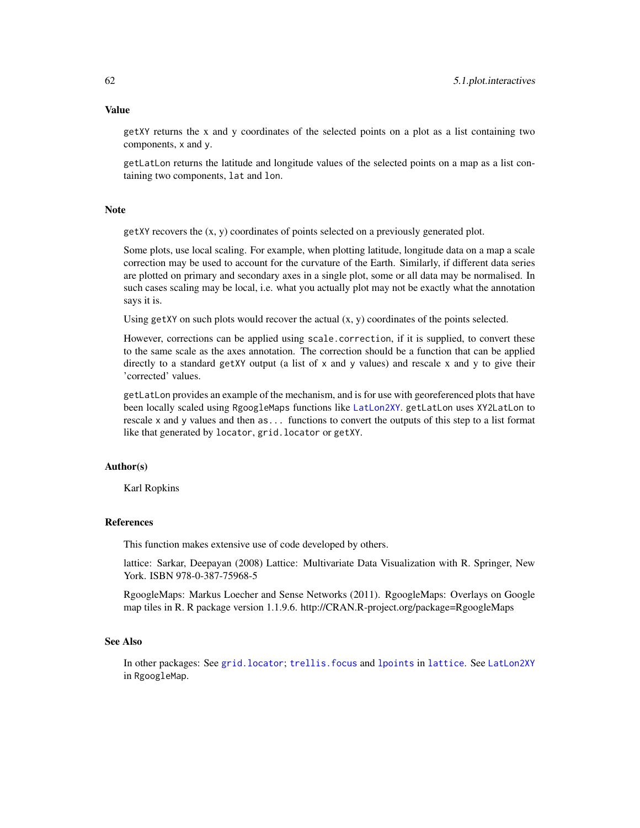getXY returns the x and y coordinates of the selected points on a plot as a list containing two components, x and y.

getLatLon returns the latitude and longitude values of the selected points on a map as a list containing two components, lat and lon.

#### Note

 $g$ etXY recovers the  $(x, y)$  coordinates of points selected on a previously generated plot.

Some plots, use local scaling. For example, when plotting latitude, longitude data on a map a scale correction may be used to account for the curvature of the Earth. Similarly, if different data series are plotted on primary and secondary axes in a single plot, some or all data may be normalised. In such cases scaling may be local, i.e. what you actually plot may not be exactly what the annotation says it is.

Using getXY on such plots would recover the actual  $(x, y)$  coordinates of the points selected.

However, corrections can be applied using scale.correction, if it is supplied, to convert these to the same scale as the axes annotation. The correction should be a function that can be applied directly to a standard getXY output (a list of  $x$  and  $y$  values) and rescale  $x$  and  $y$  to give their 'corrected' values.

getLatLon provides an example of the mechanism, and is for use with georeferenced plots that have been locally scaled using RgoogleMaps functions like [LatLon2XY](#page-0-0). getLatLon uses XY2LatLon to rescale x and y values and then as... functions to convert the outputs of this step to a list format like that generated by locator, grid.locator or getXY.

#### Author(s)

Karl Ropkins

### References

This function makes extensive use of code developed by others.

lattice: Sarkar, Deepayan (2008) Lattice: Multivariate Data Visualization with R. Springer, New York. ISBN 978-0-387-75968-5

RgoogleMaps: Markus Loecher and Sense Networks (2011). RgoogleMaps: Overlays on Google map tiles in R. R package version 1.1.9.6. http://CRAN.R-project.org/package=RgoogleMaps

#### See Also

In other packages: See [grid.locator](#page-0-0); [trellis.focus](#page-0-0) and [lpoints](#page-0-0) in [lattice](#page-0-0). See [LatLon2XY](#page-0-0) in RgoogleMap.

#### <span id="page-61-0"></span>Value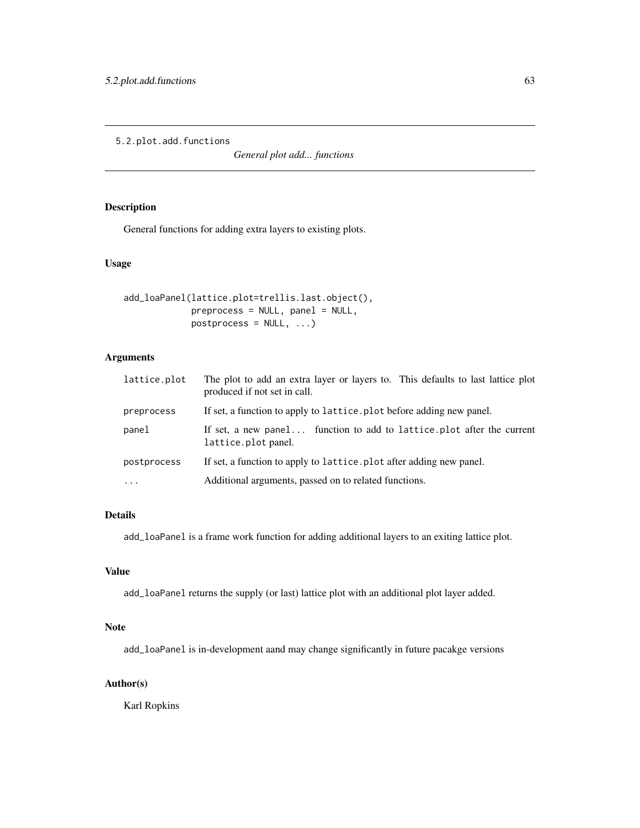<span id="page-62-0"></span>5.2.plot.add.functions

*General plot add... functions*

### Description

General functions for adding extra layers to existing plots.

### Usage

```
add_loaPanel(lattice.plot=trellis.last.object(),
            preprocess = NULL, panel = NULL,
            postprocess = NULL, ...)
```
### Arguments

| lattice.plot      | The plot to add an extra layer or layers to. This defaults to last lattice plot<br>produced if not set in call. |
|-------------------|-----------------------------------------------------------------------------------------------------------------|
| preprocess        | If set, a function to apply to lattice. plot before adding new panel.                                           |
| panel             | If set, a new panel function to add to lattice.plot after the current<br>lattice.plot panel.                    |
| postprocess       | If set, a function to apply to lattice. plot after adding new panel.                                            |
| $\cdot\cdot\cdot$ | Additional arguments, passed on to related functions.                                                           |

### Details

add\_loaPanel is a frame work function for adding additional layers to an exiting lattice plot.

### Value

add\_loaPanel returns the supply (or last) lattice plot with an additional plot layer added.

### Note

add\_loaPanel is in-development aand may change significantly in future pacakge versions

### Author(s)

Karl Ropkins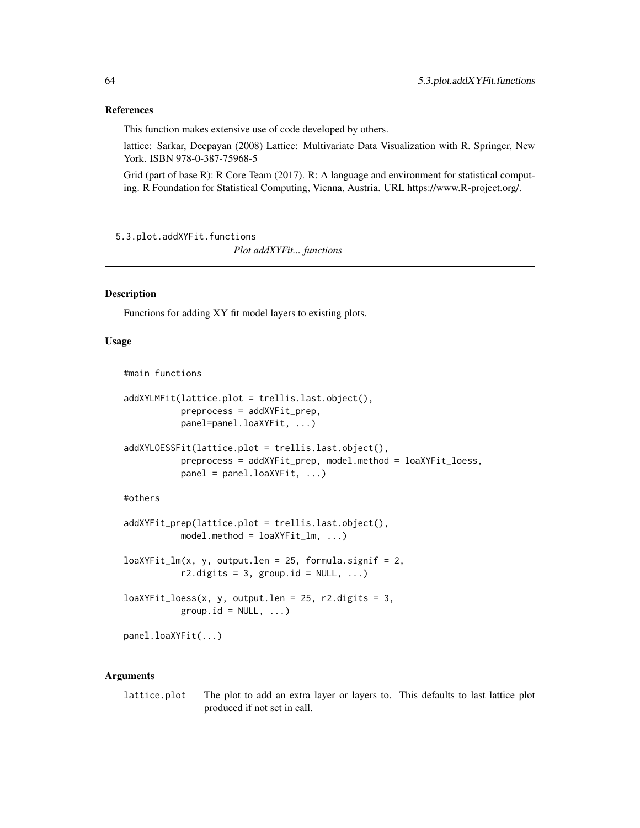#### <span id="page-63-0"></span>References

This function makes extensive use of code developed by others.

lattice: Sarkar, Deepayan (2008) Lattice: Multivariate Data Visualization with R. Springer, New York. ISBN 978-0-387-75968-5

Grid (part of base R): R Core Team (2017). R: A language and environment for statistical computing. R Foundation for Statistical Computing, Vienna, Austria. URL https://www.R-project.org/.

5.3.plot.addXYFit.functions

*Plot addXYFit... functions*

### **Description**

Functions for adding XY fit model layers to existing plots.

#### Usage

#main functions

```
addXYLMFit(lattice.plot = trellis.last.object(),
           preprocess = addXYFit_prep,
          panel=panel.loaXYFit, ...)
```

```
addXYLOESSFit(lattice.plot = trellis.last.object(),
           preprocess = addXYFit_prep, model.method = loaXYFit_loess,
          panel = panel.loaXYFit, ...)
```
#### #others

```
addXYFit_prep(lattice.plot = trellis.last.object(),
          model.method = loaXYFit_l, ...)
```

```
loaXYFit_lm(x, y, output.1en = 25, formula.signif = 2,r2.digits = 3, group.id = NULL, ...)
```

```
loaXYFit\_loess(x, y, output.length = 25, r2. digits = 3,group.id = NULL, ...)
```
panel.loaXYFit(...)

#### Arguments

lattice.plot The plot to add an extra layer or layers to. This defaults to last lattice plot produced if not set in call.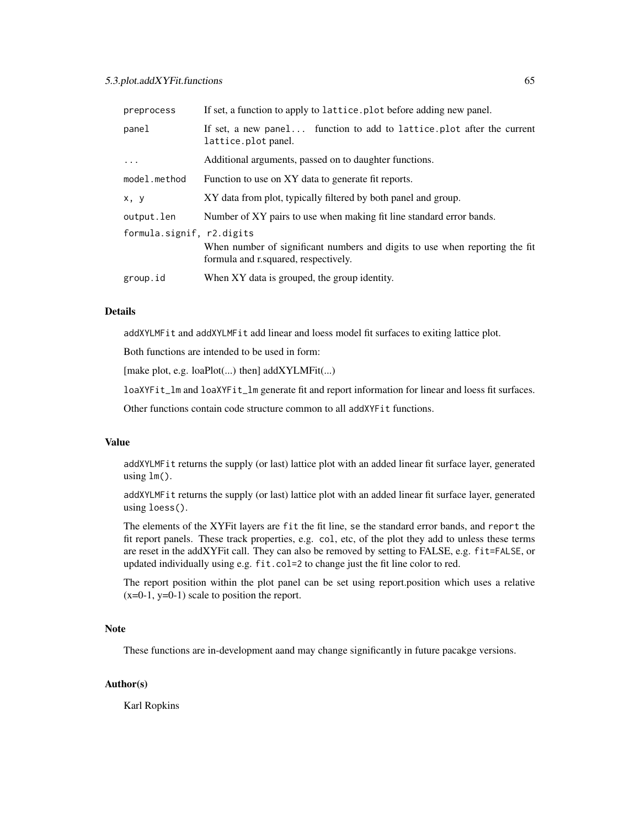### 5.3.plot.addXYFit.functions 65

| preprocess                | If set, a function to apply to lattice. plot before adding new panel.                                               |
|---------------------------|---------------------------------------------------------------------------------------------------------------------|
| panel                     | If set, a new panel function to add to lattice. plot after the current<br>lattice.plot panel.                       |
| $\ddots$ .                | Additional arguments, passed on to daughter functions.                                                              |
| model.method              | Function to use on XY data to generate fit reports.                                                                 |
| x, y                      | XY data from plot, typically filtered by both panel and group.                                                      |
| output.len                | Number of XY pairs to use when making fit line standard error bands.                                                |
| formula.signif, r2.digits | When number of significant numbers and digits to use when reporting the fit<br>formula and r.squared, respectively. |
| group.id                  | When XY data is grouped, the group identity.                                                                        |

#### Details

addXYLMFit and addXYLMFit add linear and loess model fit surfaces to exiting lattice plot.

Both functions are intended to be used in form:

[make plot, e.g. loaPlot(...) then] addXYLMFit(...)

loaXYFit\_lm and loaXYFit\_lm generate fit and report information for linear and loess fit surfaces.

Other functions contain code structure common to all addXYFit functions.

### Value

addXYLMFit returns the supply (or last) lattice plot with an added linear fit surface layer, generated using lm().

addXYLMFit returns the supply (or last) lattice plot with an added linear fit surface layer, generated using loess().

The elements of the XYFit layers are fit the fit line, se the standard error bands, and report the fit report panels. These track properties, e.g. col, etc, of the plot they add to unless these terms are reset in the addXYFit call. They can also be removed by setting to FALSE, e.g. fit=FALSE, or updated individually using e.g. fit.col=2 to change just the fit line color to red.

The report position within the plot panel can be set using report.position which uses a relative  $(x=0-1, y=0-1)$  scale to position the report.

### Note

These functions are in-development aand may change significantly in future pacakge versions.

### Author(s)

Karl Ropkins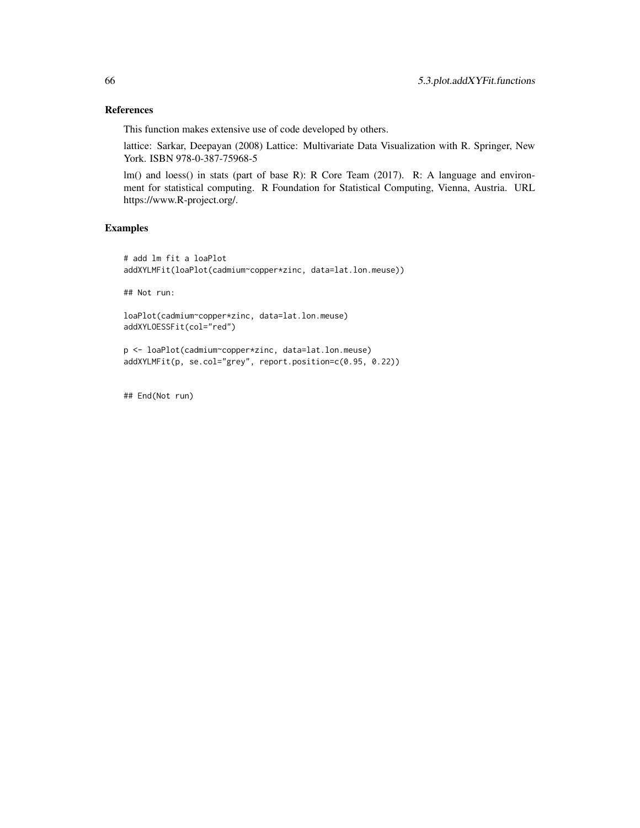### References

This function makes extensive use of code developed by others.

lattice: Sarkar, Deepayan (2008) Lattice: Multivariate Data Visualization with R. Springer, New York. ISBN 978-0-387-75968-5

lm() and loess() in stats (part of base R): R Core Team (2017). R: A language and environment for statistical computing. R Foundation for Statistical Computing, Vienna, Austria. URL https://www.R-project.org/.

#### Examples

```
# add lm fit a loaPlot
addXYLMFit(loaPlot(cadmium~copper*zinc, data=lat.lon.meuse))
```
## Not run:

```
loaPlot(cadmium~copper*zinc, data=lat.lon.meuse)
addXYLOESSFit(col="red")
```

```
p <- loaPlot(cadmium~copper*zinc, data=lat.lon.meuse)
addXYLMFit(p, se.col="grey", report.position=c(0.95, 0.22))
```
## End(Not run)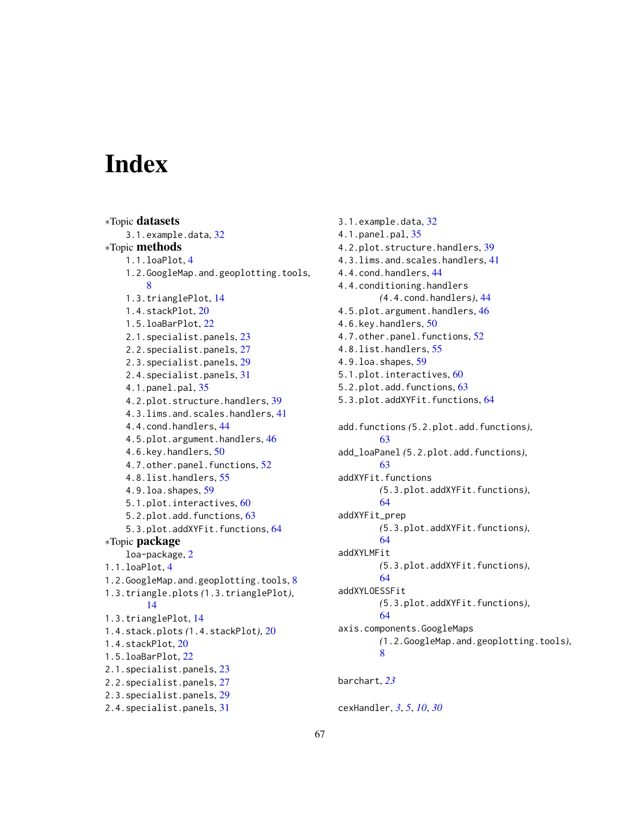# <span id="page-66-0"></span>**Index**

∗Topic datasets 3.1.example.data, [32](#page-31-0) ∗Topic methods 1.1.loaPlot, [4](#page-3-0) 1.2.GoogleMap.and.geoplotting.tools, [8](#page-7-0) 1.3.trianglePlot, [14](#page-13-0) 1.4.stackPlot, [20](#page-19-0) 1.5.loaBarPlot, [22](#page-21-0) 2.1.specialist.panels, [23](#page-22-0) 2.2.specialist.panels, [27](#page-26-0) 2.3.specialist.panels, [29](#page-28-0) 2.4.specialist.panels, [31](#page-30-0) 4.1.panel.pal, [35](#page-34-0) 4.2.plot.structure.handlers, [39](#page-38-0) 4.3.lims.and.scales.handlers, [41](#page-40-0) 4.4.cond.handlers, [44](#page-43-0) 4.5.plot.argument.handlers, [46](#page-45-0) 4.6.key.handlers, [50](#page-49-0) 4.7.other.panel.functions, [52](#page-51-0) 4.8.list.handlers, [55](#page-54-0) 4.9.loa.shapes, [59](#page-58-0) 5.1.plot.interactives, [60](#page-59-0) 5.2.plot.add.functions, [63](#page-62-0) 5.3.plot.addXYFit.functions, [64](#page-63-0) ∗Topic package loa-package, [2](#page-1-0) 1.1.loaPlot, [4](#page-3-0) 1.2.GoogleMap.and.geoplotting.tools, [8](#page-7-0) 1.3.triangle.plots *(*1.3.trianglePlot*)*, [14](#page-13-0) 1.3.trianglePlot, [14](#page-13-0) 1.4.stack.plots *(*1.4.stackPlot*)*, [20](#page-19-0) 1.4.stackPlot, [20](#page-19-0) 1.5.loaBarPlot, [22](#page-21-0) 2.1.specialist.panels, [23](#page-22-0) 2.2.specialist.panels, [27](#page-26-0) 2.3.specialist.panels, [29](#page-28-0) 2.4.specialist.panels, [31](#page-30-0)

3.1.example.data, [32](#page-31-0) 4.1.panel.pal, [35](#page-34-0) 4.2.plot.structure.handlers, [39](#page-38-0) 4.3.lims.and.scales.handlers, [41](#page-40-0) 4.4.cond.handlers, [44](#page-43-0) 4.4.conditioning.handlers *(*4.4.cond.handlers*)*, [44](#page-43-0) 4.5.plot.argument.handlers, [46](#page-45-0) 4.6.key.handlers, [50](#page-49-0) 4.7.other.panel.functions, [52](#page-51-0) 4.8.list.handlers, [55](#page-54-0) 4.9.loa.shapes, [59](#page-58-0) 5.1.plot.interactives, [60](#page-59-0) 5.2.plot.add.functions, [63](#page-62-0) 5.3.plot.addXYFit.functions, [64](#page-63-0) add.functions *(*5.2.plot.add.functions*)*, [63](#page-62-0) add\_loaPanel *(*5.2.plot.add.functions*)*, [63](#page-62-0) addXYFit.functions *(*5.3.plot.addXYFit.functions*)*, [64](#page-63-0) addXYFit\_prep *(*5.3.plot.addXYFit.functions*)*, [64](#page-63-0) addXYLMFit *(*5.3.plot.addXYFit.functions*)*, [64](#page-63-0) addXYLOESSFit *(*5.3.plot.addXYFit.functions*)*, [64](#page-63-0) axis.components.GoogleMaps *(*1.2.GoogleMap.and.geoplotting.tools*)*, [8](#page-7-0) barchart, *[23](#page-22-0)*

cexHandler, *[3](#page-2-0)*, *[5](#page-4-0)*, *[10](#page-9-0)*, *[30](#page-29-0)*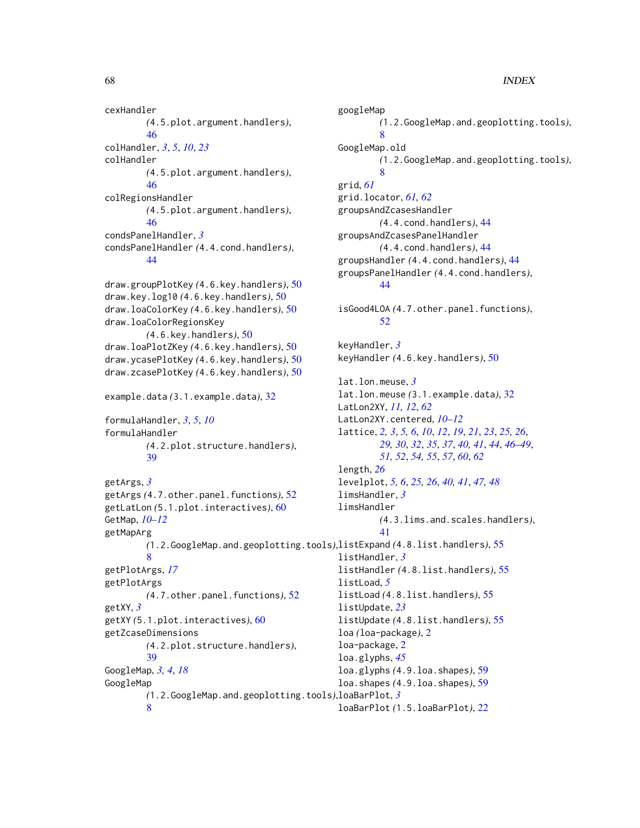cexHandler *(*4.5.plot.argument.handlers*)*, [46](#page-45-0) colHandler, *[3](#page-2-0)*, *[5](#page-4-0)*, *[10](#page-9-0)*, *[23](#page-22-0)* colHandler *(*4.5.plot.argument.handlers*)*, [46](#page-45-0) colRegionsHandler *(*4.5.plot.argument.handlers*)*, [46](#page-45-0) condsPanelHandler, *[3](#page-2-0)* condsPanelHandler *(*4.4.cond.handlers*)*, [44](#page-43-0) draw.groupPlotKey *(*4.6.key.handlers*)*, [50](#page-49-0) draw.key.log10 *(*4.6.key.handlers*)*, [50](#page-49-0) draw.loaColorKey *(*4.6.key.handlers*)*, [50](#page-49-0) draw.loaColorRegionsKey *(*4.6.key.handlers*)*, [50](#page-49-0) draw.loaPlotZKey *(*4.6.key.handlers*)*, [50](#page-49-0) draw.ycasePlotKey *(*4.6.key.handlers*)*, [50](#page-49-0) draw.zcasePlotKey *(*4.6.key.handlers*)*, [50](#page-49-0) example.data *(*3.1.example.data*)*, [32](#page-31-0) formulaHandler, *[3](#page-2-0)*, *[5](#page-4-0)*, *[10](#page-9-0)* formulaHandler *(*4.2.plot.structure.handlers*)*, [39](#page-38-0) getArgs, *[3](#page-2-0)* getArgs *(*4.7.other.panel.functions*)*, [52](#page-51-0) getLatLon *(*5.1.plot.interactives*)*, [60](#page-59-0) GetMap, *[10](#page-9-0)[–12](#page-11-0)* getMapArg *(*1.2.GoogleMap.and.geoplotting.tools*)*, listExpand *(*4.8.list.handlers*)*, [55](#page-54-0) [8](#page-7-0) getPlotArgs, *[17](#page-16-0)* getPlotArgs *(*4.7.other.panel.functions*)*, [52](#page-51-0) getXY, *[3](#page-2-0)* getXY *(*5.1.plot.interactives*)*, [60](#page-59-0) getZcaseDimensions *(*4.2.plot.structure.handlers*)*, [39](#page-38-0) GoogleMap, *[3,](#page-2-0) [4](#page-3-0)*, *[18](#page-17-0)* GoogleMap *(*1.2.GoogleMap.and.geoplotting.tools*)*, loaBarPlot, *[3](#page-2-0)* [8](#page-7-0) googleMap [8](#page-7-0) GoogleMap.old [8](#page-7-0) grid, *[61](#page-60-0)* [44](#page-43-0) [52](#page-51-0) keyHandler, *[3](#page-2-0)* length, *[26](#page-25-0)* limsHandler, *[3](#page-2-0)* limsHandler [41](#page-40-0) listHandler, *[3](#page-2-0)* listLoad, *[5](#page-4-0)* listUpdate, *[23](#page-22-0)* loa-package, [2](#page-1-0) loa.glyphs, *[45](#page-44-0)* loaBarPlot *(*1.5.loaBarPlot*)*, [22](#page-21-0)

*(*1.2.GoogleMap.and.geoplotting.tools*)*, *(*1.2.GoogleMap.and.geoplotting.tools*)*, grid.locator, *[61,](#page-60-0) [62](#page-61-0)* groupsAndZcasesHandler *(*4.4.cond.handlers*)*, [44](#page-43-0) groupsAndZcasesPanelHandler *(*4.4.cond.handlers*)*, [44](#page-43-0) groupsHandler *(*4.4.cond.handlers*)*, [44](#page-43-0) groupsPanelHandler *(*4.4.cond.handlers*)*, isGood4LOA *(*4.7.other.panel.functions*)*, keyHandler *(*4.6.key.handlers*)*, [50](#page-49-0) lat.lon.meuse, *[3](#page-2-0)* lat.lon.meuse *(*3.1.example.data*)*, [32](#page-31-0) LatLon2XY, *[11,](#page-10-0) [12](#page-11-0)*, *[62](#page-61-0)* LatLon2XY.centered, *[10](#page-9-0)[–12](#page-11-0)* lattice, *[2,](#page-1-0) [3](#page-2-0)*, *[5,](#page-4-0) [6](#page-5-0)*, *[10](#page-9-0)*, *[12](#page-11-0)*, *[19](#page-18-0)*, *[21](#page-20-0)*, *[23](#page-22-0)*, *[25,](#page-24-0) [26](#page-25-0)*, *[29,](#page-28-0) [30](#page-29-0)*, *[32](#page-31-0)*, *[35](#page-34-0)*, *[37](#page-36-0)*, *[40,](#page-39-0) [41](#page-40-0)*, *[44](#page-43-0)*, *[46](#page-45-0)[–49](#page-48-0)*, *[51,](#page-50-0) [52](#page-51-0)*, *[54,](#page-53-0) [55](#page-54-0)*, *[57](#page-56-0)*, *[60](#page-59-0)*, *[62](#page-61-0)* levelplot, *[5,](#page-4-0) [6](#page-5-0)*, *[25,](#page-24-0) [26](#page-25-0)*, *[40,](#page-39-0) [41](#page-40-0)*, *[47,](#page-46-0) [48](#page-47-0) (*4.3.lims.and.scales.handlers*)*, listHandler *(*4.8.list.handlers*)*, [55](#page-54-0) listLoad *(*4.8.list.handlers*)*, [55](#page-54-0) listUpdate *(*4.8.list.handlers*)*, [55](#page-54-0) loa *(*loa-package*)*, [2](#page-1-0) loa.glyphs *(*4.9.loa.shapes*)*, [59](#page-58-0) loa.shapes *(*4.9.loa.shapes*)*, [59](#page-58-0)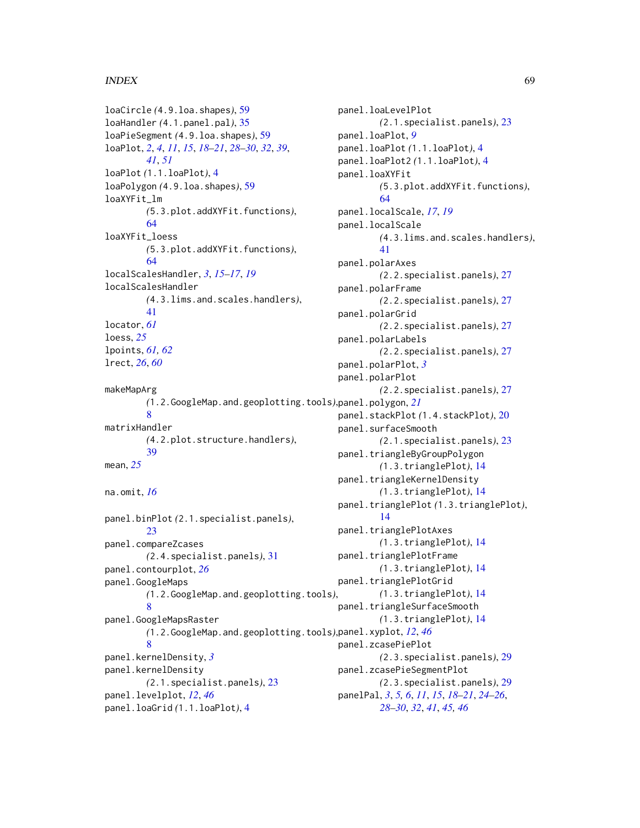### INDEX  $\sim$  69

loaCircle *(*4.9.loa.shapes*)*, [59](#page-58-0) loaHandler *(*4.1.panel.pal*)*, [35](#page-34-0) loaPieSegment *(*4.9.loa.shapes*)*, [59](#page-58-0) loaPlot, *[2](#page-1-0)*, *[4](#page-3-0)*, *[11](#page-10-0)*, *[15](#page-14-0)*, *[18–](#page-17-0)[21](#page-20-0)*, *[28–](#page-27-0)[30](#page-29-0)*, *[32](#page-31-0)*, *[39](#page-38-0)*, *[41](#page-40-0)*, *[51](#page-50-0)* loaPlot *(*1.1.loaPlot*)*, [4](#page-3-0) loaPolygon *(*4.9.loa.shapes*)*, [59](#page-58-0) loaXYFit\_lm *(*5.3.plot.addXYFit.functions*)*, [64](#page-63-0) loaXYFit\_loess *(*5.3.plot.addXYFit.functions*)*, [64](#page-63-0) localScalesHandler, *[3](#page-2-0)*, *[15–](#page-14-0)[17](#page-16-0)*, *[19](#page-18-0)* localScalesHandler *(*4.3.lims.and.scales.handlers*)*, [41](#page-40-0) locator, *[61](#page-60-0)* loess, *[25](#page-24-0)* lpoints, *[61,](#page-60-0) [62](#page-61-0)* lrect, *[26](#page-25-0)*, *[60](#page-59-0)* makeMapArg *(*1.2.GoogleMap.and.geoplotting.tools*)*, panel.polygon, *[21](#page-20-0)* [8](#page-7-0) matrixHandler *(*4.2.plot.structure.handlers*)*, [39](#page-38-0) mean, *[25](#page-24-0)* na.omit, *[16](#page-15-0)* panel.binPlot *(*2.1.specialist.panels*)*, [23](#page-22-0) panel.compareZcases *(*2.4.specialist.panels*)*, [31](#page-30-0) panel.contourplot, *[26](#page-25-0)* panel.GoogleMaps *(*1.2.GoogleMap.and.geoplotting.tools*)*, [8](#page-7-0) panel.GoogleMapsRaster *(*1.2.GoogleMap.and.geoplotting.tools*)*, panel.xyplot, *[12](#page-11-0)*, *[46](#page-45-0)* [8](#page-7-0) panel.kernelDensity, *[3](#page-2-0)* panel.kernelDensity *(*2.1.specialist.panels*)*, [23](#page-22-0) panel.levelplot, *[12](#page-11-0)*, *[46](#page-45-0)* panel.loaGrid *(*1.1.loaPlot*)*, [4](#page-3-0) panel.loaPlot, *[9](#page-8-0)* panel.loaXYFit [64](#page-63-0) panel.localScale [41](#page-40-0) panel.polarAxes panel.polarFrame panel.polarGrid panel.polarLabels panel.polarPlot, *[3](#page-2-0)* panel.polarPlot [14](#page-13-0)

panel.loaLevelPlot *(*2.1.specialist.panels*)*, [23](#page-22-0) panel.loaPlot *(*1.1.loaPlot*)*, [4](#page-3-0) panel.loaPlot2 *(*1.1.loaPlot*)*, [4](#page-3-0) *(*5.3.plot.addXYFit.functions*)*, panel.localScale, *[17](#page-16-0)*, *[19](#page-18-0) (*4.3.lims.and.scales.handlers*)*, *(*2.2.specialist.panels*)*, [27](#page-26-0) *(*2.2.specialist.panels*)*, [27](#page-26-0) *(*2.2.specialist.panels*)*, [27](#page-26-0) *(*2.2.specialist.panels*)*, [27](#page-26-0) *(*2.2.specialist.panels*)*, [27](#page-26-0) panel.stackPlot *(*1.4.stackPlot*)*, [20](#page-19-0) panel.surfaceSmooth *(*2.1.specialist.panels*)*, [23](#page-22-0) panel.triangleByGroupPolygon *(*1.3.trianglePlot*)*, [14](#page-13-0) panel.triangleKernelDensity *(*1.3.trianglePlot*)*, [14](#page-13-0) panel.trianglePlot *(*1.3.trianglePlot*)*, panel.trianglePlotAxes *(*1.3.trianglePlot*)*, [14](#page-13-0) panel.trianglePlotFrame *(*1.3.trianglePlot*)*, [14](#page-13-0) panel.trianglePlotGrid *(*1.3.trianglePlot*)*, [14](#page-13-0) panel.triangleSurfaceSmooth *(*1.3.trianglePlot*)*, [14](#page-13-0) panel.zcasePiePlot *(*2.3.specialist.panels*)*, [29](#page-28-0) panel.zcasePieSegmentPlot *(*2.3.specialist.panels*)*, [29](#page-28-0)

panelPal, *[3](#page-2-0)*, *[5,](#page-4-0) [6](#page-5-0)*, *[11](#page-10-0)*, *[15](#page-14-0)*, *[18](#page-17-0)[–21](#page-20-0)*, *[24](#page-23-0)[–26](#page-25-0)*, *[28](#page-27-0)[–30](#page-29-0)*, *[32](#page-31-0)*, *[41](#page-40-0)*, *[45,](#page-44-0) [46](#page-45-0)*